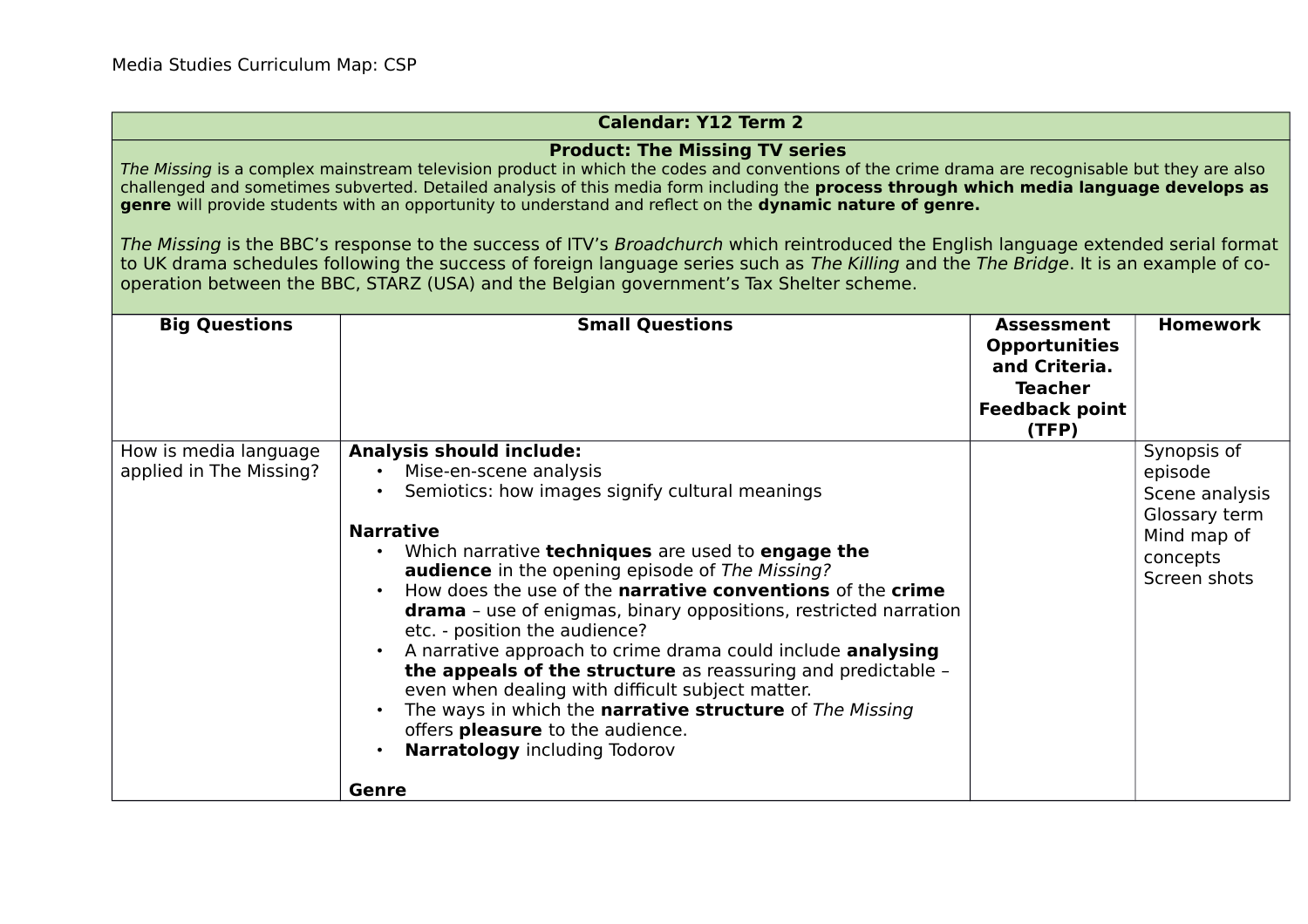## **Calendar: Y12 Term 2**

## **Product: The Missing TV series**

The Missing is a complex mainstream television product in which the codes and conventions of the crime drama are recognisable but they are also challenged and sometimes subverted. Detailed analysis of this media form including the **process through which media language develops as genre** will provide students with an opportunity to understand and reflect on the **dynamic nature of genre.** 

The Missing is the BBC's response to the success of ITV's Broadchurch which reintroduced the English language extended serial format to UK drama schedules following the success of foreign language series such as The Killing and the The Bridge. It is an example of cooperation between the BBC, STARZ (USA) and the Belgian government's Tax Shelter scheme.

| <b>Big Questions</b>                             | <b>Small Questions</b>                                                                                                                                                                                                                                                                                                                                                                                                                                                                                                                                                                                                                                                                                                                                                      | <b>Assessment</b><br><b>Opportunities</b><br>and Criteria.<br><b>Teacher</b><br><b>Feedback point</b><br>(TFP) | <b>Homework</b>                                                                                      |
|--------------------------------------------------|-----------------------------------------------------------------------------------------------------------------------------------------------------------------------------------------------------------------------------------------------------------------------------------------------------------------------------------------------------------------------------------------------------------------------------------------------------------------------------------------------------------------------------------------------------------------------------------------------------------------------------------------------------------------------------------------------------------------------------------------------------------------------------|----------------------------------------------------------------------------------------------------------------|------------------------------------------------------------------------------------------------------|
| How is media language<br>applied in The Missing? | <b>Analysis should include:</b><br>Mise-en-scene analysis<br>Semiotics: how images signify cultural meanings<br><b>Narrative</b><br>Which narrative techniques are used to engage the<br><b>audience</b> in the opening episode of The Missing?<br>How does the use of the <b>narrative conventions</b> of the <b>crime</b><br><b>drama</b> - use of enigmas, binary oppositions, restricted narration<br>etc. - position the audience?<br>A narrative approach to crime drama could include analysing<br>the appeals of the structure as reassuring and predictable -<br>even when dealing with difficult subject matter.<br>The ways in which the narrative structure of The Missing<br>offers pleasure to the audience.<br><b>Narratology</b> including Todorov<br>Genre |                                                                                                                | Synopsis of<br>episode<br>Scene analysis<br>Glossary term<br>Mind map of<br>concepts<br>Screen shots |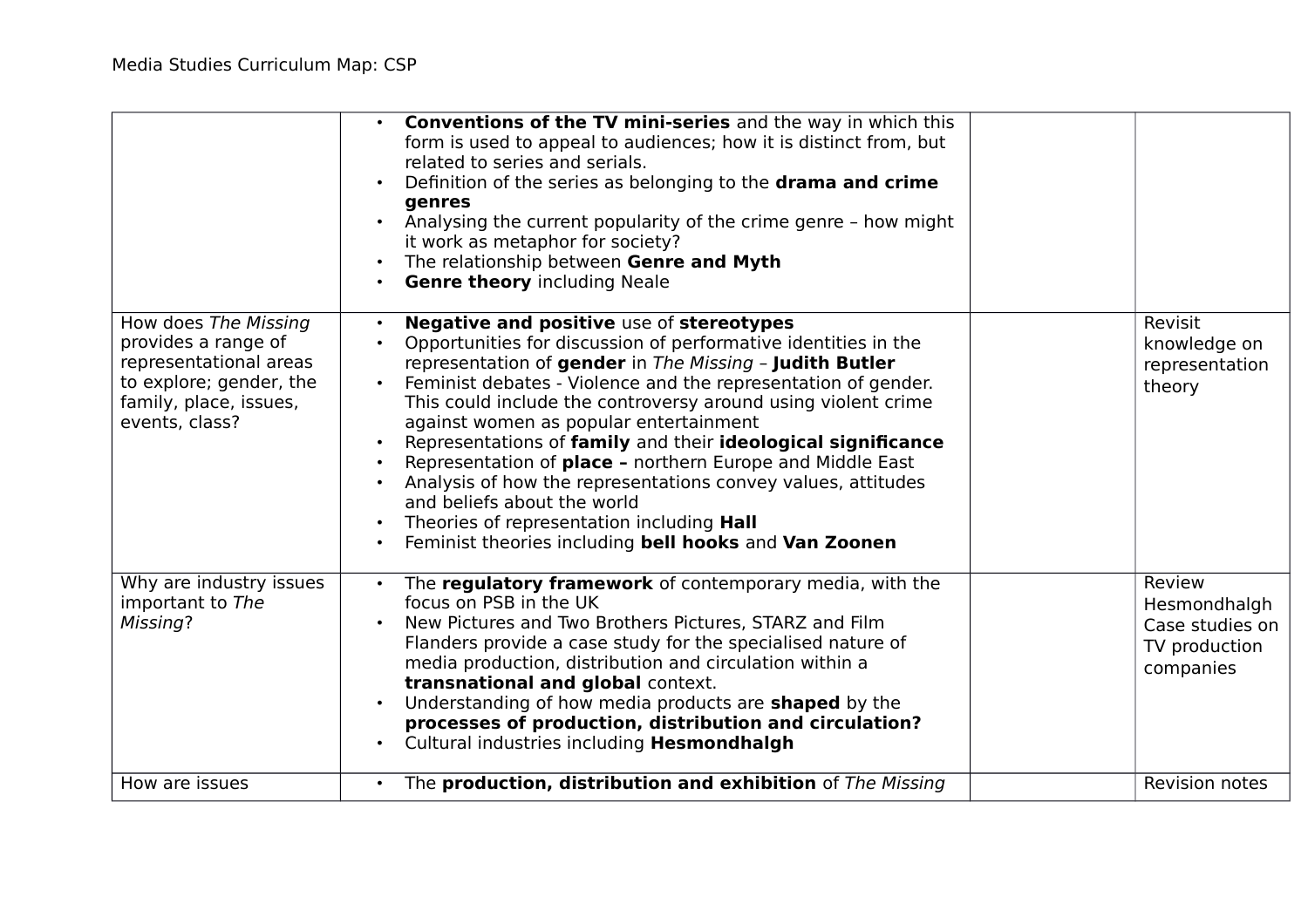|                                                                                                                                              | Conventions of the TV mini-series and the way in which this<br>form is used to appeal to audiences; how it is distinct from, but<br>related to series and serials.<br>Definition of the series as belonging to the drama and crime<br>genres<br>Analysing the current popularity of the crime genre - how might<br>it work as metaphor for society?<br>The relationship between Genre and Myth<br><b>Genre theory including Neale</b>                                                                                                                                                                                                                                                            |                                                                         |
|----------------------------------------------------------------------------------------------------------------------------------------------|--------------------------------------------------------------------------------------------------------------------------------------------------------------------------------------------------------------------------------------------------------------------------------------------------------------------------------------------------------------------------------------------------------------------------------------------------------------------------------------------------------------------------------------------------------------------------------------------------------------------------------------------------------------------------------------------------|-------------------------------------------------------------------------|
| How does The Missing<br>provides a range of<br>representational areas<br>to explore; gender, the<br>family, place, issues,<br>events, class? | Negative and positive use of stereotypes<br>Opportunities for discussion of performative identities in the<br>representation of gender in The Missing - Judith Butler<br>Feminist debates - Violence and the representation of gender.<br>$\bullet$<br>This could include the controversy around using violent crime<br>against women as popular entertainment<br>Representations of family and their ideological significance<br>Representation of place - northern Europe and Middle East<br>Analysis of how the representations convey values, attitudes<br>and beliefs about the world<br>Theories of representation including Hall<br>Feminist theories including bell hooks and Van Zoonen | Revisit<br>knowledge on<br>representation<br>theory                     |
| Why are industry issues<br>important to The<br>Missing?                                                                                      | The regulatory framework of contemporary media, with the<br>focus on PSB in the UK<br>New Pictures and Two Brothers Pictures, STARZ and Film<br>Flanders provide a case study for the specialised nature of<br>media production, distribution and circulation within a<br>transnational and global context.<br>Understanding of how media products are <b>shaped</b> by the<br>processes of production, distribution and circulation?<br>Cultural industries including Hesmondhalgh                                                                                                                                                                                                              | Review<br>Hesmondhalgh<br>Case studies on<br>TV production<br>companies |
| How are issues                                                                                                                               | The production, distribution and exhibition of The Missing<br>$\bullet$                                                                                                                                                                                                                                                                                                                                                                                                                                                                                                                                                                                                                          | Revision notes                                                          |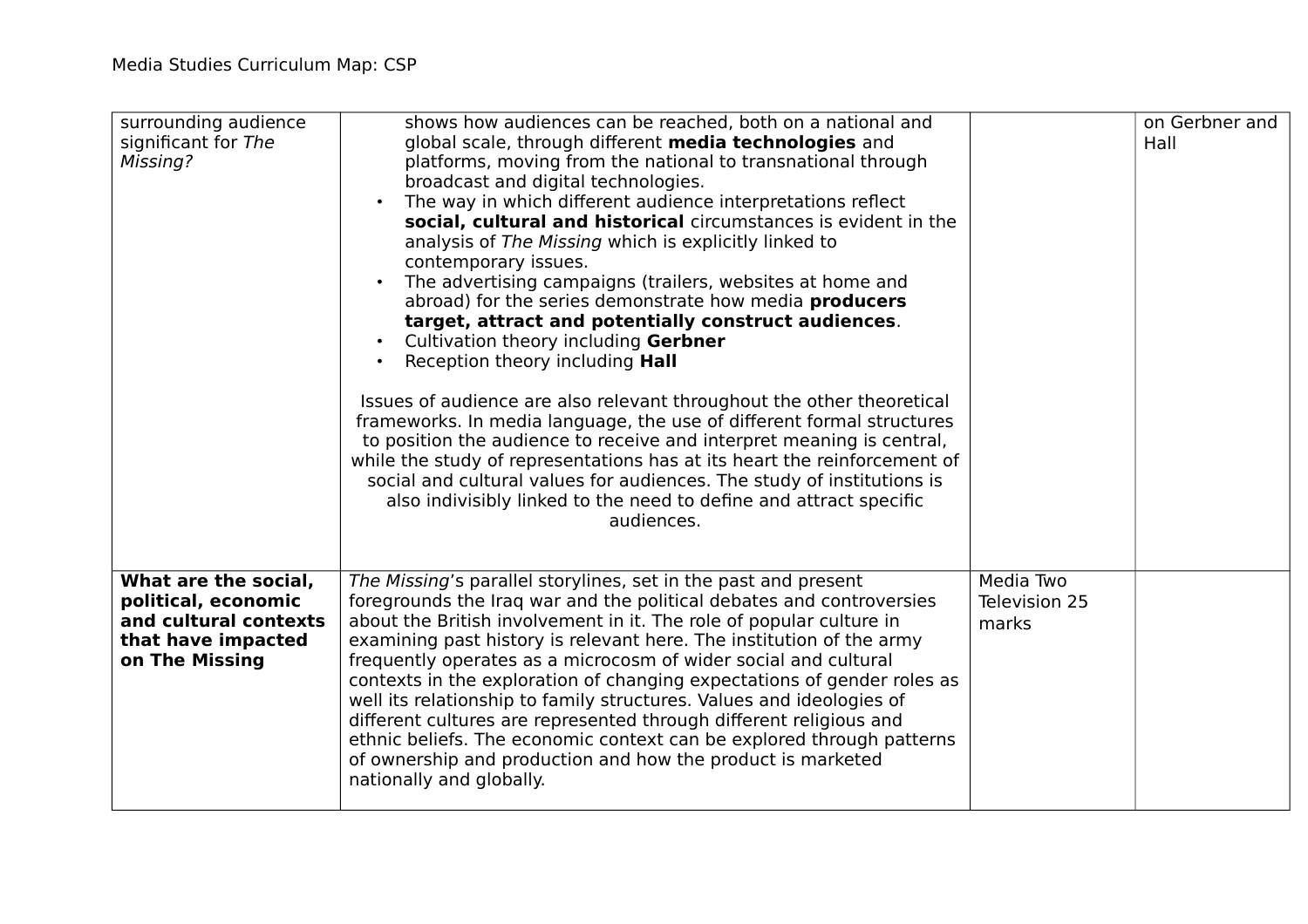| surrounding audience<br>significant for The<br>Missing?                                                      | shows how audiences can be reached, both on a national and<br>global scale, through different media technologies and<br>platforms, moving from the national to transnational through<br>broadcast and digital technologies.<br>The way in which different audience interpretations reflect<br>social, cultural and historical circumstances is evident in the<br>analysis of The Missing which is explicitly linked to<br>contemporary issues.<br>The advertising campaigns (trailers, websites at home and<br>abroad) for the series demonstrate how media <b>producers</b><br>target, attract and potentially construct audiences.<br>Cultivation theory including Gerbner<br>Reception theory including <b>Hall</b><br>Issues of audience are also relevant throughout the other theoretical<br>frameworks. In media language, the use of different formal structures<br>to position the audience to receive and interpret meaning is central,<br>while the study of representations has at its heart the reinforcement of<br>social and cultural values for audiences. The study of institutions is<br>also indivisibly linked to the need to define and attract specific<br>audiences. |                                     | on Gerbner and<br>Hall |
|--------------------------------------------------------------------------------------------------------------|---------------------------------------------------------------------------------------------------------------------------------------------------------------------------------------------------------------------------------------------------------------------------------------------------------------------------------------------------------------------------------------------------------------------------------------------------------------------------------------------------------------------------------------------------------------------------------------------------------------------------------------------------------------------------------------------------------------------------------------------------------------------------------------------------------------------------------------------------------------------------------------------------------------------------------------------------------------------------------------------------------------------------------------------------------------------------------------------------------------------------------------------------------------------------------------------|-------------------------------------|------------------------|
| What are the social,<br>political, economic<br>and cultural contexts<br>that have impacted<br>on The Missing | The Missing's parallel storylines, set in the past and present<br>foregrounds the Iraq war and the political debates and controversies<br>about the British involvement in it. The role of popular culture in<br>examining past history is relevant here. The institution of the army<br>frequently operates as a microcosm of wider social and cultural<br>contexts in the exploration of changing expectations of gender roles as<br>well its relationship to family structures. Values and ideologies of<br>different cultures are represented through different religious and<br>ethnic beliefs. The economic context can be explored through patterns<br>of ownership and production and how the product is marketed<br>nationally and globally.                                                                                                                                                                                                                                                                                                                                                                                                                                       | Media Two<br>Television 25<br>marks |                        |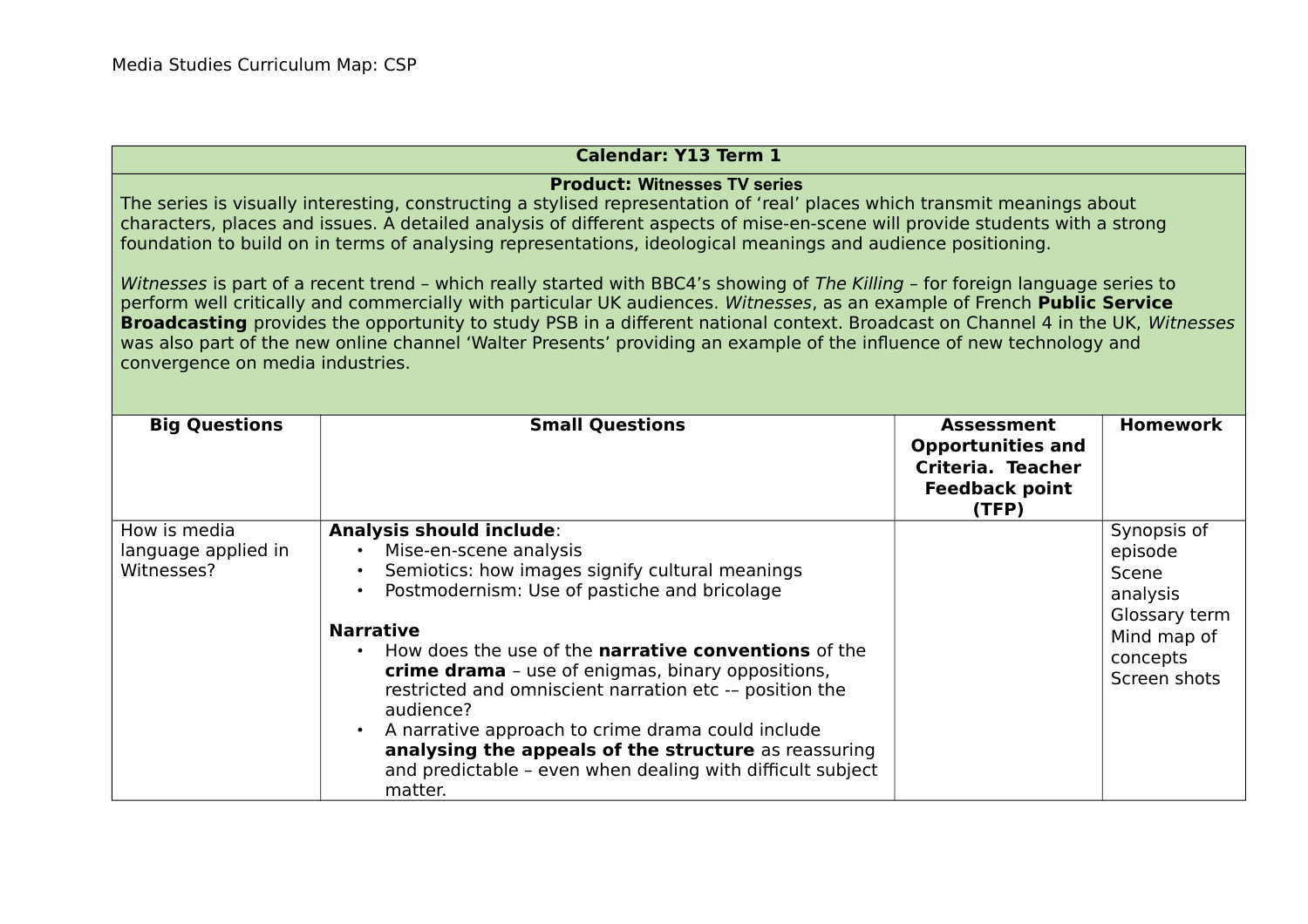## **Calendar: Y13 Term 1**

## **Product: Witnesses TV series**

The series is visually interesting, constructing a stylised representation of 'real' places which transmit meanings about characters, places and issues. A detailed analysis of different aspects of mise-en-scene will provide students with a strong foundation to build on in terms of analysing representations, ideological meanings and audience positioning.

Witnesses is part of a recent trend - which really started with BBC4's showing of The Killing - for foreign language series to perform well critically and commercially with particular UK audiences. Witnesses, as an example of French **Public Service Broadcasting** provides the opportunity to study PSB in a different national context. Broadcast on Channel 4 in the UK, Witnesses was also part of the new online channel 'Walter Presents' providing an example of the influence of new technology and convergence on media industries.

| <b>Big Questions</b>                              | <b>Small Questions</b>                                                                                                                                                                                                                                                                                                                                                                                                                                                                                                                                                                                                                     | <b>Assessment</b><br><b>Opportunities and</b><br>Criteria. Teacher<br><b>Feedback point</b><br>(TFP) | <b>Homework</b>                                                                                         |
|---------------------------------------------------|--------------------------------------------------------------------------------------------------------------------------------------------------------------------------------------------------------------------------------------------------------------------------------------------------------------------------------------------------------------------------------------------------------------------------------------------------------------------------------------------------------------------------------------------------------------------------------------------------------------------------------------------|------------------------------------------------------------------------------------------------------|---------------------------------------------------------------------------------------------------------|
| How is media<br>language applied in<br>Witnesses? | <b>Analysis should include:</b><br>Mise-en-scene analysis<br>$\bullet$<br>Semiotics: how images signify cultural meanings<br>$\bullet$<br>Postmodernism: Use of pastiche and bricolage<br>$\bullet$<br><b>Narrative</b><br>How does the use of the <b>narrative conventions</b> of the<br>$\bullet$<br><b>crime drama</b> - use of enigmas, binary oppositions,<br>restricted and omniscient narration etc -- position the<br>audience?<br>A narrative approach to crime drama could include<br>$\bullet$<br>analysing the appeals of the structure as reassuring<br>and predictable - even when dealing with difficult subject<br>matter. |                                                                                                      | Synopsis of<br>episode<br>Scene<br>analysis<br>Glossary term<br>Mind map of<br>concepts<br>Screen shots |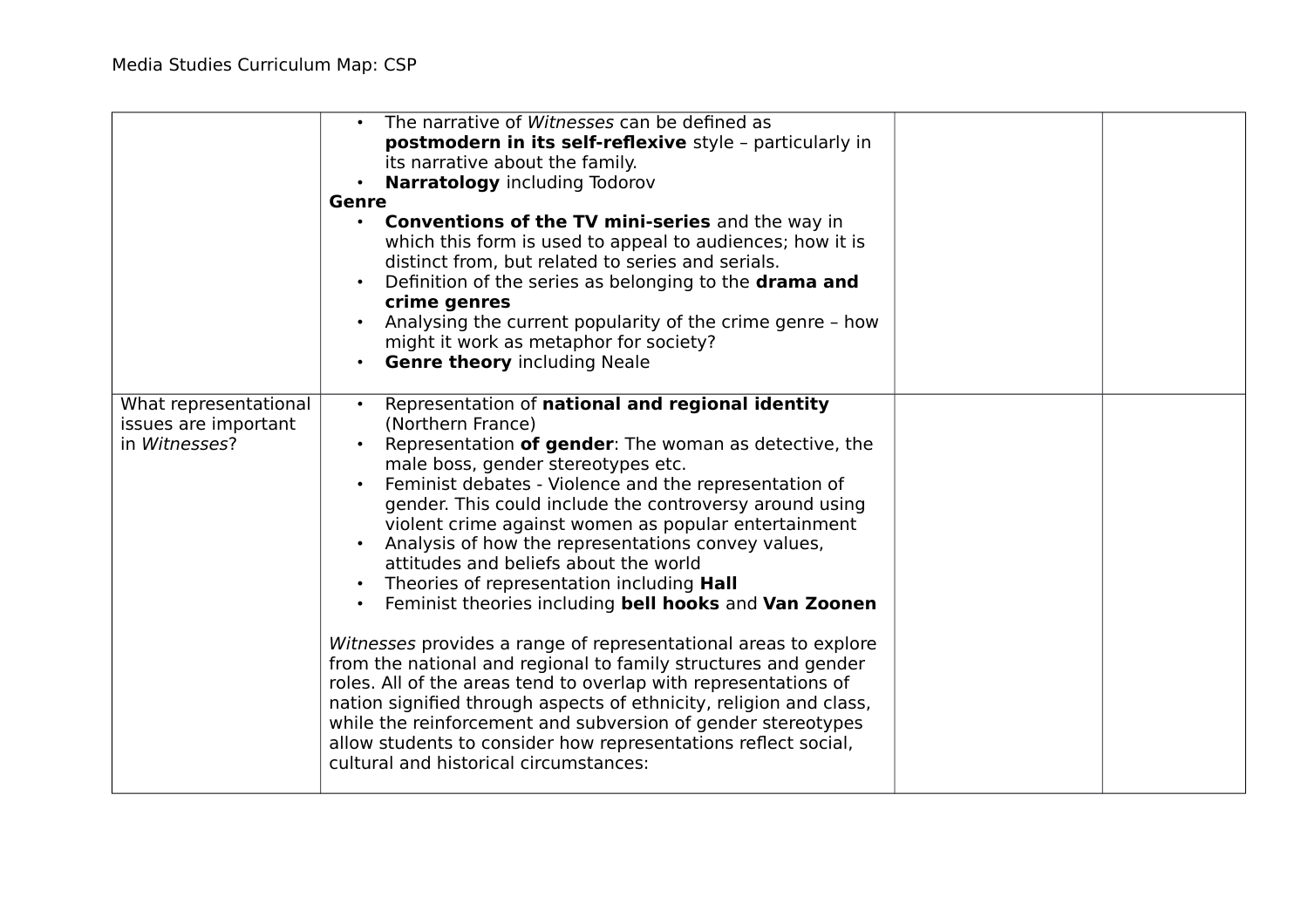|                                                                | The narrative of Witnesses can be defined as<br>postmodern in its self-reflexive style - particularly in<br>its narrative about the family.<br><b>Narratology</b> including Todorov<br><b>Genre</b><br><b>Conventions of the TV mini-series and the way in</b><br>$\bullet$<br>which this form is used to appeal to audiences; how it is<br>distinct from, but related to series and serials.<br>Definition of the series as belonging to the <b>drama and</b><br>crime genres<br>Analysing the current popularity of the crime genre - how<br>might it work as metaphor for society?<br><b>Genre theory including Neale</b>                                                                                                                                                                                                                                                                                                                                                                                    |  |
|----------------------------------------------------------------|-----------------------------------------------------------------------------------------------------------------------------------------------------------------------------------------------------------------------------------------------------------------------------------------------------------------------------------------------------------------------------------------------------------------------------------------------------------------------------------------------------------------------------------------------------------------------------------------------------------------------------------------------------------------------------------------------------------------------------------------------------------------------------------------------------------------------------------------------------------------------------------------------------------------------------------------------------------------------------------------------------------------|--|
| What representational<br>issues are important<br>in Witnesses? | Representation of national and regional identity<br>(Northern France)<br>Representation of gender: The woman as detective, the<br>male boss, gender stereotypes etc.<br>Feminist debates - Violence and the representation of<br>gender. This could include the controversy around using<br>violent crime against women as popular entertainment<br>Analysis of how the representations convey values,<br>attitudes and beliefs about the world<br>Theories of representation including Hall<br>Feminist theories including bell hooks and Van Zoonen<br>Witnesses provides a range of representational areas to explore<br>from the national and regional to family structures and gender<br>roles. All of the areas tend to overlap with representations of<br>nation signified through aspects of ethnicity, religion and class,<br>while the reinforcement and subversion of gender stereotypes<br>allow students to consider how representations reflect social,<br>cultural and historical circumstances: |  |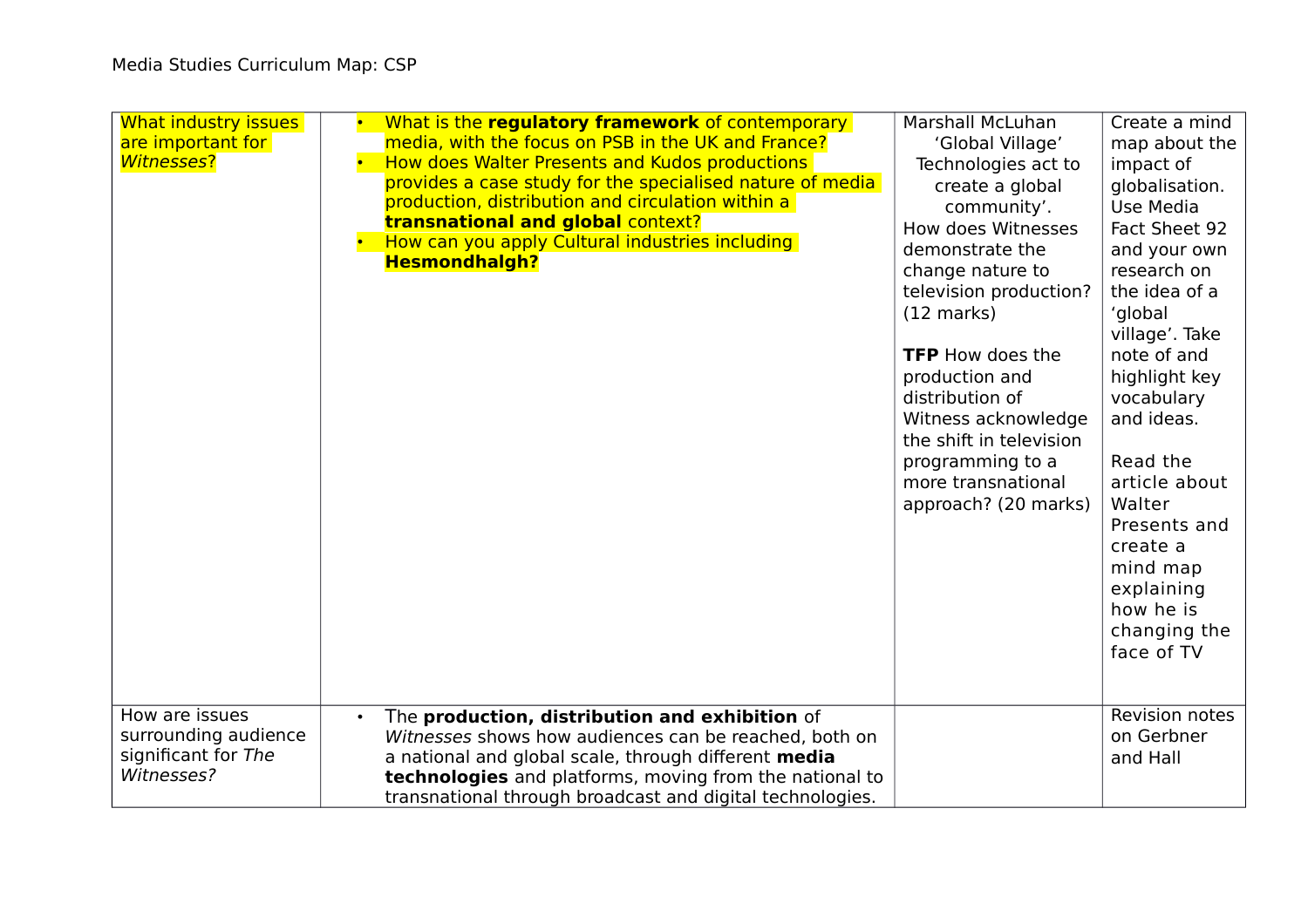| What industry issues<br>are important for<br><b>Witnesses?</b><br>How are issues | What is the regulatory framework of contemporary<br>media, with the focus on PSB in the UK and France?<br>How does Walter Presents and Kudos productions<br>provides a case study for the specialised nature of media<br>production, distribution and circulation within a<br><b>transnational and global context?</b><br>How can you apply Cultural industries including<br><b>Hesmondhalgh?</b> | Marshall McLuhan<br>'Global Village'<br>Technologies act to<br>create a global<br>community'.<br>How does Witnesses<br>demonstrate the<br>change nature to<br>television production?<br>$(12 \text{ marks})$<br><b>TFP</b> How does the<br>production and<br>distribution of<br>Witness acknowledge<br>the shift in television<br>programming to a<br>more transnational<br>approach? (20 marks) | Create a mind<br>map about the<br>impact of<br>globalisation.<br>Use Media<br>Fact Sheet 92<br>and your own<br>research on<br>the idea of a<br>'global<br>village'. Take<br>note of and<br>highlight key<br>vocabulary<br>and ideas.<br>Read the<br>article about<br>Walter<br>Presents and<br>create a<br>mind map<br>explaining<br>how he is<br>changing the<br>face of TV |
|----------------------------------------------------------------------------------|---------------------------------------------------------------------------------------------------------------------------------------------------------------------------------------------------------------------------------------------------------------------------------------------------------------------------------------------------------------------------------------------------|--------------------------------------------------------------------------------------------------------------------------------------------------------------------------------------------------------------------------------------------------------------------------------------------------------------------------------------------------------------------------------------------------|------------------------------------------------------------------------------------------------------------------------------------------------------------------------------------------------------------------------------------------------------------------------------------------------------------------------------------------------------------------------------|
| surrounding audience<br>significant for The<br>Witnesses?                        | The production, distribution and exhibition of<br>Witnesses shows how audiences can be reached, both on<br>a national and global scale, through different media<br>technologies and platforms, moving from the national to<br>transnational through broadcast and digital technologies.                                                                                                           |                                                                                                                                                                                                                                                                                                                                                                                                  | <b>Revision notes</b><br>on Gerbner<br>and Hall                                                                                                                                                                                                                                                                                                                              |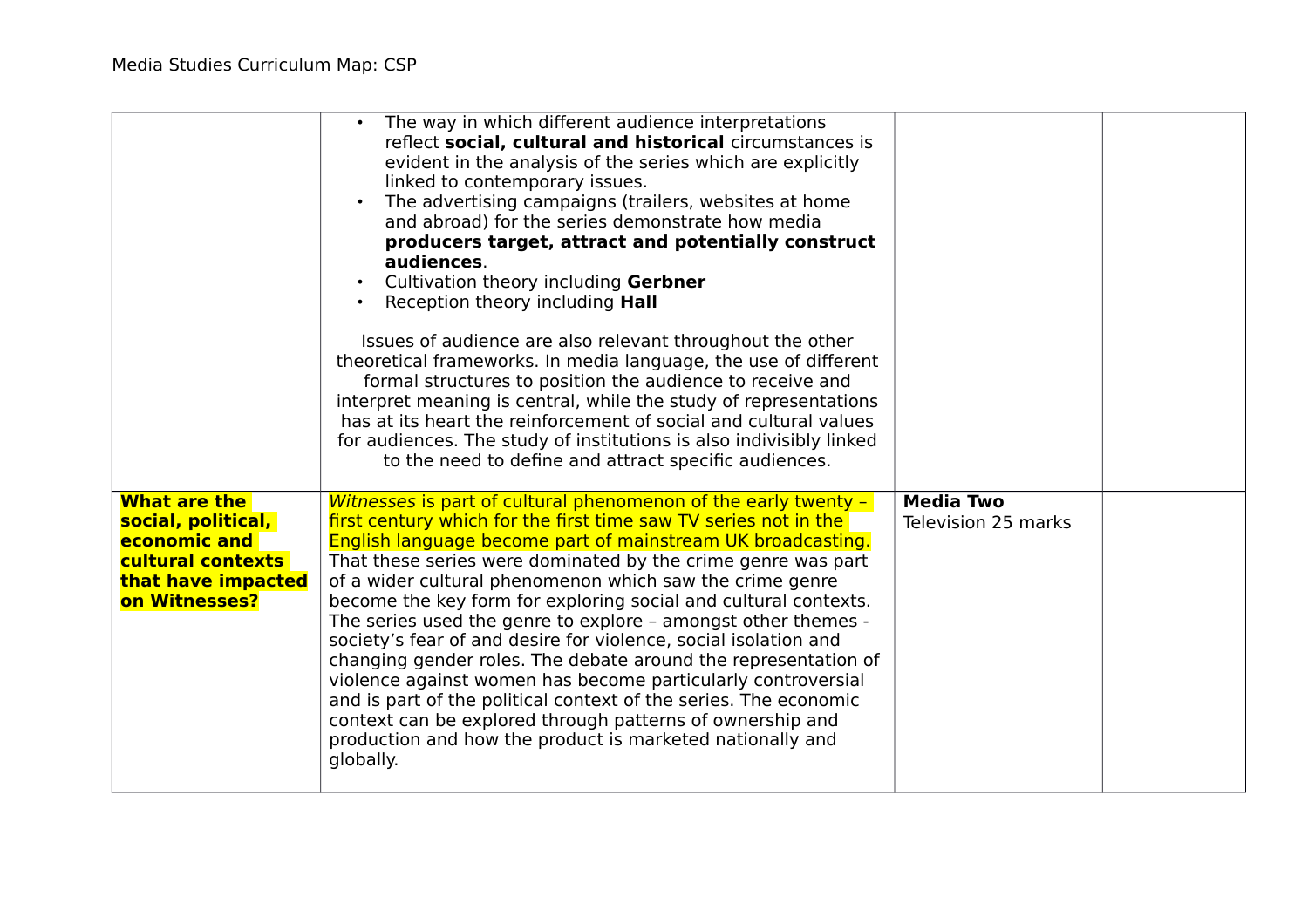|                                                                                                                       | The way in which different audience interpretations<br>reflect social, cultural and historical circumstances is<br>evident in the analysis of the series which are explicitly<br>linked to contemporary issues.<br>The advertising campaigns (trailers, websites at home<br>$\bullet$<br>and abroad) for the series demonstrate how media<br>producers target, attract and potentially construct<br>audiences.<br>Cultivation theory including Gerbner<br>Reception theory including <b>Hall</b><br>Issues of audience are also relevant throughout the other<br>theoretical frameworks. In media language, the use of different<br>formal structures to position the audience to receive and<br>interpret meaning is central, while the study of representations<br>has at its heart the reinforcement of social and cultural values<br>for audiences. The study of institutions is also indivisibly linked<br>to the need to define and attract specific audiences. |                                         |  |
|-----------------------------------------------------------------------------------------------------------------------|-----------------------------------------------------------------------------------------------------------------------------------------------------------------------------------------------------------------------------------------------------------------------------------------------------------------------------------------------------------------------------------------------------------------------------------------------------------------------------------------------------------------------------------------------------------------------------------------------------------------------------------------------------------------------------------------------------------------------------------------------------------------------------------------------------------------------------------------------------------------------------------------------------------------------------------------------------------------------|-----------------------------------------|--|
| <b>What are the</b><br>social, political,<br>economic and<br>cultural contexts<br>that have impacted<br>on Witnesses? | Witnesses is part of cultural phenomenon of the early twenty -<br>first century which for the first time saw TV series not in the<br>English language become part of mainstream UK broadcasting.<br>That these series were dominated by the crime genre was part<br>of a wider cultural phenomenon which saw the crime genre<br>become the key form for exploring social and cultural contexts.<br>The series used the genre to explore - amongst other themes -<br>society's fear of and desire for violence, social isolation and<br>changing gender roles. The debate around the representation of<br>violence against women has become particularly controversial<br>and is part of the political context of the series. The economic<br>context can be explored through patterns of ownership and<br>production and how the product is marketed nationally and<br>globally.                                                                                      | <b>Media Two</b><br>Television 25 marks |  |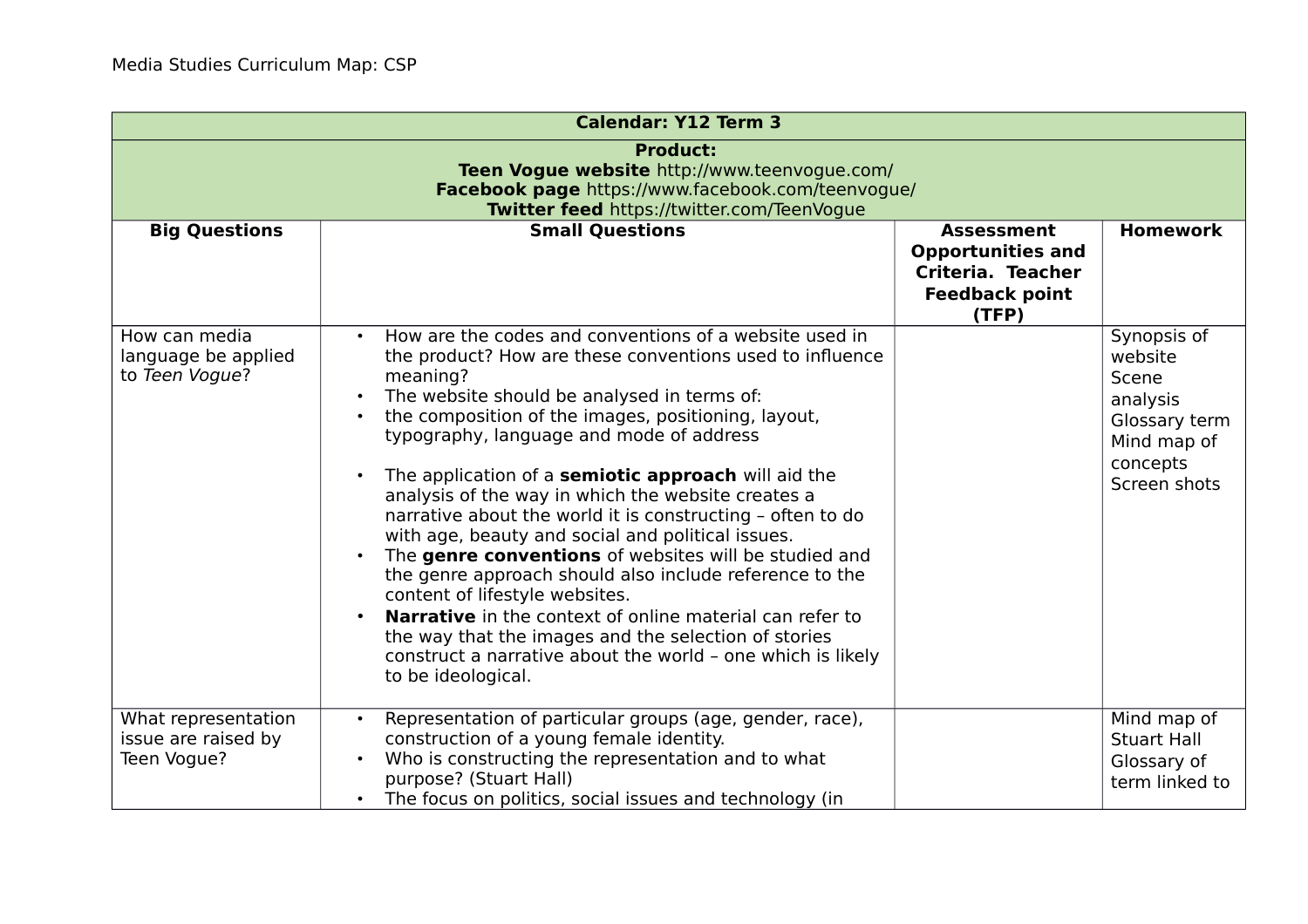| <b>Calendar: Y12 Term 3</b>                                                                                                                                        |                                                                                                                                                                                                                                                                                                                                                                                                                                                                                                                                                                                                                                                                                                                                                                                                                                                                                                                               |                                                                                                      |                                                                                                         |
|--------------------------------------------------------------------------------------------------------------------------------------------------------------------|-------------------------------------------------------------------------------------------------------------------------------------------------------------------------------------------------------------------------------------------------------------------------------------------------------------------------------------------------------------------------------------------------------------------------------------------------------------------------------------------------------------------------------------------------------------------------------------------------------------------------------------------------------------------------------------------------------------------------------------------------------------------------------------------------------------------------------------------------------------------------------------------------------------------------------|------------------------------------------------------------------------------------------------------|---------------------------------------------------------------------------------------------------------|
| <b>Product:</b><br>Teen Vogue website http://www.teenvogue.com/<br>Facebook page https://www.facebook.com/teenvogue/<br>Twitter feed https://twitter.com/TeenVogue |                                                                                                                                                                                                                                                                                                                                                                                                                                                                                                                                                                                                                                                                                                                                                                                                                                                                                                                               |                                                                                                      |                                                                                                         |
| <b>Big Questions</b>                                                                                                                                               | <b>Small Questions</b>                                                                                                                                                                                                                                                                                                                                                                                                                                                                                                                                                                                                                                                                                                                                                                                                                                                                                                        | <b>Assessment</b><br><b>Opportunities and</b><br>Criteria. Teacher<br><b>Feedback point</b><br>(TFP) | <b>Homework</b>                                                                                         |
| How can media<br>language be applied<br>to Teen Vogue?                                                                                                             | How are the codes and conventions of a website used in<br>$\bullet$<br>the product? How are these conventions used to influence<br>meaning?<br>The website should be analysed in terms of:<br>$\bullet$<br>the composition of the images, positioning, layout,<br>typography, language and mode of address<br>The application of a semiotic approach will aid the<br>analysis of the way in which the website creates a<br>narrative about the world it is constructing - often to do<br>with age, beauty and social and political issues.<br>The genre conventions of websites will be studied and<br>$\bullet$<br>the genre approach should also include reference to the<br>content of lifestyle websites.<br><b>Narrative</b> in the context of online material can refer to<br>the way that the images and the selection of stories<br>construct a narrative about the world - one which is likely<br>to be ideological. |                                                                                                      | Synopsis of<br>website<br>Scene<br>analysis<br>Glossary term<br>Mind map of<br>concepts<br>Screen shots |
| What representation<br>issue are raised by<br>Teen Vogue?                                                                                                          | Representation of particular groups (age, gender, race),<br>construction of a young female identity.<br>Who is constructing the representation and to what<br>purpose? (Stuart Hall)<br>The focus on politics, social issues and technology (in<br>$\bullet$                                                                                                                                                                                                                                                                                                                                                                                                                                                                                                                                                                                                                                                                  |                                                                                                      | Mind map of<br><b>Stuart Hall</b><br>Glossary of<br>term linked to                                      |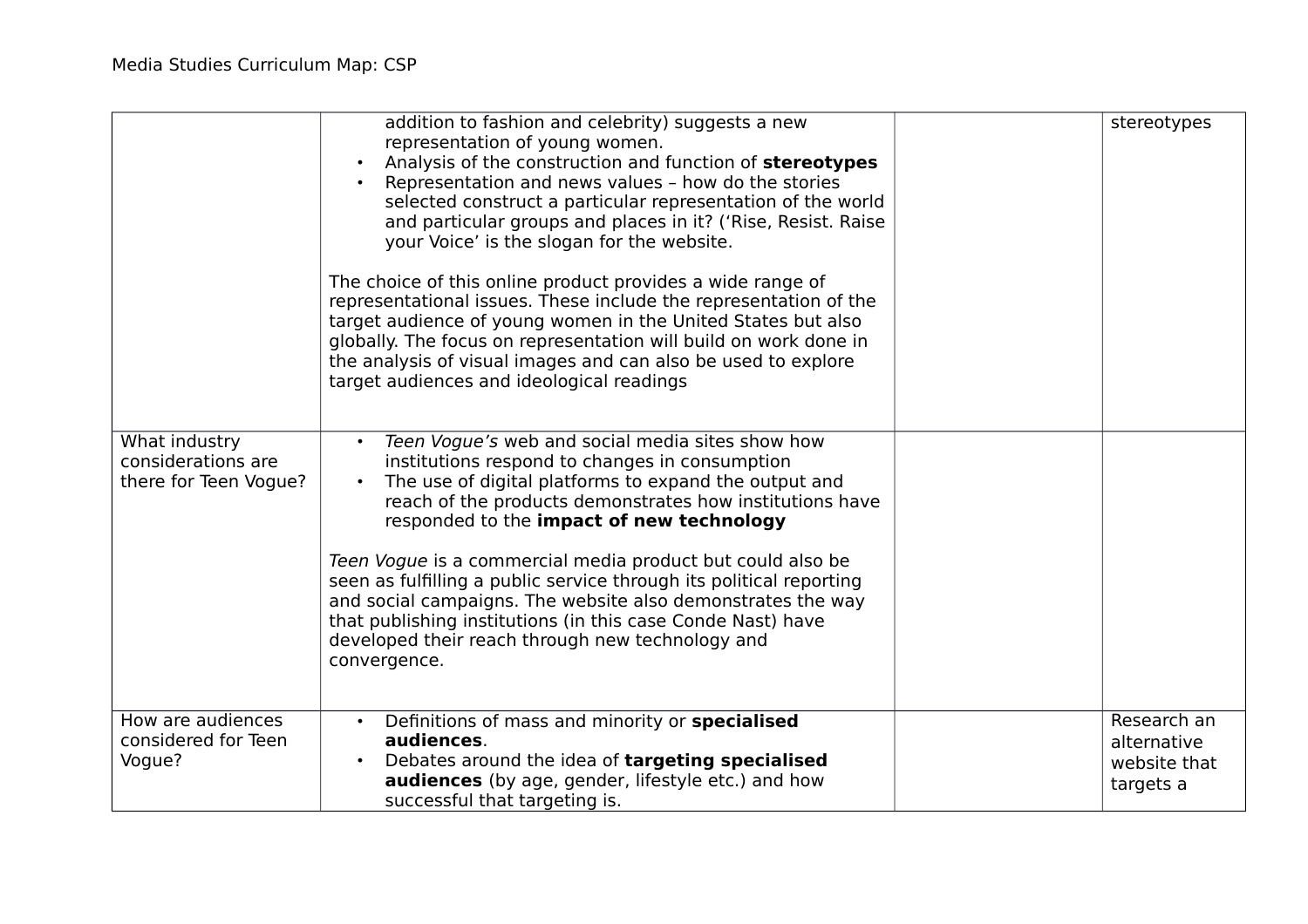|                                                              | addition to fashion and celebrity) suggests a new<br>representation of young women.<br>Analysis of the construction and function of stereotypes<br>Representation and news values - how do the stories<br>selected construct a particular representation of the world<br>and particular groups and places in it? ('Rise, Resist. Raise<br>your Voice' is the slogan for the website.<br>The choice of this online product provides a wide range of<br>representational issues. These include the representation of the<br>target audience of young women in the United States but also<br>globally. The focus on representation will build on work done in<br>the analysis of visual images and can also be used to explore<br>target audiences and ideological readings | stereotypes                                             |
|--------------------------------------------------------------|--------------------------------------------------------------------------------------------------------------------------------------------------------------------------------------------------------------------------------------------------------------------------------------------------------------------------------------------------------------------------------------------------------------------------------------------------------------------------------------------------------------------------------------------------------------------------------------------------------------------------------------------------------------------------------------------------------------------------------------------------------------------------|---------------------------------------------------------|
| What industry<br>considerations are<br>there for Teen Vogue? | Teen Vogue's web and social media sites show how<br>$\bullet$<br>institutions respond to changes in consumption<br>The use of digital platforms to expand the output and<br>reach of the products demonstrates how institutions have<br>responded to the impact of new technology<br>Teen Vogue is a commercial media product but could also be<br>seen as fulfilling a public service through its political reporting<br>and social campaigns. The website also demonstrates the way<br>that publishing institutions (in this case Conde Nast) have<br>developed their reach through new technology and<br>convergence.                                                                                                                                                 |                                                         |
| How are audiences<br>considered for Teen<br>Vogue?           | Definitions of mass and minority or specialised<br>$\bullet$<br>audiences.<br>Debates around the idea of targeting specialised<br><b>audiences</b> (by age, gender, lifestyle etc.) and how<br>successful that targeting is.                                                                                                                                                                                                                                                                                                                                                                                                                                                                                                                                             | Research an<br>alternative<br>website that<br>targets a |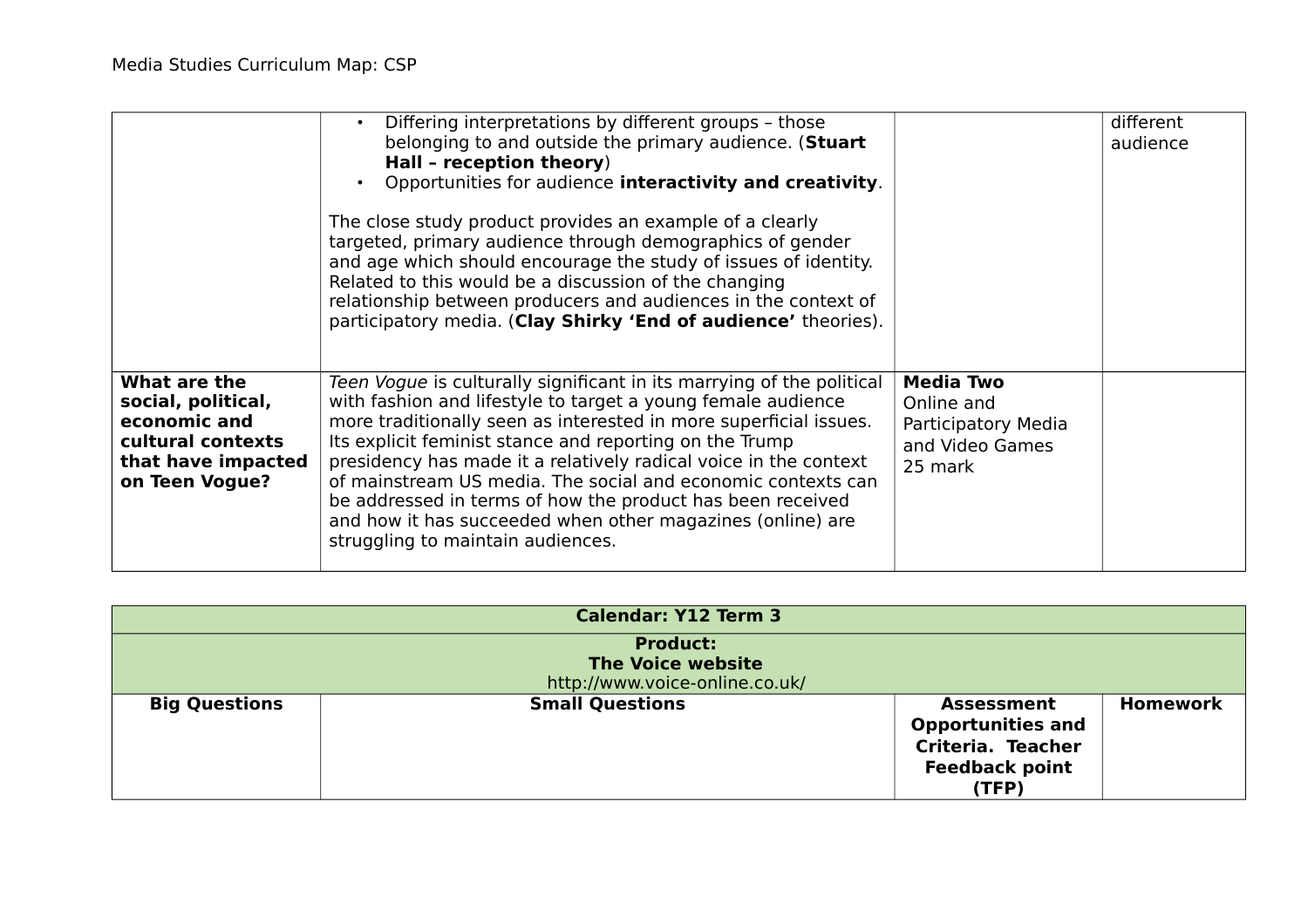|                                                                                                                 | Differing interpretations by different groups - those<br>$\bullet$<br>belonging to and outside the primary audience. (Stuart<br>Hall - reception theory)<br>Opportunities for audience interactivity and creativity.<br>The close study product provides an example of a clearly<br>targeted, primary audience through demographics of gender<br>and age which should encourage the study of issues of identity.<br>Related to this would be a discussion of the changing<br>relationship between producers and audiences in the context of<br>participatory media. (Clay Shirky 'End of audience' theories). |                                                                                     | different<br>audience |
|-----------------------------------------------------------------------------------------------------------------|---------------------------------------------------------------------------------------------------------------------------------------------------------------------------------------------------------------------------------------------------------------------------------------------------------------------------------------------------------------------------------------------------------------------------------------------------------------------------------------------------------------------------------------------------------------------------------------------------------------|-------------------------------------------------------------------------------------|-----------------------|
| What are the<br>social, political,<br>economic and<br>cultural contexts<br>that have impacted<br>on Teen Vogue? | Teen Vogue is culturally significant in its marrying of the political<br>with fashion and lifestyle to target a young female audience<br>more traditionally seen as interested in more superficial issues.<br>Its explicit feminist stance and reporting on the Trump<br>presidency has made it a relatively radical voice in the context<br>of mainstream US media. The social and economic contexts can<br>be addressed in terms of how the product has been received<br>and how it has succeeded when other magazines (online) are<br>struggling to maintain audiences.                                    | <b>Media Two</b><br>Online and<br>Participatory Media<br>and Video Games<br>25 mark |                       |

| <b>Calendar: Y12 Term 3</b> |                                                                               |                                                                                                      |          |
|-----------------------------|-------------------------------------------------------------------------------|------------------------------------------------------------------------------------------------------|----------|
|                             | <b>Product:</b><br><b>The Voice website</b><br>http://www.voice-online.co.uk/ |                                                                                                      |          |
| <b>Big Questions</b>        | <b>Small Questions</b>                                                        | <b>Assessment</b><br><b>Opportunities and</b><br>Criteria. Teacher<br><b>Feedback point</b><br>(TFP) | Homework |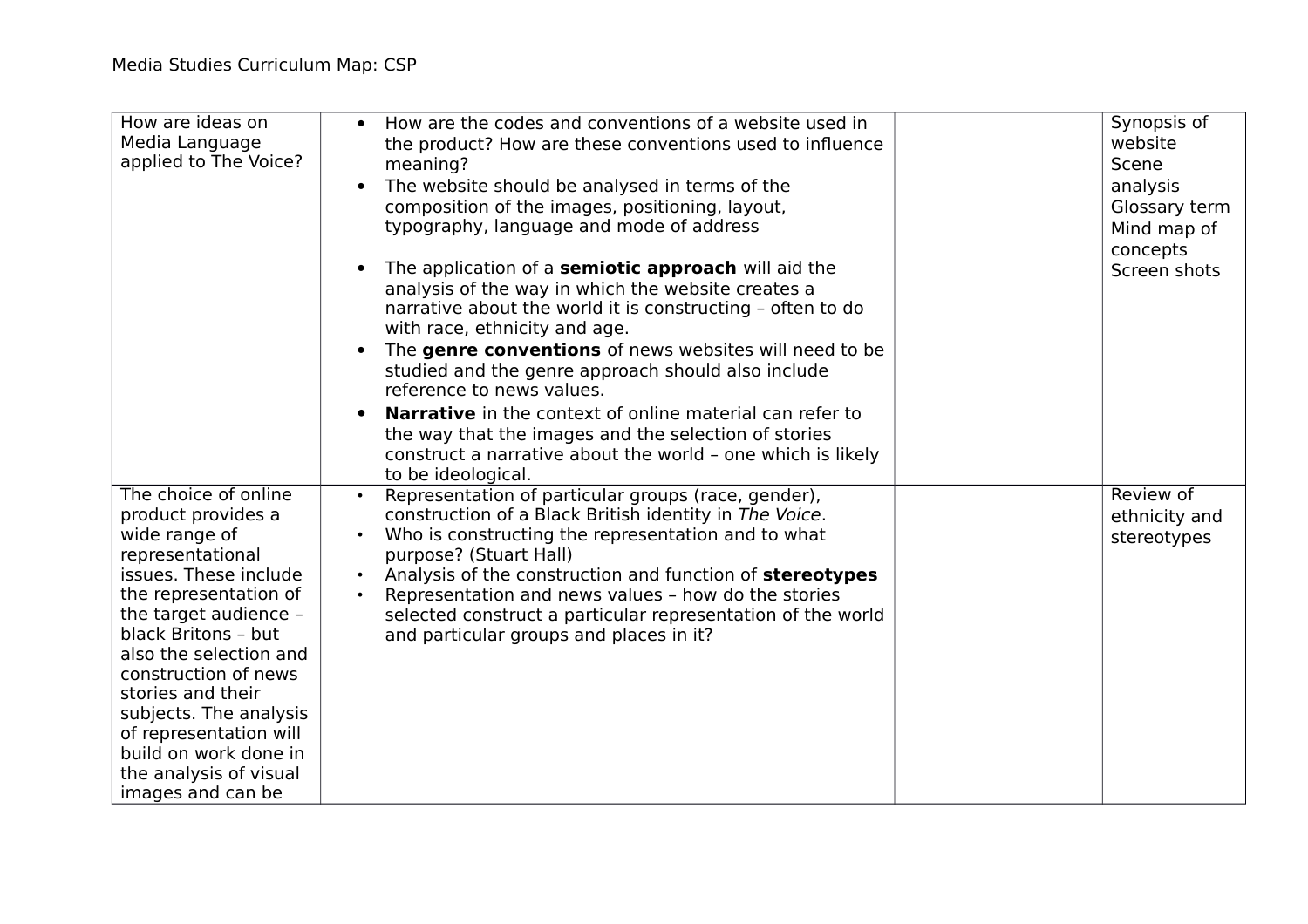| How are ideas on<br>Media Language<br>applied to The Voice?                                                                                                                                                                                                                                                                                                                          | How are the codes and conventions of a website used in<br>$\bullet$<br>the product? How are these conventions used to influence<br>meaning?<br>The website should be analysed in terms of the<br>$\bullet$<br>composition of the images, positioning, layout,<br>typography, language and mode of address<br>The application of a <b>semiotic approach</b> will aid the<br>$\bullet$<br>analysis of the way in which the website creates a<br>narrative about the world it is constructing - often to do<br>with race, ethnicity and age.<br>The genre conventions of news websites will need to be<br>$\bullet$<br>studied and the genre approach should also include<br>reference to news values.<br><b>Narrative</b> in the context of online material can refer to<br>$\bullet$<br>the way that the images and the selection of stories<br>construct a narrative about the world - one which is likely<br>to be ideological. | Synopsis of<br>website<br>Scene<br>analysis<br>Glossary term<br>Mind map of<br>concepts<br>Screen shots |
|--------------------------------------------------------------------------------------------------------------------------------------------------------------------------------------------------------------------------------------------------------------------------------------------------------------------------------------------------------------------------------------|----------------------------------------------------------------------------------------------------------------------------------------------------------------------------------------------------------------------------------------------------------------------------------------------------------------------------------------------------------------------------------------------------------------------------------------------------------------------------------------------------------------------------------------------------------------------------------------------------------------------------------------------------------------------------------------------------------------------------------------------------------------------------------------------------------------------------------------------------------------------------------------------------------------------------------|---------------------------------------------------------------------------------------------------------|
| The choice of online<br>product provides a<br>wide range of<br>representational<br>issues. These include<br>the representation of<br>the target audience -<br>black Britons - but<br>also the selection and<br>construction of news<br>stories and their<br>subjects. The analysis<br>of representation will<br>build on work done in<br>the analysis of visual<br>images and can be | Representation of particular groups (race, gender),<br>$\bullet$<br>construction of a Black British identity in The Voice.<br>Who is constructing the representation and to what<br>purpose? (Stuart Hall)<br>Analysis of the construction and function of stereotypes<br>Representation and news values - how do the stories<br>$\bullet$<br>selected construct a particular representation of the world<br>and particular groups and places in it?                                                                                                                                                                                                                                                                                                                                                                                                                                                                             | Review of<br>ethnicity and<br>stereotypes                                                               |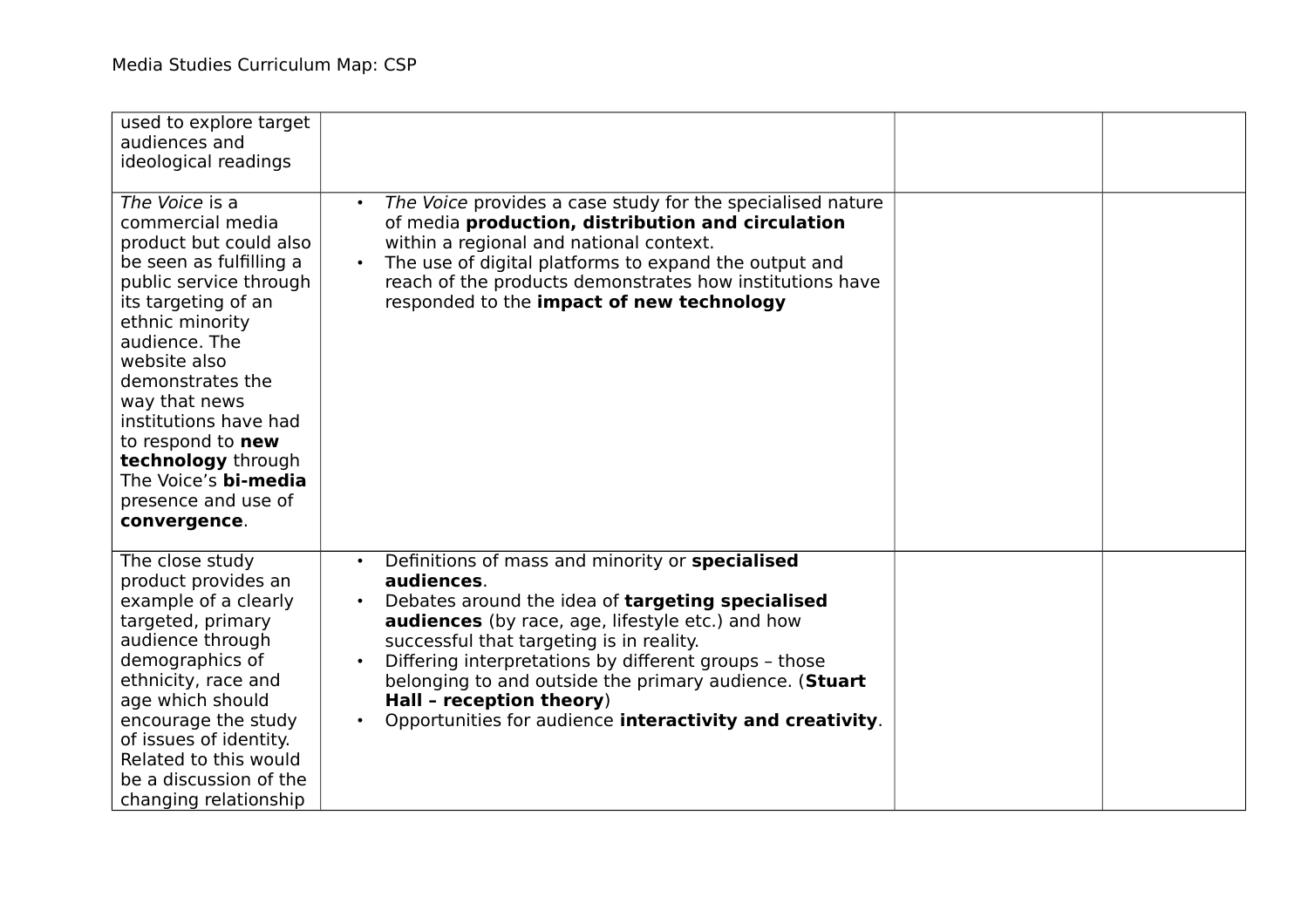| used to explore target<br>audiences and<br>ideological readings                                                                                                                                                                                                                                                                                                      |                                                                                                                                                                                                                                                                                                                                                                                                                                           |  |
|----------------------------------------------------------------------------------------------------------------------------------------------------------------------------------------------------------------------------------------------------------------------------------------------------------------------------------------------------------------------|-------------------------------------------------------------------------------------------------------------------------------------------------------------------------------------------------------------------------------------------------------------------------------------------------------------------------------------------------------------------------------------------------------------------------------------------|--|
| The Voice is a<br>commercial media<br>product but could also<br>be seen as fulfilling a<br>public service through<br>its targeting of an<br>ethnic minority<br>audience. The<br>website also<br>demonstrates the<br>way that news<br>institutions have had<br>to respond to new<br>technology through<br>The Voice's bi-media<br>presence and use of<br>convergence. | The Voice provides a case study for the specialised nature<br>$\bullet$<br>of media production, distribution and circulation<br>within a regional and national context.<br>The use of digital platforms to expand the output and<br>$\bullet$<br>reach of the products demonstrates how institutions have<br>responded to the impact of new technology                                                                                    |  |
| The close study<br>product provides an<br>example of a clearly<br>targeted, primary<br>audience through<br>demographics of<br>ethnicity, race and<br>age which should<br>encourage the study<br>of issues of identity.<br>Related to this would<br>be a discussion of the<br>changing relationship                                                                   | Definitions of mass and minority or specialised<br>$\bullet$<br>audiences.<br>Debates around the idea of targeting specialised<br>audiences (by race, age, lifestyle etc.) and how<br>successful that targeting is in reality.<br>Differing interpretations by different groups - those<br>belonging to and outside the primary audience. (Stuart<br>Hall - reception theory)<br>Opportunities for audience interactivity and creativity. |  |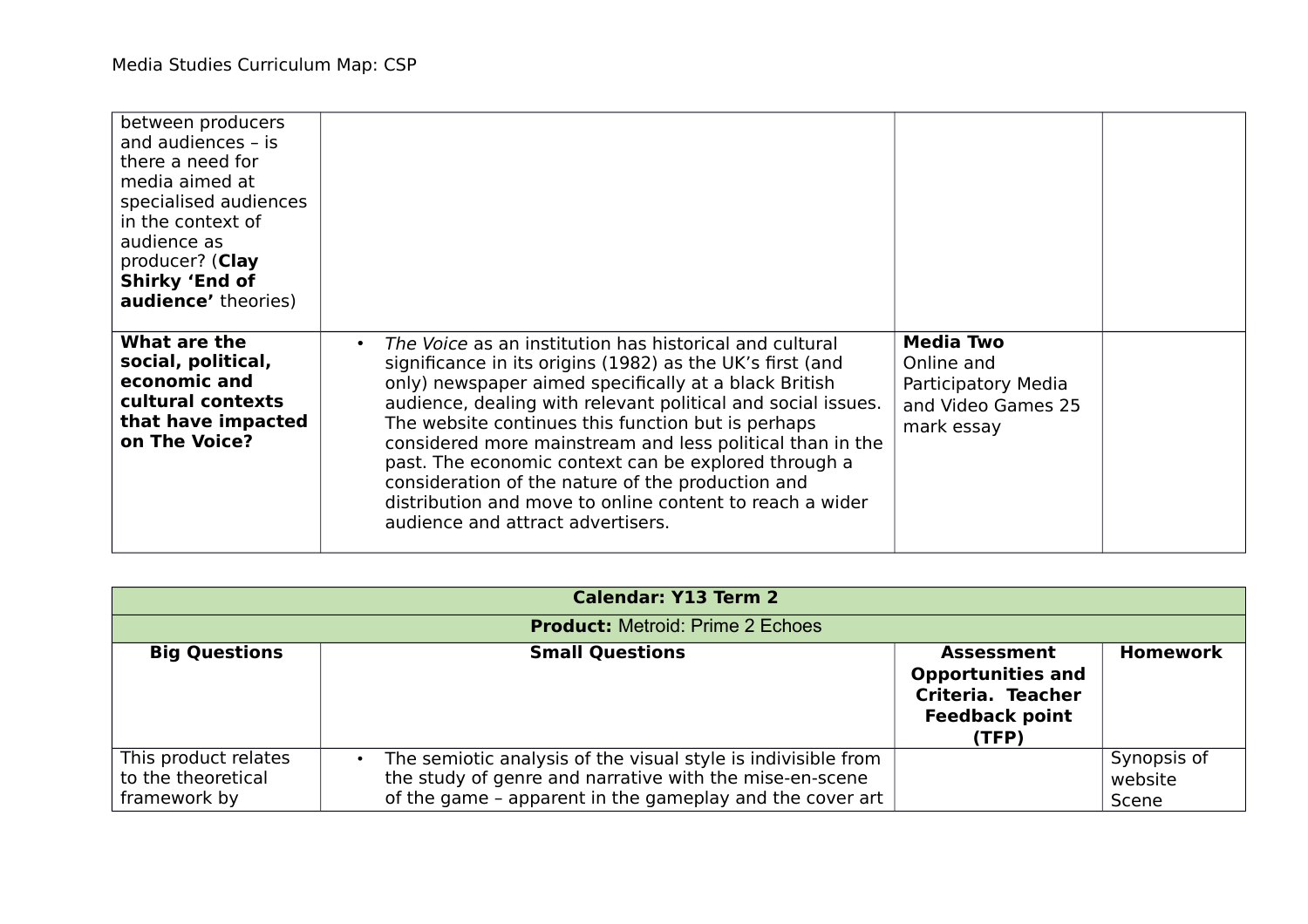| between producers<br>and audiences - is<br>there a need for<br>media aimed at<br>specialised audiences<br>in the context of<br>audience as<br>producer? (Clay<br><b>Shirky 'End of</b><br><b>audience'</b> theories) |                                                                                                                                                                                                                                                                                                                                                                                                                                                                                                                                                                                             |                                                                                           |  |
|----------------------------------------------------------------------------------------------------------------------------------------------------------------------------------------------------------------------|---------------------------------------------------------------------------------------------------------------------------------------------------------------------------------------------------------------------------------------------------------------------------------------------------------------------------------------------------------------------------------------------------------------------------------------------------------------------------------------------------------------------------------------------------------------------------------------------|-------------------------------------------------------------------------------------------|--|
| What are the<br>social, political,<br>economic and<br>cultural contexts<br>that have impacted<br>on The Voice?                                                                                                       | The Voice as an institution has historical and cultural<br>$\bullet$<br>significance in its origins (1982) as the UK's first (and<br>only) newspaper aimed specifically at a black British<br>audience, dealing with relevant political and social issues.<br>The website continues this function but is perhaps<br>considered more mainstream and less political than in the<br>past. The economic context can be explored through a<br>consideration of the nature of the production and<br>distribution and move to online content to reach a wider<br>audience and attract advertisers. | <b>Media Two</b><br>Online and<br>Participatory Media<br>and Video Games 25<br>mark essay |  |

|                                                            | <b>Calendar: Y13 Term 2</b>                                                                                                                                                                       |                                                                                                      |                                 |
|------------------------------------------------------------|---------------------------------------------------------------------------------------------------------------------------------------------------------------------------------------------------|------------------------------------------------------------------------------------------------------|---------------------------------|
| <b>Product: Metroid: Prime 2 Echoes</b>                    |                                                                                                                                                                                                   |                                                                                                      |                                 |
| <b>Big Questions</b>                                       | <b>Small Questions</b>                                                                                                                                                                            | <b>Assessment</b><br><b>Opportunities and</b><br>Criteria. Teacher<br><b>Feedback point</b><br>(TFP) | <b>Homework</b>                 |
| This product relates<br>to the theoretical<br>framework by | The semiotic analysis of the visual style is indivisible from<br>$\bullet$<br>the study of genre and narrative with the mise-en-scene<br>of the game - apparent in the gameplay and the cover art |                                                                                                      | Synopsis of<br>website<br>Scene |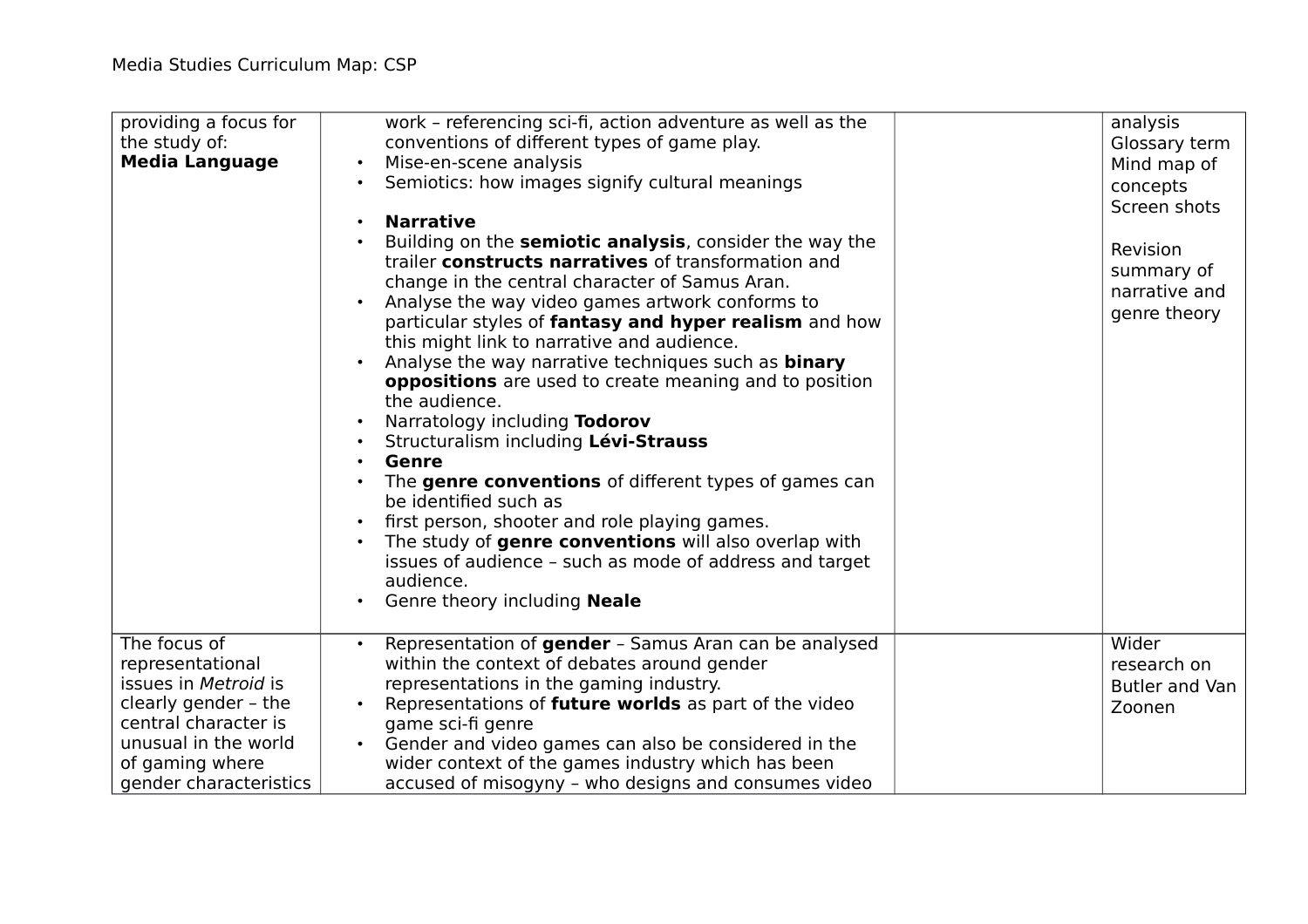| providing a focus for<br>the study of:<br><b>Media Language</b>                                                                                                               | work - referencing sci-fi, action adventure as well as the<br>conventions of different types of game play.<br>Mise-en-scene analysis<br>$\bullet$<br>Semiotics: how images signify cultural meanings<br><b>Narrative</b><br>Building on the semiotic analysis, consider the way the<br>trailer constructs narratives of transformation and<br>change in the central character of Samus Aran.<br>Analyse the way video games artwork conforms to<br>particular styles of fantasy and hyper realism and how<br>this might link to narrative and audience.<br>Analyse the way narrative techniques such as <b>binary</b><br>$\bullet$<br>oppositions are used to create meaning and to position<br>the audience.<br>Narratology including Todorov<br>Structuralism including Lévi-Strauss<br><b>Genre</b><br>The genre conventions of different types of games can<br>be identified such as<br>first person, shooter and role playing games.<br>The study of genre conventions will also overlap with<br>issues of audience - such as mode of address and target<br>audience.<br>Genre theory including Neale | analysis<br>Glossary term<br>Mind map of<br>concepts<br>Screen shots<br>Revision<br>summary of<br>narrative and<br>genre theory |
|-------------------------------------------------------------------------------------------------------------------------------------------------------------------------------|------------------------------------------------------------------------------------------------------------------------------------------------------------------------------------------------------------------------------------------------------------------------------------------------------------------------------------------------------------------------------------------------------------------------------------------------------------------------------------------------------------------------------------------------------------------------------------------------------------------------------------------------------------------------------------------------------------------------------------------------------------------------------------------------------------------------------------------------------------------------------------------------------------------------------------------------------------------------------------------------------------------------------------------------------------------------------------------------------------|---------------------------------------------------------------------------------------------------------------------------------|
| The focus of<br>representational<br>issues in Metroid is<br>clearly gender - the<br>central character is<br>unusual in the world<br>of gaming where<br>gender characteristics | Representation of gender - Samus Aran can be analysed<br>$\bullet$<br>within the context of debates around gender<br>representations in the gaming industry.<br>Representations of <b>future worlds</b> as part of the video<br>game sci-fi genre<br>Gender and video games can also be considered in the<br>wider context of the games industry which has been<br>accused of misogyny - who designs and consumes video                                                                                                                                                                                                                                                                                                                                                                                                                                                                                                                                                                                                                                                                                    | Wider<br>research on<br>Butler and Van<br>Zoonen                                                                                |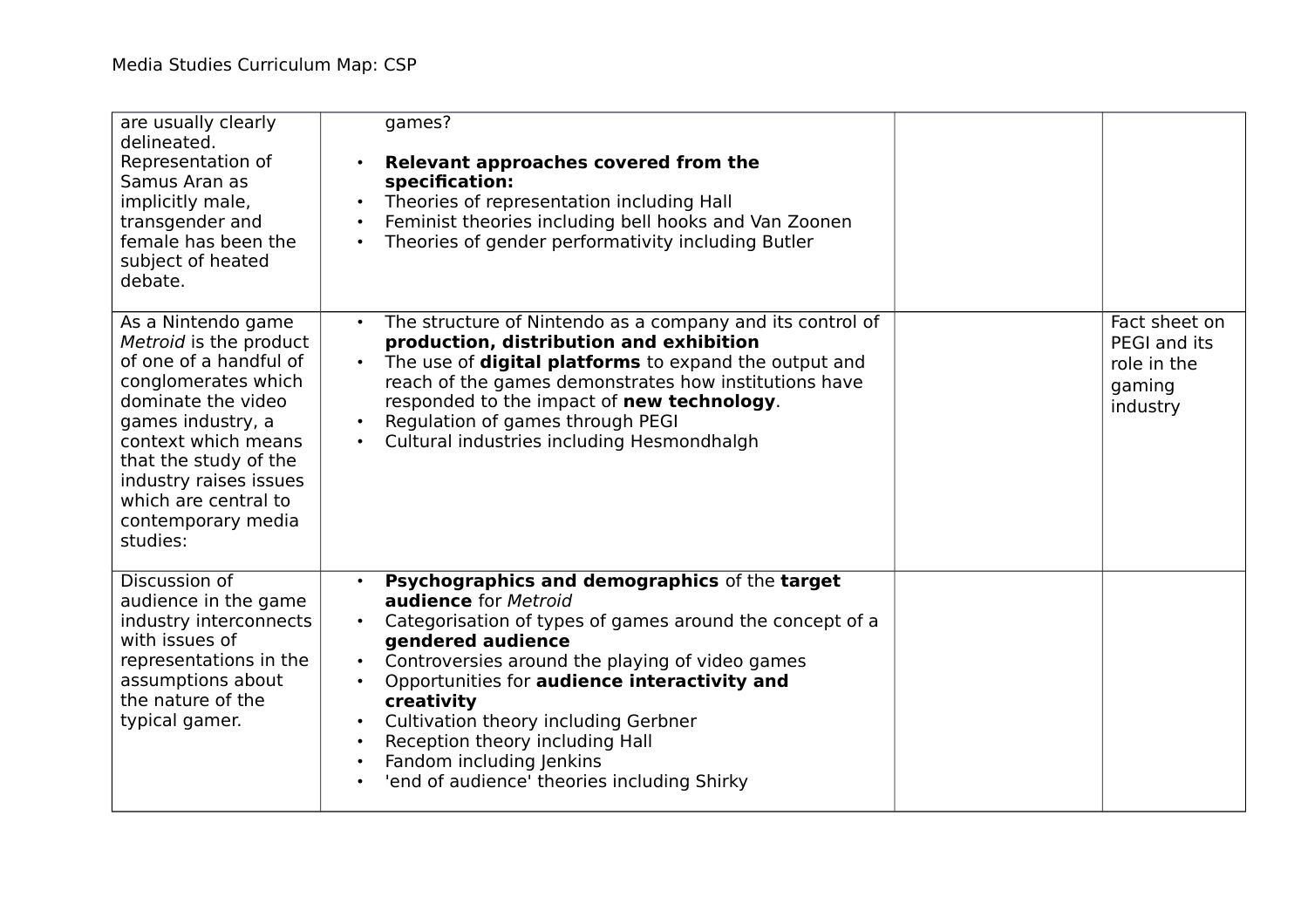| are usually clearly<br>delineated.<br>Representation of<br>Samus Aran as<br>implicitly male,<br>transgender and<br>female has been the<br>subject of heated<br>debate.                                                                                                       | games?<br>Relevant approaches covered from the<br>specification:<br>Theories of representation including Hall<br>Feminist theories including bell hooks and Van Zoonen<br>Theories of gender performativity including Butler                                                                                                                                                                                                               |                                                                    |
|------------------------------------------------------------------------------------------------------------------------------------------------------------------------------------------------------------------------------------------------------------------------------|--------------------------------------------------------------------------------------------------------------------------------------------------------------------------------------------------------------------------------------------------------------------------------------------------------------------------------------------------------------------------------------------------------------------------------------------|--------------------------------------------------------------------|
| As a Nintendo game<br>Metroid is the product<br>of one of a handful of<br>conglomerates which<br>dominate the video<br>games industry, a<br>context which means<br>that the study of the<br>industry raises issues<br>which are central to<br>contemporary media<br>studies: | The structure of Nintendo as a company and its control of<br>production, distribution and exhibition<br>The use of <b>digital platforms</b> to expand the output and<br>reach of the games demonstrates how institutions have<br>responded to the impact of new technology.<br>Regulation of games through PEGI<br>Cultural industries including Hesmondhalgh                                                                              | Fact sheet on<br>PEGI and its<br>role in the<br>gaming<br>industry |
| Discussion of<br>audience in the game<br>industry interconnects<br>with issues of<br>representations in the<br>assumptions about<br>the nature of the<br>typical gamer.                                                                                                      | Psychographics and demographics of the target<br>audience for Metroid<br>Categorisation of types of games around the concept of a<br>$\bullet$<br>gendered audience<br>Controversies around the playing of video games<br>Opportunities for audience interactivity and<br>creativity<br>Cultivation theory including Gerbner<br>Reception theory including Hall<br>Fandom including Jenkins<br>'end of audience' theories including Shirky |                                                                    |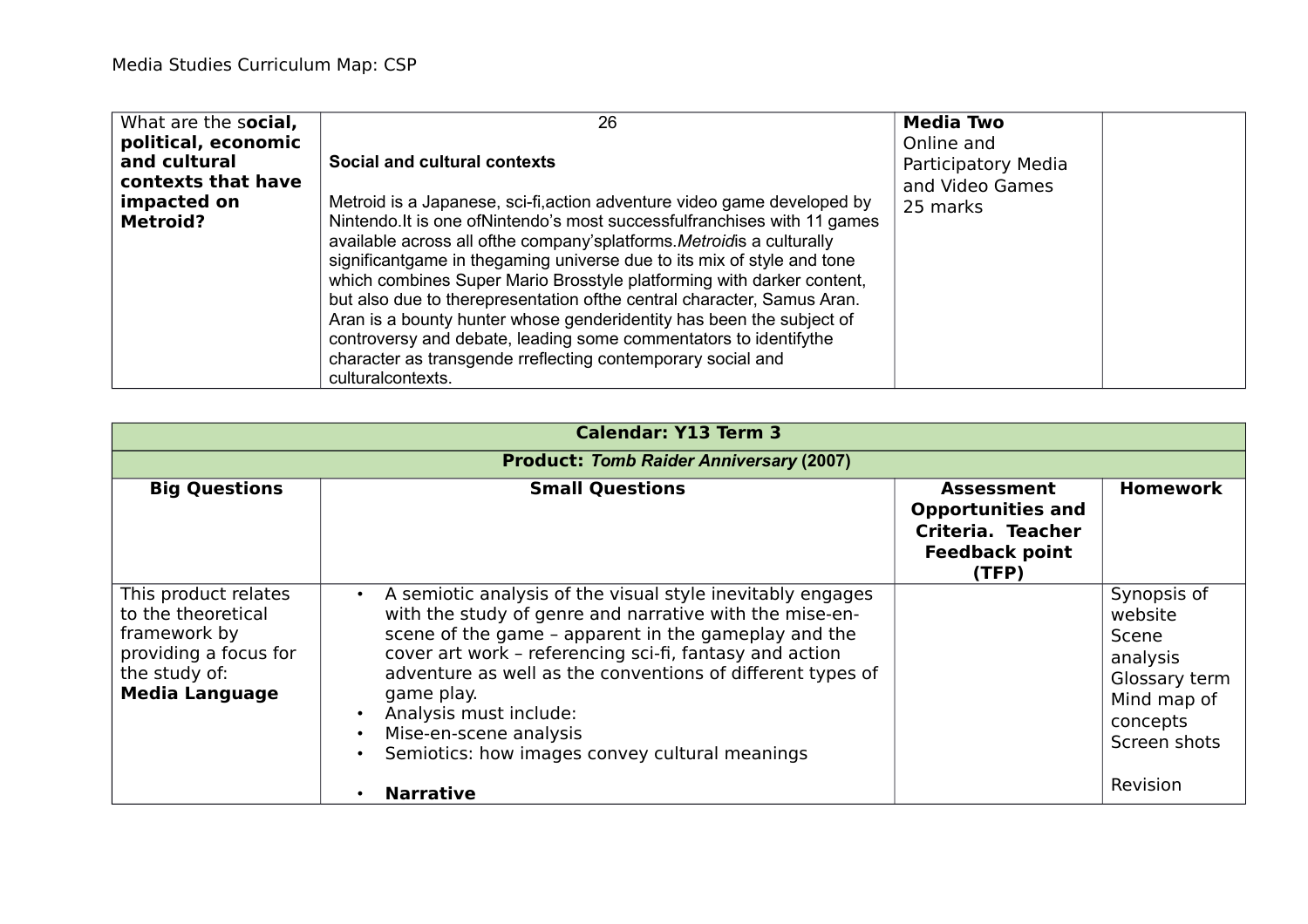| What are the social,                                                                        | 26                                                                                                                                                                                                                                                                                                                                                                                                                                                                                                                                                                                                                                                                                                                            | <b>Media Two</b>                                                 |
|---------------------------------------------------------------------------------------------|-------------------------------------------------------------------------------------------------------------------------------------------------------------------------------------------------------------------------------------------------------------------------------------------------------------------------------------------------------------------------------------------------------------------------------------------------------------------------------------------------------------------------------------------------------------------------------------------------------------------------------------------------------------------------------------------------------------------------------|------------------------------------------------------------------|
| political, economic<br>and cultural<br>contexts that have<br>impacted on<br><b>Metroid?</b> | Social and cultural contexts<br>Metroid is a Japanese, sci-fi, action adventure video game developed by<br>Nintendo. It is one of Nintendo's most successful franchises with 11 games<br>available across all ofthe company'splatforms. Metroidis a culturally<br>significantgame in thegaming universe due to its mix of style and tone<br>which combines Super Mario Brosstyle platforming with darker content,<br>but also due to therepresentation of the central character, Samus Aran.<br>Aran is a bounty hunter whose genderidentity has been the subject of<br>controversy and debate, leading some commentators to identify the<br>character as transgende rreflecting contemporary social and<br>culturalcontexts. | Online and<br>Participatory Media<br>and Video Games<br>25 marks |

| <b>Calendar: Y13 Term 3</b>                                                                                                   |                                                                                                                                                                                                                                                                                                                                                                                                                                         |                                                                                                      |                                                                                                         |  |
|-------------------------------------------------------------------------------------------------------------------------------|-----------------------------------------------------------------------------------------------------------------------------------------------------------------------------------------------------------------------------------------------------------------------------------------------------------------------------------------------------------------------------------------------------------------------------------------|------------------------------------------------------------------------------------------------------|---------------------------------------------------------------------------------------------------------|--|
|                                                                                                                               | <b>Product: Tomb Raider Anniversary (2007)</b>                                                                                                                                                                                                                                                                                                                                                                                          |                                                                                                      |                                                                                                         |  |
| <b>Big Questions</b>                                                                                                          | <b>Small Questions</b>                                                                                                                                                                                                                                                                                                                                                                                                                  | <b>Assessment</b><br><b>Opportunities and</b><br>Criteria. Teacher<br><b>Feedback point</b><br>(TFP) | <b>Homework</b>                                                                                         |  |
| This product relates<br>to the theoretical<br>framework by<br>providing a focus for<br>the study of:<br><b>Media Language</b> | A semiotic analysis of the visual style inevitably engages<br>$\bullet$<br>with the study of genre and narrative with the mise-en-<br>scene of the game - apparent in the gameplay and the<br>cover art work - referencing sci-fi, fantasy and action<br>adventure as well as the conventions of different types of<br>game play.<br>Analysis must include:<br>Mise-en-scene analysis<br>Semiotics: how images convey cultural meanings |                                                                                                      | Synopsis of<br>website<br>Scene<br>analysis<br>Glossary term<br>Mind map of<br>concepts<br>Screen shots |  |
|                                                                                                                               | <b>Narrative</b>                                                                                                                                                                                                                                                                                                                                                                                                                        |                                                                                                      | Revision                                                                                                |  |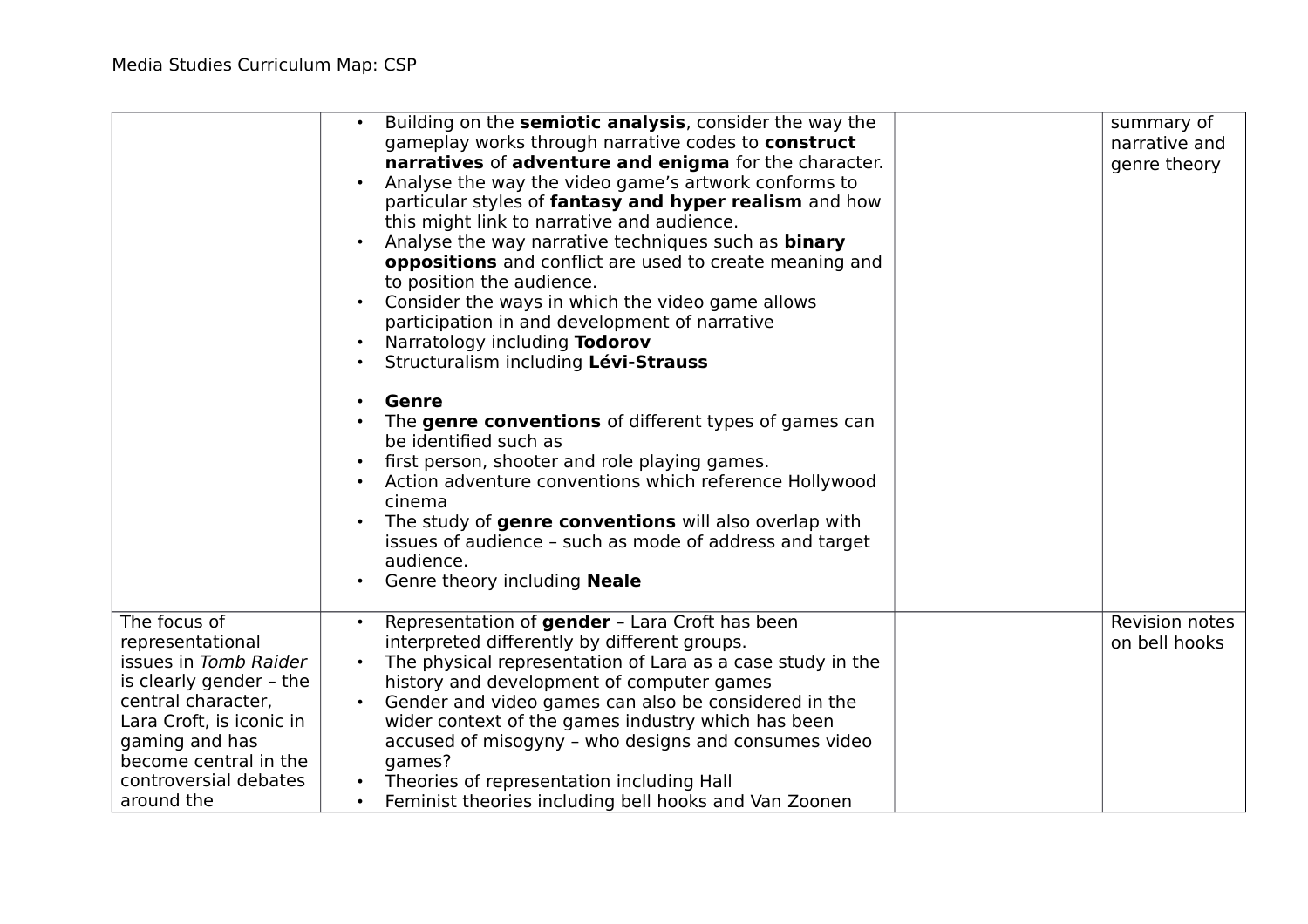|                                                                                                                                                                                                                          | Building on the semiotic analysis, consider the way the<br>gameplay works through narrative codes to construct<br>narratives of adventure and enigma for the character.<br>Analyse the way the video game's artwork conforms to<br>particular styles of fantasy and hyper realism and how<br>this might link to narrative and audience.<br>Analyse the way narrative techniques such as <b>binary</b><br>$\bullet$<br>oppositions and conflict are used to create meaning and<br>to position the audience.<br>Consider the ways in which the video game allows<br>participation in and development of narrative<br>Narratology including Todorov<br>Structuralism including Lévi-Strauss<br>Genre<br>The genre conventions of different types of games can<br>be identified such as<br>first person, shooter and role playing games.<br>Action adventure conventions which reference Hollywood<br>cinema<br>The study of genre conventions will also overlap with<br>issues of audience - such as mode of address and target<br>audience.<br>Genre theory including Neale<br>$\bullet$ | summary of<br>narrative and<br>genre theory |
|--------------------------------------------------------------------------------------------------------------------------------------------------------------------------------------------------------------------------|----------------------------------------------------------------------------------------------------------------------------------------------------------------------------------------------------------------------------------------------------------------------------------------------------------------------------------------------------------------------------------------------------------------------------------------------------------------------------------------------------------------------------------------------------------------------------------------------------------------------------------------------------------------------------------------------------------------------------------------------------------------------------------------------------------------------------------------------------------------------------------------------------------------------------------------------------------------------------------------------------------------------------------------------------------------------------------------|---------------------------------------------|
| The focus of<br>representational<br>issues in Tomb Raider<br>is clearly gender - the<br>central character,<br>Lara Croft, is iconic in<br>gaming and has<br>become central in the<br>controversial debates<br>around the | Representation of gender - Lara Croft has been<br>$\bullet$<br>interpreted differently by different groups.<br>The physical representation of Lara as a case study in the<br>history and development of computer games<br>Gender and video games can also be considered in the<br>wider context of the games industry which has been<br>accused of misogyny - who designs and consumes video<br>games?<br>Theories of representation including Hall<br>Feminist theories including bell hooks and Van Zoonen<br>$\bullet$                                                                                                                                                                                                                                                                                                                                                                                                                                                                                                                                                              | Revision notes<br>on bell hooks             |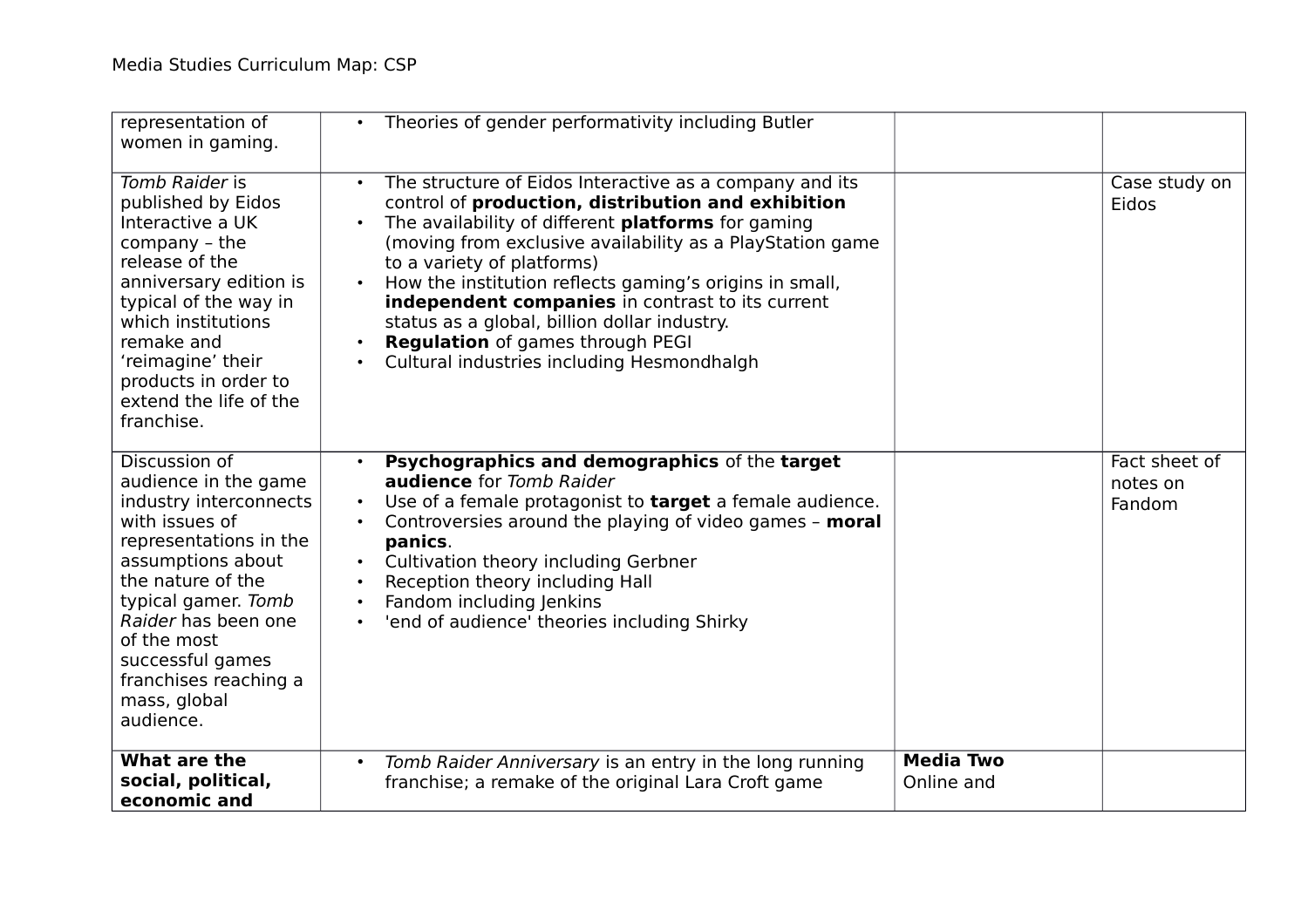| representation of<br>women in gaming.                                                                                                                                                                                                                                                        | Theories of gender performativity including Butler<br>$\bullet$                                                                                                                                                                                                                                                                                                                                                                                                                                                                                        |                                |                                     |
|----------------------------------------------------------------------------------------------------------------------------------------------------------------------------------------------------------------------------------------------------------------------------------------------|--------------------------------------------------------------------------------------------------------------------------------------------------------------------------------------------------------------------------------------------------------------------------------------------------------------------------------------------------------------------------------------------------------------------------------------------------------------------------------------------------------------------------------------------------------|--------------------------------|-------------------------------------|
| Tomb Raider is<br>published by Eidos<br>Interactive a UK<br>company - the<br>release of the<br>anniversary edition is<br>typical of the way in<br>which institutions<br>remake and<br>'reimagine' their<br>products in order to<br>extend the life of the<br>franchise.                      | The structure of Eidos Interactive as a company and its<br>$\bullet$<br>control of production, distribution and exhibition<br>The availability of different platforms for gaming<br>$\bullet$<br>(moving from exclusive availability as a PlayStation game<br>to a variety of platforms)<br>How the institution reflects gaming's origins in small,<br>$\bullet$<br>independent companies in contrast to its current<br>status as a global, billion dollar industry.<br>Regulation of games through PEGI<br>Cultural industries including Hesmondhalgh |                                | Case study on<br>Eidos              |
| Discussion of<br>audience in the game<br>industry interconnects<br>with issues of<br>representations in the<br>assumptions about<br>the nature of the<br>typical gamer. Tomb<br>Raider has been one<br>of the most<br>successful games<br>franchises reaching a<br>mass, global<br>audience. | Psychographics and demographics of the target<br>$\bullet$<br><b>audience</b> for Tomb Raider<br>Use of a female protagonist to target a female audience.<br>$\bullet$<br>Controversies around the playing of video games - moral<br>panics.<br>Cultivation theory including Gerbner<br>Reception theory including Hall<br>$\bullet$<br>Fandom including Jenkins<br>$\bullet$<br>'end of audience' theories including Shirky<br>$\bullet$                                                                                                              |                                | Fact sheet of<br>notes on<br>Fandom |
| What are the<br>social, political,<br>economic and                                                                                                                                                                                                                                           | Tomb Raider Anniversary is an entry in the long running<br>$\bullet$<br>franchise; a remake of the original Lara Croft game                                                                                                                                                                                                                                                                                                                                                                                                                            | <b>Media Two</b><br>Online and |                                     |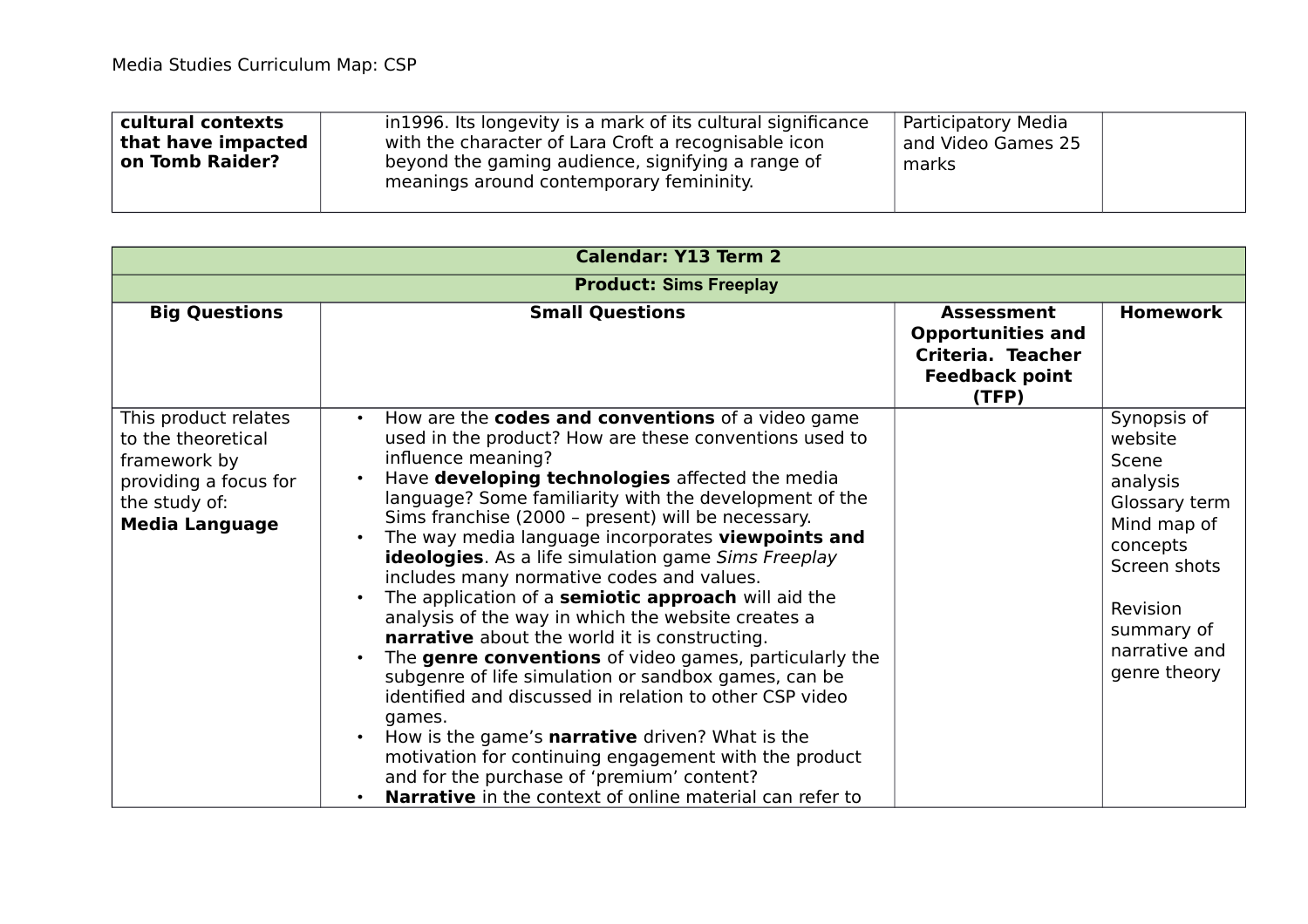| in 1996. Its longevity is a mark of its cultural significance<br>cultural contexts<br>Participatory Media<br>with the character of Lara Croft a recognisable icon<br>that have impacted<br>and Video Games 25<br>beyond the gaming audience, signifying a range of<br>on Tomb Raider?<br>marks<br>meanings around contemporary femininity. |  |
|--------------------------------------------------------------------------------------------------------------------------------------------------------------------------------------------------------------------------------------------------------------------------------------------------------------------------------------------|--|
|--------------------------------------------------------------------------------------------------------------------------------------------------------------------------------------------------------------------------------------------------------------------------------------------------------------------------------------------|--|

| <b>Calendar: Y13 Term 2</b>                                                                                                   |                                                                                                                                                                                                                                                                                                                                                                                                                                                                                                                                                                                                                                                                                                                                                                                                                                                                                                                                                                                                                                                                                                                                |                                                                                                      |                                                                                                                                                                    |
|-------------------------------------------------------------------------------------------------------------------------------|--------------------------------------------------------------------------------------------------------------------------------------------------------------------------------------------------------------------------------------------------------------------------------------------------------------------------------------------------------------------------------------------------------------------------------------------------------------------------------------------------------------------------------------------------------------------------------------------------------------------------------------------------------------------------------------------------------------------------------------------------------------------------------------------------------------------------------------------------------------------------------------------------------------------------------------------------------------------------------------------------------------------------------------------------------------------------------------------------------------------------------|------------------------------------------------------------------------------------------------------|--------------------------------------------------------------------------------------------------------------------------------------------------------------------|
|                                                                                                                               | <b>Product: Sims Freeplay</b>                                                                                                                                                                                                                                                                                                                                                                                                                                                                                                                                                                                                                                                                                                                                                                                                                                                                                                                                                                                                                                                                                                  |                                                                                                      |                                                                                                                                                                    |
| <b>Big Questions</b>                                                                                                          | <b>Small Questions</b>                                                                                                                                                                                                                                                                                                                                                                                                                                                                                                                                                                                                                                                                                                                                                                                                                                                                                                                                                                                                                                                                                                         | <b>Assessment</b><br><b>Opportunities and</b><br>Criteria. Teacher<br><b>Feedback point</b><br>(TFP) | <b>Homework</b>                                                                                                                                                    |
| This product relates<br>to the theoretical<br>framework by<br>providing a focus for<br>the study of:<br><b>Media Language</b> | How are the codes and conventions of a video game<br>$\bullet$<br>used in the product? How are these conventions used to<br>influence meaning?<br>Have developing technologies affected the media<br>$\bullet$<br>language? Some familiarity with the development of the<br>Sims franchise (2000 - present) will be necessary.<br>The way media language incorporates viewpoints and<br>$\bullet$<br>ideologies. As a life simulation game Sims Freeplay<br>includes many normative codes and values.<br>The application of a semiotic approach will aid the<br>$\bullet$<br>analysis of the way in which the website creates a<br>narrative about the world it is constructing.<br>The genre conventions of video games, particularly the<br>subgenre of life simulation or sandbox games, can be<br>identified and discussed in relation to other CSP video<br>games.<br>How is the game's narrative driven? What is the<br>$\bullet$<br>motivation for continuing engagement with the product<br>and for the purchase of 'premium' content?<br><b>Narrative</b> in the context of online material can refer to<br>$\bullet$ |                                                                                                      | Synopsis of<br>website<br>Scene<br>analysis<br>Glossary term<br>Mind map of<br>concepts<br>Screen shots<br>Revision<br>summary of<br>narrative and<br>genre theory |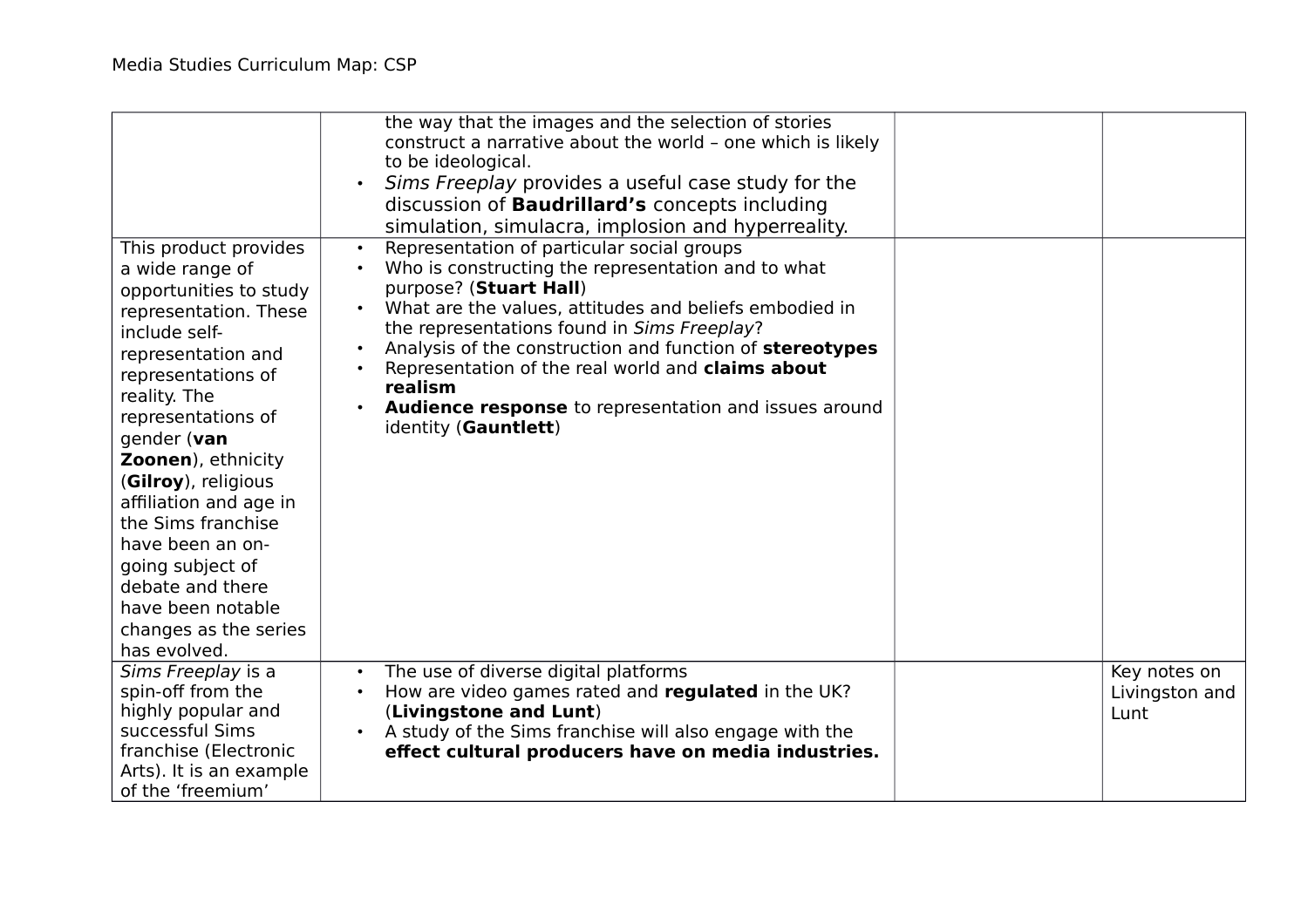| This product provides<br>a wide range of<br>opportunities to study<br>representation. These<br>include self-<br>representation and<br>representations of<br>reality. The<br>representations of<br>gender (van<br>Zoonen), ethnicity<br>(Gilroy), religious<br>affiliation and age in<br>the Sims franchise<br>have been an on-<br>going subject of<br>debate and there<br>have been notable<br>changes as the series<br>has evolved. | the way that the images and the selection of stories<br>construct a narrative about the world - one which is likely<br>to be ideological.<br>Sims Freeplay provides a useful case study for the<br>$\bullet$<br>discussion of <b>Baudrillard's</b> concepts including<br>simulation, simulacra, implosion and hyperreality.<br>Representation of particular social groups<br>$\bullet$<br>Who is constructing the representation and to what<br>$\bullet$<br>purpose? (Stuart Hall)<br>What are the values, attitudes and beliefs embodied in<br>the representations found in Sims Freeplay?<br>Analysis of the construction and function of stereotypes<br>Representation of the real world and claims about<br>realism<br>Audience response to representation and issues around<br>$\bullet$<br>identity (Gauntlett) |                                        |
|--------------------------------------------------------------------------------------------------------------------------------------------------------------------------------------------------------------------------------------------------------------------------------------------------------------------------------------------------------------------------------------------------------------------------------------|------------------------------------------------------------------------------------------------------------------------------------------------------------------------------------------------------------------------------------------------------------------------------------------------------------------------------------------------------------------------------------------------------------------------------------------------------------------------------------------------------------------------------------------------------------------------------------------------------------------------------------------------------------------------------------------------------------------------------------------------------------------------------------------------------------------------|----------------------------------------|
| Sims Freeplay is a<br>spin-off from the<br>highly popular and<br>successful Sims<br>franchise (Electronic<br>Arts). It is an example<br>of the 'freemium'                                                                                                                                                                                                                                                                            | The use of diverse digital platforms<br>$\bullet$<br>How are video games rated and regulated in the UK?<br>(Livingstone and Lunt)<br>A study of the Sims franchise will also engage with the<br>effect cultural producers have on media industries.                                                                                                                                                                                                                                                                                                                                                                                                                                                                                                                                                                    | Key notes on<br>Livingston and<br>Lunt |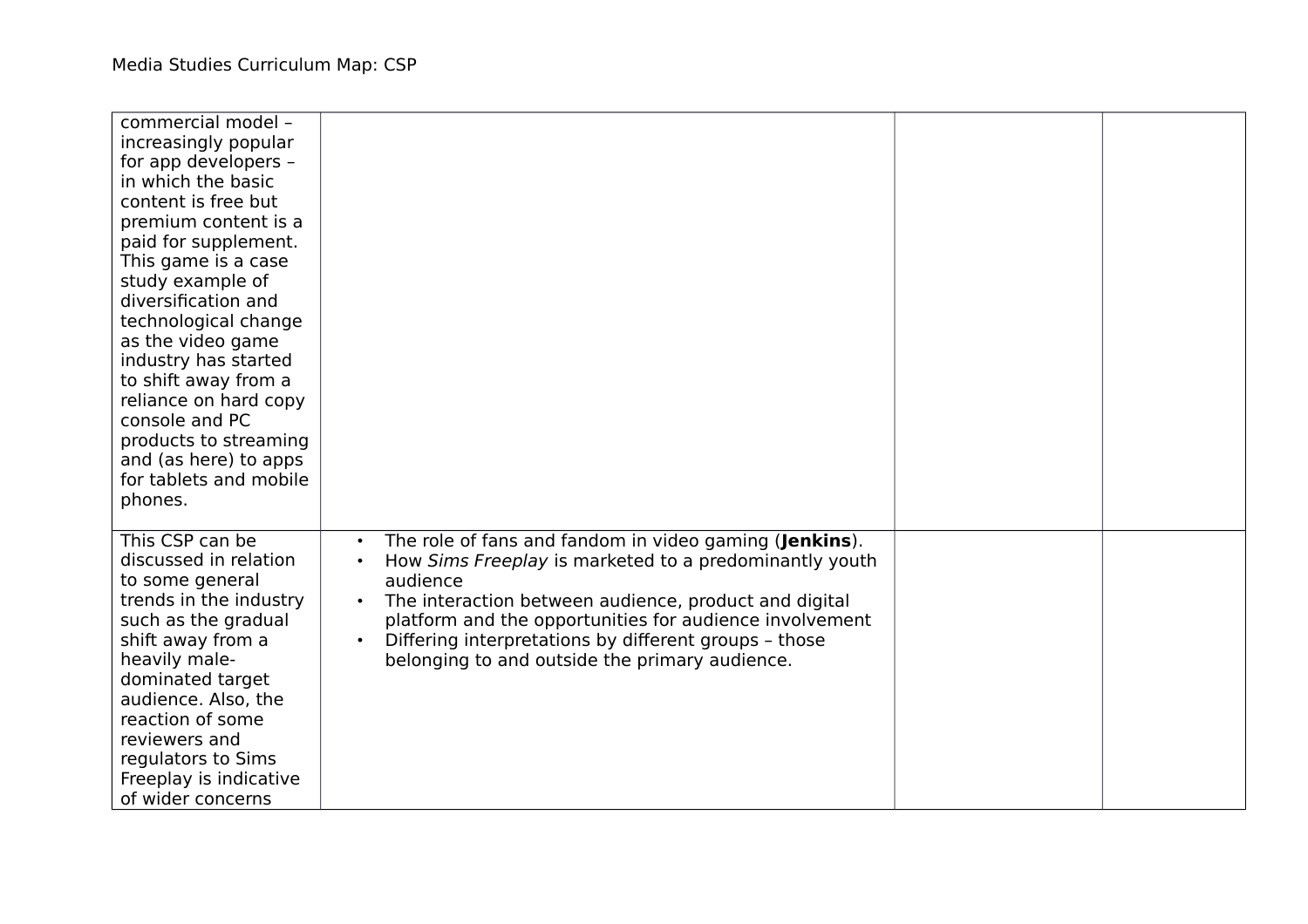| commercial model -<br>increasingly popular<br>for app developers -<br>in which the basic<br>content is free but<br>premium content is a<br>paid for supplement.<br>This game is a case<br>study example of<br>diversification and<br>technological change<br>as the video game<br>industry has started<br>to shift away from a<br>reliance on hard copy<br>console and PC<br>products to streaming<br>and (as here) to apps<br>for tablets and mobile<br>phones. |                                                                                                                                                                                                                                                                                                                                                                                       |  |
|------------------------------------------------------------------------------------------------------------------------------------------------------------------------------------------------------------------------------------------------------------------------------------------------------------------------------------------------------------------------------------------------------------------------------------------------------------------|---------------------------------------------------------------------------------------------------------------------------------------------------------------------------------------------------------------------------------------------------------------------------------------------------------------------------------------------------------------------------------------|--|
| This CSP can be<br>discussed in relation<br>to some general<br>trends in the industry<br>such as the gradual<br>shift away from a<br>heavily male-<br>dominated target<br>audience. Also, the<br>reaction of some<br>reviewers and<br>regulators to Sims<br>Freeplay is indicative<br>of wider concerns                                                                                                                                                          | The role of fans and fandom in video gaming (Jenkins).<br>$\bullet$<br>How Sims Freeplay is marketed to a predominantly youth<br>audience<br>The interaction between audience, product and digital<br>platform and the opportunities for audience involvement<br>Differing interpretations by different groups - those<br>$\bullet$<br>belonging to and outside the primary audience. |  |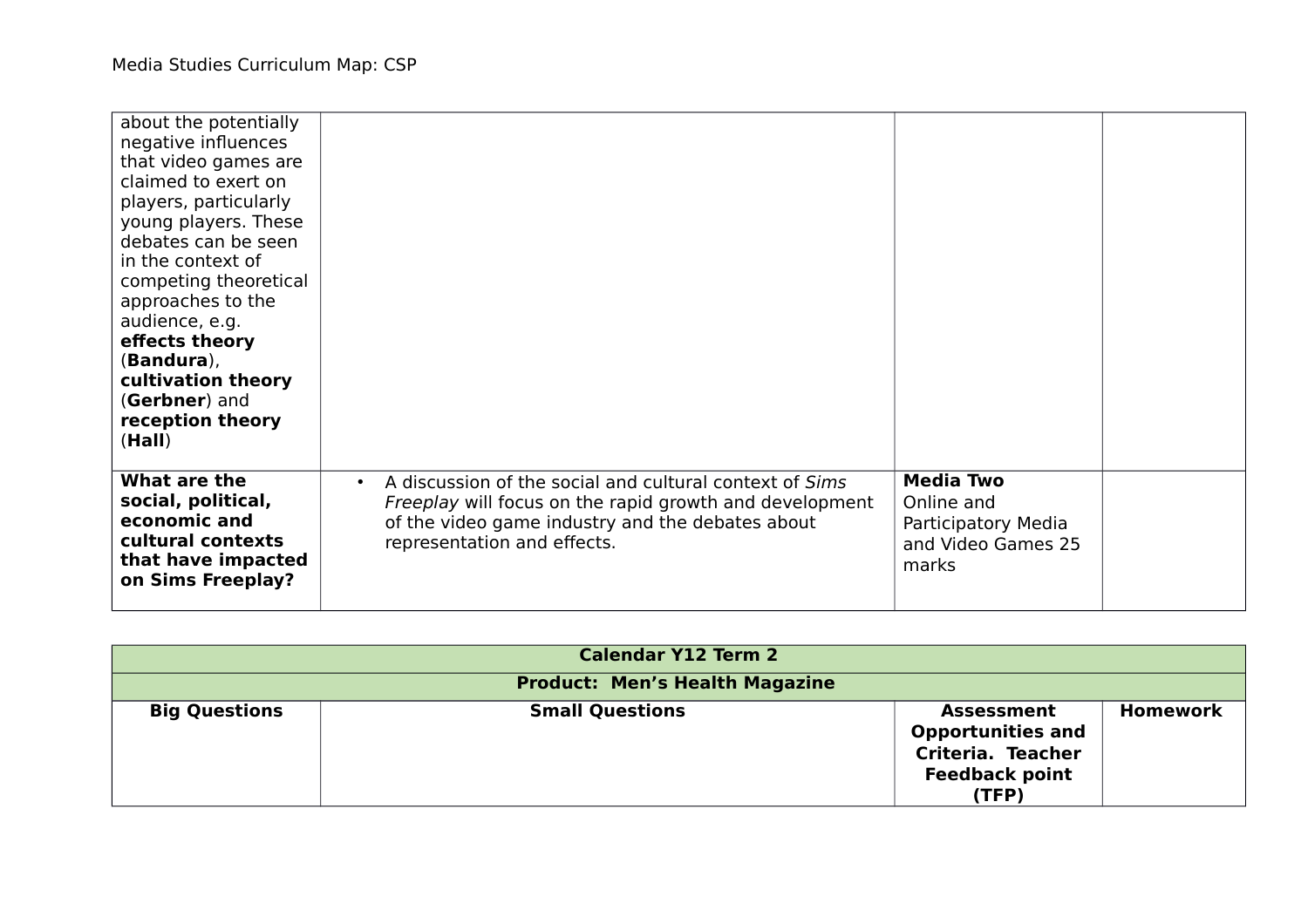| about the potentially<br>negative influences<br>that video games are<br>claimed to exert on<br>players, particularly<br>young players. These<br>debates can be seen<br>in the context of<br>competing theoretical<br>approaches to the<br>audience, e.g.<br>effects theory<br>(Bandura),<br>cultivation theory<br>(Gerbner) and<br>reception theory<br>(Hall) |                                                                                                                                                                                                                    |                                                                                      |  |
|---------------------------------------------------------------------------------------------------------------------------------------------------------------------------------------------------------------------------------------------------------------------------------------------------------------------------------------------------------------|--------------------------------------------------------------------------------------------------------------------------------------------------------------------------------------------------------------------|--------------------------------------------------------------------------------------|--|
| What are the<br>social, political,<br>economic and<br>cultural contexts<br>that have impacted<br>on Sims Freeplay?                                                                                                                                                                                                                                            | A discussion of the social and cultural context of Sims<br>$\bullet$<br>Freeplay will focus on the rapid growth and development<br>of the video game industry and the debates about<br>representation and effects. | <b>Media Two</b><br>Online and<br>Participatory Media<br>and Video Games 25<br>marks |  |

|                      | <b>Calendar Y12 Term 2</b>            |                                                                                                             |                 |
|----------------------|---------------------------------------|-------------------------------------------------------------------------------------------------------------|-----------------|
|                      | <b>Product: Men's Health Magazine</b> |                                                                                                             |                 |
| <b>Big Questions</b> | <b>Small Questions</b>                | <b>Assessment</b><br><b>Opportunities and</b><br><b>Criteria. Teacher</b><br><b>Feedback point</b><br>(TFP) | <b>Homework</b> |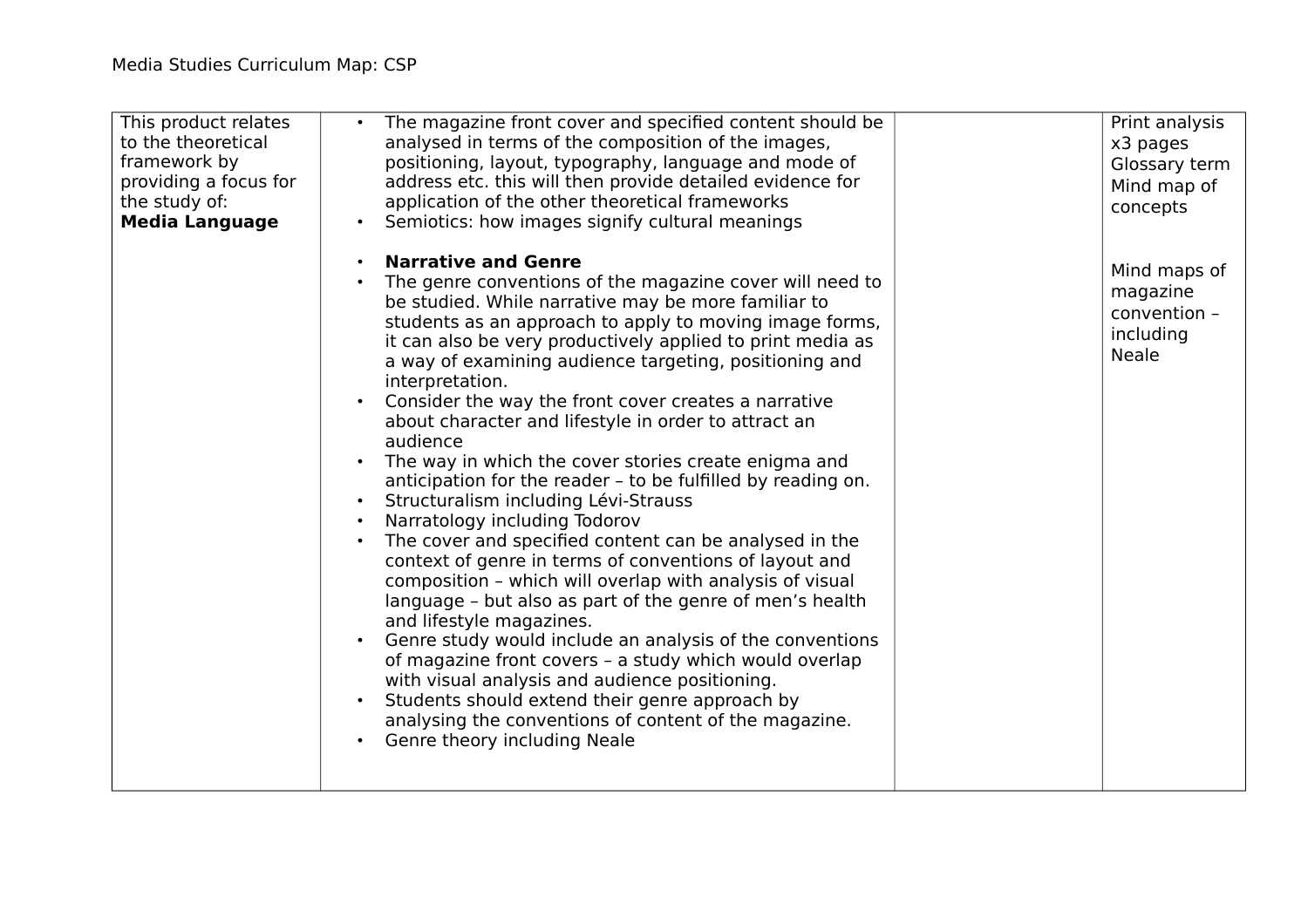| This product relates<br>to the theoretical<br>framework by<br>providing a focus for<br>the study of:<br><b>Media Language</b> | The magazine front cover and specified content should be<br>analysed in terms of the composition of the images,<br>positioning, layout, typography, language and mode of<br>address etc. this will then provide detailed evidence for<br>application of the other theoretical frameworks<br>Semiotics: how images signify cultural meanings                                                                                                                                                                                                                                                                                                                                                                                                                                                                                                                                                                                                                                                                                                                                                                                                                                                                                                                                   | Print analysis<br>x3 pages<br>Glossary term<br>Mind map of<br>concepts |
|-------------------------------------------------------------------------------------------------------------------------------|-------------------------------------------------------------------------------------------------------------------------------------------------------------------------------------------------------------------------------------------------------------------------------------------------------------------------------------------------------------------------------------------------------------------------------------------------------------------------------------------------------------------------------------------------------------------------------------------------------------------------------------------------------------------------------------------------------------------------------------------------------------------------------------------------------------------------------------------------------------------------------------------------------------------------------------------------------------------------------------------------------------------------------------------------------------------------------------------------------------------------------------------------------------------------------------------------------------------------------------------------------------------------------|------------------------------------------------------------------------|
|                                                                                                                               | <b>Narrative and Genre</b><br>The genre conventions of the magazine cover will need to<br>be studied. While narrative may be more familiar to<br>students as an approach to apply to moving image forms,<br>it can also be very productively applied to print media as<br>a way of examining audience targeting, positioning and<br>interpretation.<br>Consider the way the front cover creates a narrative<br>about character and lifestyle in order to attract an<br>audience<br>The way in which the cover stories create enigma and<br>anticipation for the reader - to be fulfilled by reading on.<br>• Structuralism including Lévi-Strauss<br>Narratology including Todorov<br>The cover and specified content can be analysed in the<br>context of genre in terms of conventions of layout and<br>composition - which will overlap with analysis of visual<br>language - but also as part of the genre of men's health<br>and lifestyle magazines.<br>Genre study would include an analysis of the conventions<br>of magazine front covers - a study which would overlap<br>with visual analysis and audience positioning.<br>Students should extend their genre approach by<br>analysing the conventions of content of the magazine.<br>Genre theory including Neale | Mind maps of<br>magazine<br>convention -<br>including<br><b>Neale</b>  |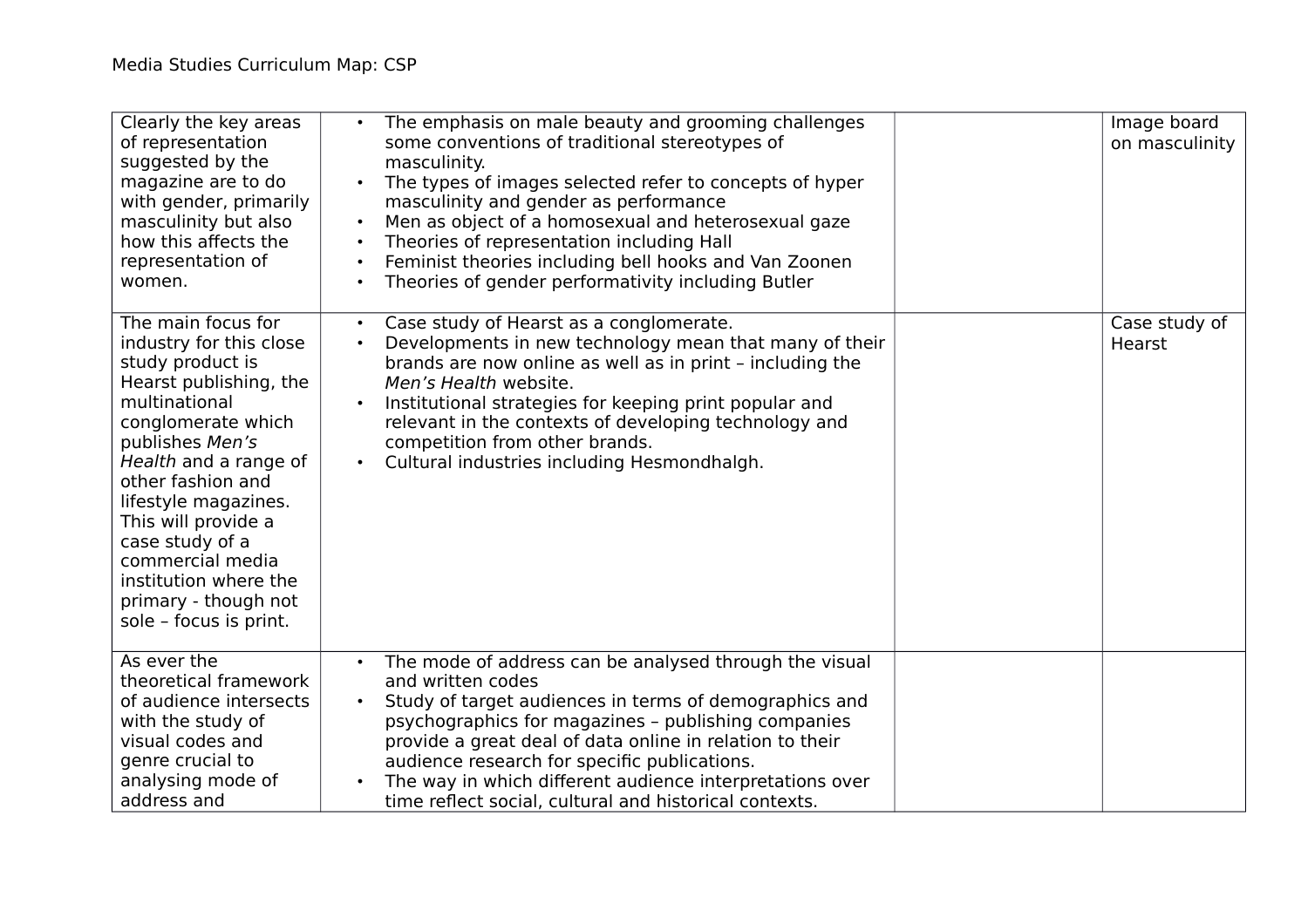| Clearly the key areas<br>of representation<br>suggested by the<br>magazine are to do<br>with gender, primarily<br>masculinity but also<br>how this affects the<br>representation of<br>women.                                                                                                                                                                        | The emphasis on male beauty and grooming challenges<br>some conventions of traditional stereotypes of<br>masculinity.<br>The types of images selected refer to concepts of hyper<br>masculinity and gender as performance<br>Men as object of a homosexual and heterosexual gaze<br>$\bullet$<br>Theories of representation including Hall<br>$\bullet$<br>Feminist theories including bell hooks and Van Zoonen<br>$\bullet$<br>Theories of gender performativity including Butler<br>$\bullet$ | Image board<br>on masculinity |
|----------------------------------------------------------------------------------------------------------------------------------------------------------------------------------------------------------------------------------------------------------------------------------------------------------------------------------------------------------------------|--------------------------------------------------------------------------------------------------------------------------------------------------------------------------------------------------------------------------------------------------------------------------------------------------------------------------------------------------------------------------------------------------------------------------------------------------------------------------------------------------|-------------------------------|
| The main focus for<br>industry for this close<br>study product is<br>Hearst publishing, the<br>multinational<br>conglomerate which<br>publishes Men's<br>Health and a range of<br>other fashion and<br>lifestyle magazines.<br>This will provide a<br>case study of a<br>commercial media<br>institution where the<br>primary - though not<br>sole - focus is print. | Case study of Hearst as a conglomerate.<br>Developments in new technology mean that many of their<br>brands are now online as well as in print - including the<br>Men's Health website.<br>Institutional strategies for keeping print popular and<br>$\bullet$<br>relevant in the contexts of developing technology and<br>competition from other brands.<br>Cultural industries including Hesmondhalgh.                                                                                         | Case study of<br>Hearst       |
| As ever the<br>theoretical framework<br>of audience intersects<br>with the study of<br>visual codes and<br>genre crucial to<br>analysing mode of<br>address and                                                                                                                                                                                                      | The mode of address can be analysed through the visual<br>and written codes<br>Study of target audiences in terms of demographics and<br>psychographics for magazines - publishing companies<br>provide a great deal of data online in relation to their<br>audience research for specific publications.<br>The way in which different audience interpretations over<br>$\bullet$<br>time reflect social, cultural and historical contexts.                                                      |                               |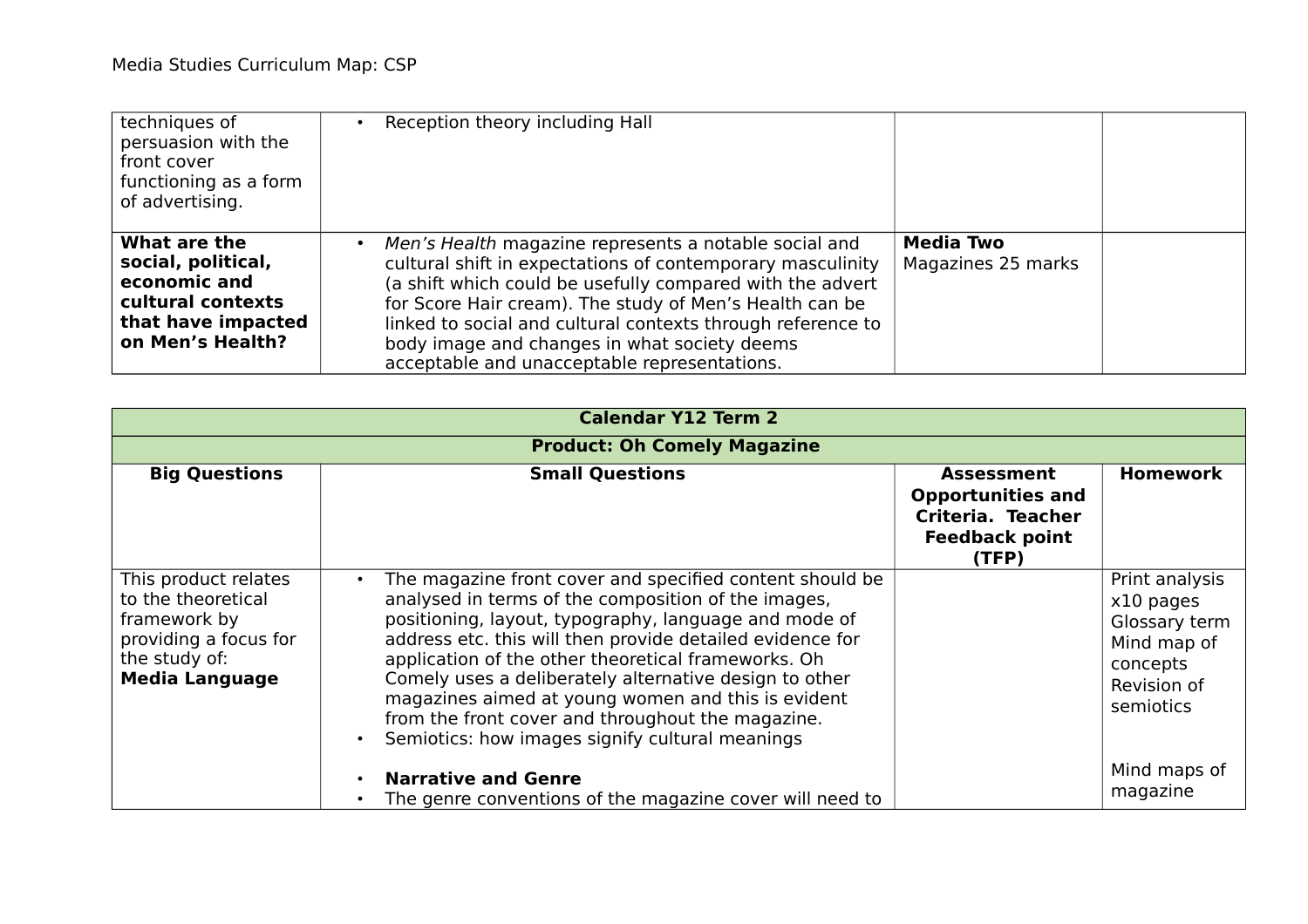| techniques of<br>persuasion with the<br>front cover<br>functioning as a form<br>of advertising.                   | Reception theory including Hall                                                                                                                                                                                                                                                                                                                                                                                         |                                        |
|-------------------------------------------------------------------------------------------------------------------|-------------------------------------------------------------------------------------------------------------------------------------------------------------------------------------------------------------------------------------------------------------------------------------------------------------------------------------------------------------------------------------------------------------------------|----------------------------------------|
| What are the<br>social, political,<br>economic and<br>cultural contexts<br>that have impacted<br>on Men's Health? | Men's Health magazine represents a notable social and<br>$\bullet$<br>cultural shift in expectations of contemporary masculinity<br>(a shift which could be usefully compared with the advert<br>for Score Hair cream). The study of Men's Health can be<br>linked to social and cultural contexts through reference to<br>body image and changes in what society deems<br>acceptable and unacceptable representations. | <b>Media Two</b><br>Magazines 25 marks |

| <b>Calendar Y12 Term 2</b>                                                                                                    |                                                                                                                                                                                                                                                                                                                                                                                                                                                                                                                                   |                                                                                                      |                                                                                                     |
|-------------------------------------------------------------------------------------------------------------------------------|-----------------------------------------------------------------------------------------------------------------------------------------------------------------------------------------------------------------------------------------------------------------------------------------------------------------------------------------------------------------------------------------------------------------------------------------------------------------------------------------------------------------------------------|------------------------------------------------------------------------------------------------------|-----------------------------------------------------------------------------------------------------|
|                                                                                                                               | <b>Product: Oh Comely Magazine</b>                                                                                                                                                                                                                                                                                                                                                                                                                                                                                                |                                                                                                      |                                                                                                     |
| <b>Big Questions</b>                                                                                                          | <b>Small Questions</b>                                                                                                                                                                                                                                                                                                                                                                                                                                                                                                            | <b>Assessment</b><br><b>Opportunities and</b><br>Criteria. Teacher<br><b>Feedback point</b><br>(TFP) | <b>Homework</b>                                                                                     |
| This product relates<br>to the theoretical<br>framework by<br>providing a focus for<br>the study of:<br><b>Media Language</b> | The magazine front cover and specified content should be<br>analysed in terms of the composition of the images,<br>positioning, layout, typography, language and mode of<br>address etc. this will then provide detailed evidence for<br>application of the other theoretical frameworks. Oh<br>Comely uses a deliberately alternative design to other<br>magazines aimed at young women and this is evident<br>from the front cover and throughout the magazine.<br>Semiotics: how images signify cultural meanings<br>$\bullet$ |                                                                                                      | Print analysis<br>x10 pages<br>Glossary term<br>Mind map of<br>concepts<br>Revision of<br>semiotics |
|                                                                                                                               | <b>Narrative and Genre</b><br>The genre conventions of the magazine cover will need to                                                                                                                                                                                                                                                                                                                                                                                                                                            |                                                                                                      | Mind maps of<br>magazine                                                                            |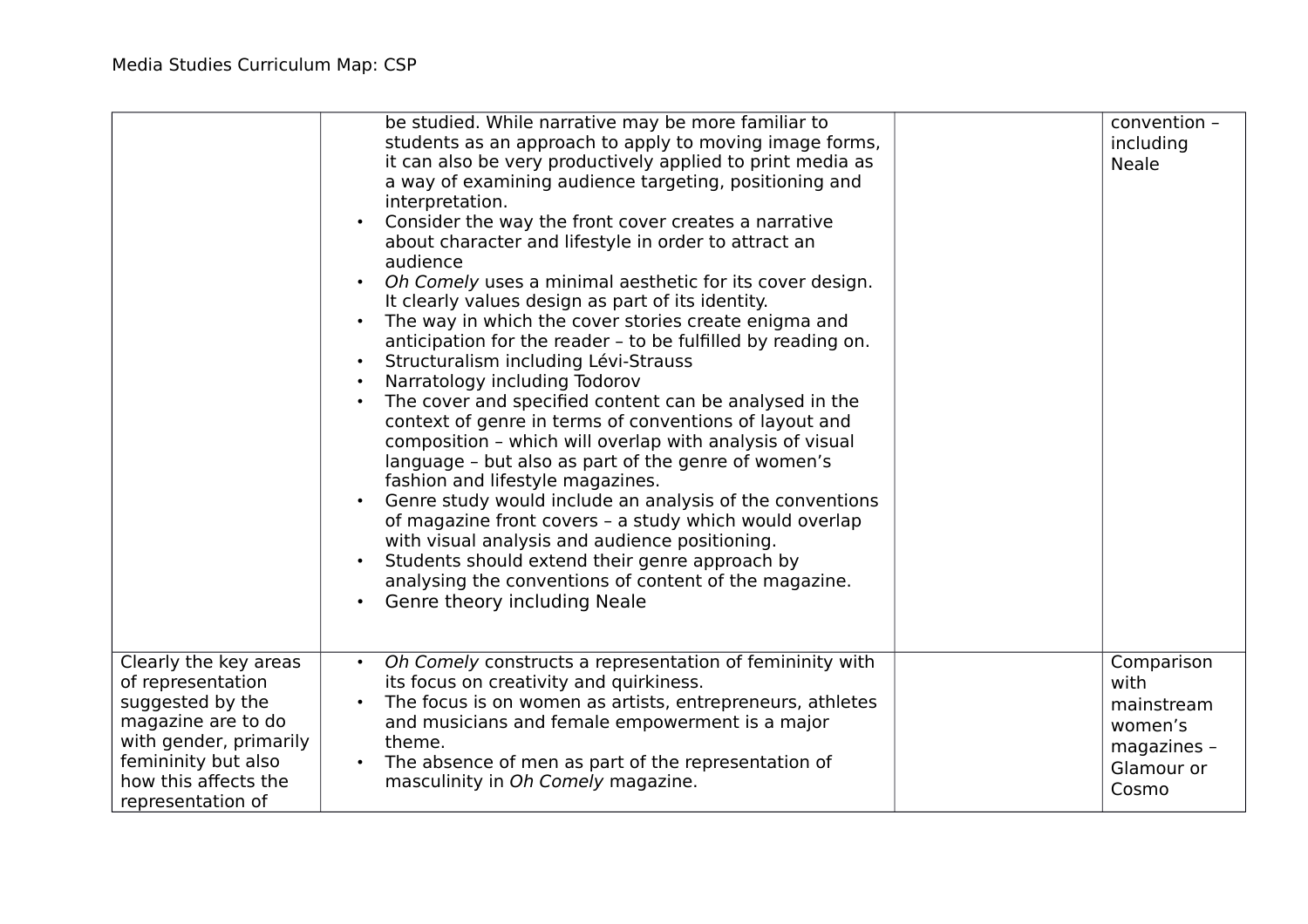|                                                                                                                                                                                    | be studied. While narrative may be more familiar to<br>students as an approach to apply to moving image forms,<br>it can also be very productively applied to print media as<br>a way of examining audience targeting, positioning and<br>interpretation.<br>Consider the way the front cover creates a narrative<br>about character and lifestyle in order to attract an<br>audience<br>Oh Comely uses a minimal aesthetic for its cover design.<br>It clearly values design as part of its identity.<br>The way in which the cover stories create enigma and<br>anticipation for the reader - to be fulfilled by reading on.<br>Structuralism including Lévi-Strauss<br>Narratology including Todorov<br>The cover and specified content can be analysed in the<br>context of genre in terms of conventions of layout and<br>composition - which will overlap with analysis of visual<br>language - but also as part of the genre of women's<br>fashion and lifestyle magazines.<br>Genre study would include an analysis of the conventions<br>of magazine front covers - a study which would overlap<br>with visual analysis and audience positioning.<br>Students should extend their genre approach by<br>analysing the conventions of content of the magazine.<br><b>Genre theory including Neale</b><br>$\bullet$ | convention -<br>including<br><b>Neale</b>                                         |
|------------------------------------------------------------------------------------------------------------------------------------------------------------------------------------|---------------------------------------------------------------------------------------------------------------------------------------------------------------------------------------------------------------------------------------------------------------------------------------------------------------------------------------------------------------------------------------------------------------------------------------------------------------------------------------------------------------------------------------------------------------------------------------------------------------------------------------------------------------------------------------------------------------------------------------------------------------------------------------------------------------------------------------------------------------------------------------------------------------------------------------------------------------------------------------------------------------------------------------------------------------------------------------------------------------------------------------------------------------------------------------------------------------------------------------------------------------------------------------------------------------------------|-----------------------------------------------------------------------------------|
| Clearly the key areas<br>of representation<br>suggested by the<br>magazine are to do<br>with gender, primarily<br>femininity but also<br>how this affects the<br>representation of | Oh Comely constructs a representation of femininity with<br>its focus on creativity and quirkiness.<br>The focus is on women as artists, entrepreneurs, athletes<br>and musicians and female empowerment is a major<br>theme.<br>The absence of men as part of the representation of<br>$\bullet$<br>masculinity in Oh Comely magazine.                                                                                                                                                                                                                                                                                                                                                                                                                                                                                                                                                                                                                                                                                                                                                                                                                                                                                                                                                                                   | Comparison<br>with<br>mainstream<br>women's<br>magazines -<br>Glamour or<br>Cosmo |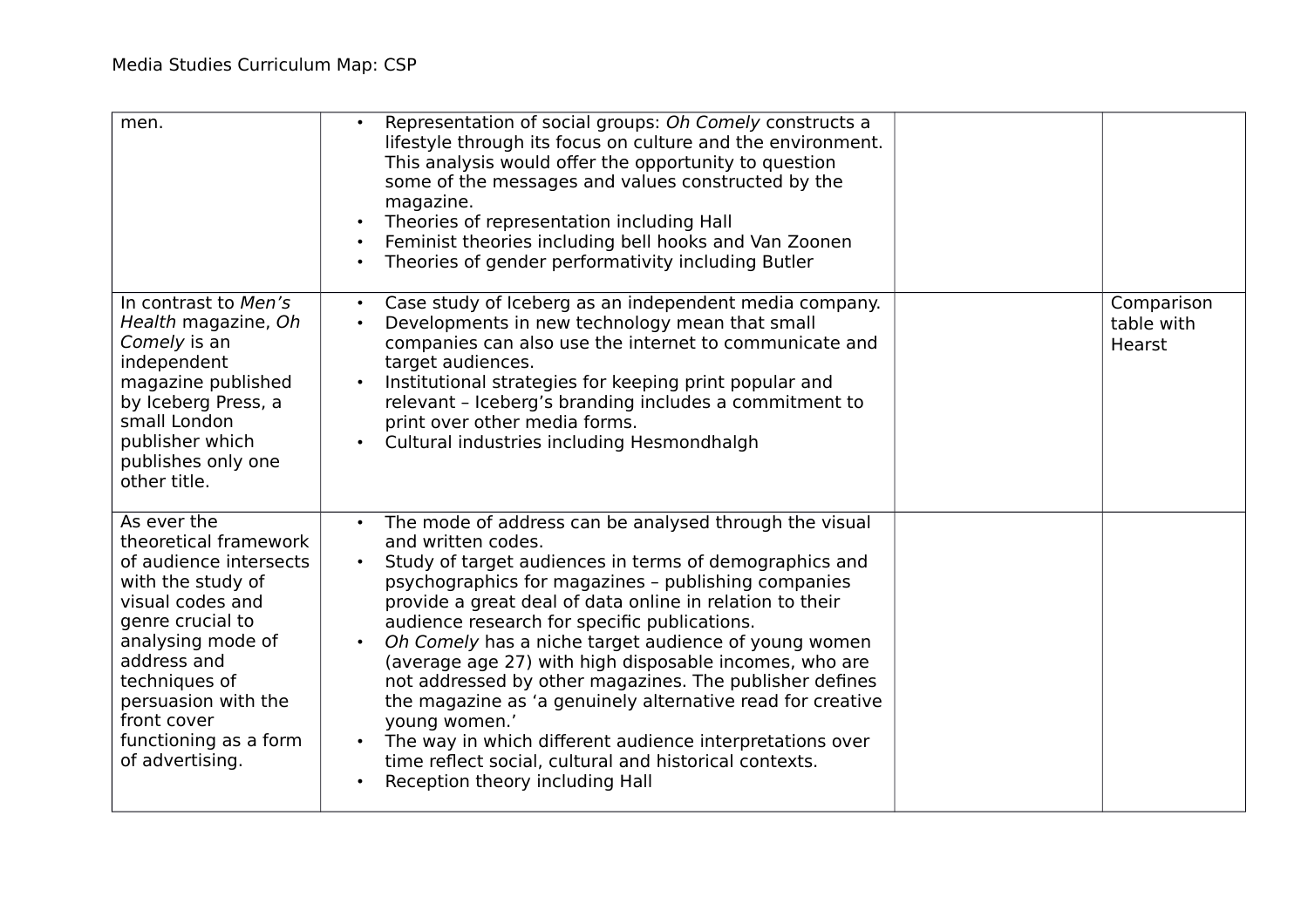| men.                                                                                                                                                                                                                                                               | Representation of social groups: Oh Comely constructs a<br>$\bullet$<br>lifestyle through its focus on culture and the environment.<br>This analysis would offer the opportunity to question<br>some of the messages and values constructed by the<br>magazine.<br>Theories of representation including Hall<br>Feminist theories including bell hooks and Van Zoonen<br>Theories of gender performativity including Butler                                                                                                                                                                                                                                                                                                                              |                                    |
|--------------------------------------------------------------------------------------------------------------------------------------------------------------------------------------------------------------------------------------------------------------------|----------------------------------------------------------------------------------------------------------------------------------------------------------------------------------------------------------------------------------------------------------------------------------------------------------------------------------------------------------------------------------------------------------------------------------------------------------------------------------------------------------------------------------------------------------------------------------------------------------------------------------------------------------------------------------------------------------------------------------------------------------|------------------------------------|
| In contrast to Men's<br>Health magazine, Oh<br>Comely is an<br>independent<br>magazine published<br>by Iceberg Press, a<br>small London<br>publisher which<br>publishes only one<br>other title.                                                                   | Case study of Iceberg as an independent media company.<br>$\bullet$<br>Developments in new technology mean that small<br>companies can also use the internet to communicate and<br>target audiences.<br>Institutional strategies for keeping print popular and<br>relevant - Iceberg's branding includes a commitment to<br>print over other media forms.<br>Cultural industries including Hesmondhalgh<br>$\bullet$                                                                                                                                                                                                                                                                                                                                     | Comparison<br>table with<br>Hearst |
| As ever the<br>theoretical framework<br>of audience intersects<br>with the study of<br>visual codes and<br>genre crucial to<br>analysing mode of<br>address and<br>techniques of<br>persuasion with the<br>front cover<br>functioning as a form<br>of advertising. | The mode of address can be analysed through the visual<br>and written codes.<br>Study of target audiences in terms of demographics and<br>psychographics for magazines - publishing companies<br>provide a great deal of data online in relation to their<br>audience research for specific publications.<br>Oh Comely has a niche target audience of young women<br>(average age 27) with high disposable incomes, who are<br>not addressed by other magazines. The publisher defines<br>the magazine as 'a genuinely alternative read for creative<br>young women.'<br>The way in which different audience interpretations over<br>$\bullet$<br>time reflect social, cultural and historical contexts.<br>Reception theory including Hall<br>$\bullet$ |                                    |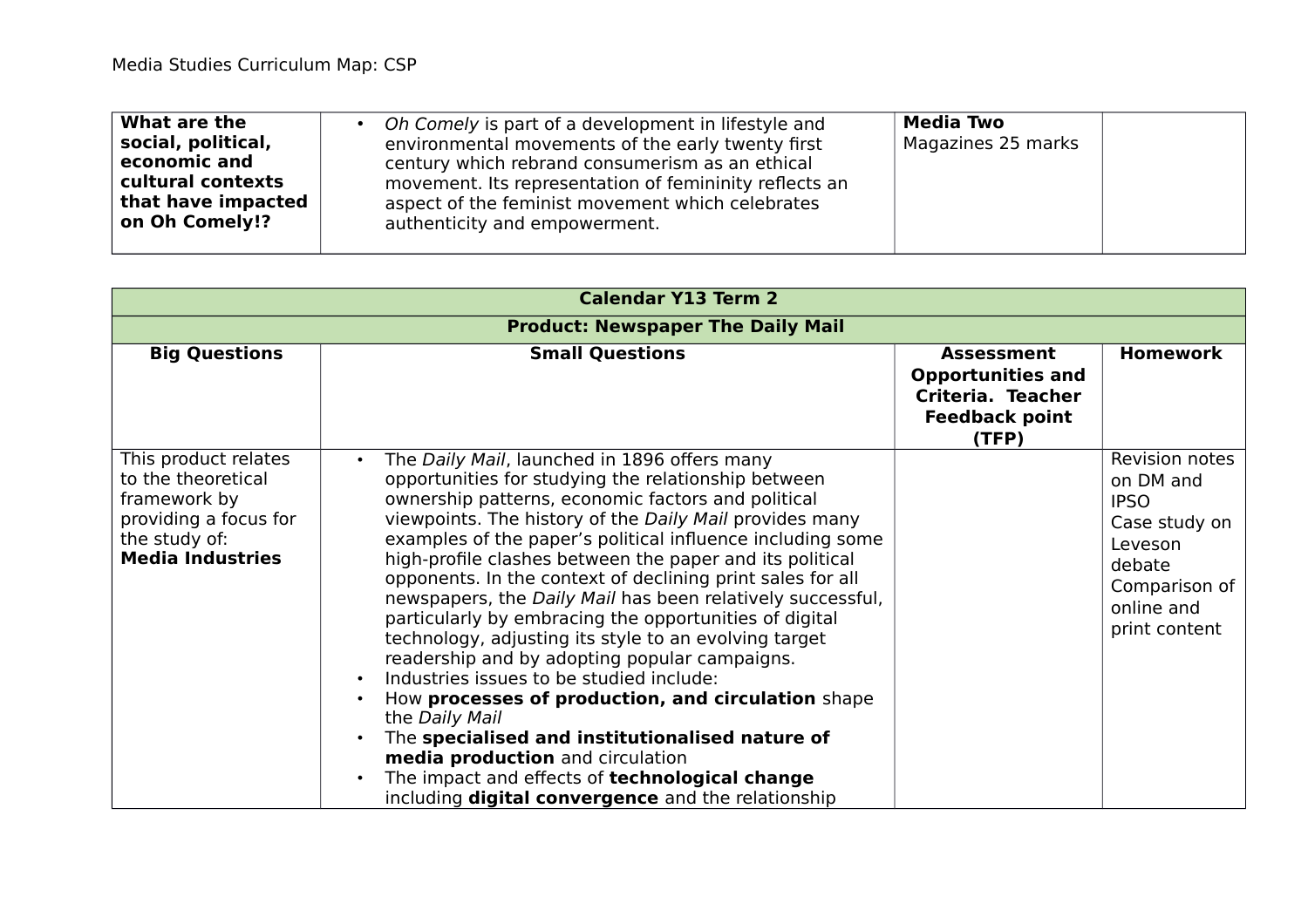| <b>Media Two</b><br>What are the<br>Oh Comely is part of a development in lifestyle and<br>social, political,<br>Magazines 25 marks<br>environmental movements of the early twenty first<br>economic and<br>century which rebrand consumerism as an ethical<br>cultural contexts<br>movement. Its representation of femininity reflects an<br>that have impacted<br>aspect of the feminist movement which celebrates<br>on Oh Comely!?<br>authenticity and empowerment. |  |
|-------------------------------------------------------------------------------------------------------------------------------------------------------------------------------------------------------------------------------------------------------------------------------------------------------------------------------------------------------------------------------------------------------------------------------------------------------------------------|--|
|-------------------------------------------------------------------------------------------------------------------------------------------------------------------------------------------------------------------------------------------------------------------------------------------------------------------------------------------------------------------------------------------------------------------------------------------------------------------------|--|

| <b>Calendar Y13 Term 2</b>                                                                                                      |                                                                                                                                                                                                                                                                                                                                                                                                                                                                                                                                                                                                                                                                                                                                                                                                                                                                                                                                                                                                                 |                                                                                                      |                                                                                                                                  |
|---------------------------------------------------------------------------------------------------------------------------------|-----------------------------------------------------------------------------------------------------------------------------------------------------------------------------------------------------------------------------------------------------------------------------------------------------------------------------------------------------------------------------------------------------------------------------------------------------------------------------------------------------------------------------------------------------------------------------------------------------------------------------------------------------------------------------------------------------------------------------------------------------------------------------------------------------------------------------------------------------------------------------------------------------------------------------------------------------------------------------------------------------------------|------------------------------------------------------------------------------------------------------|----------------------------------------------------------------------------------------------------------------------------------|
|                                                                                                                                 | <b>Product: Newspaper The Daily Mail</b>                                                                                                                                                                                                                                                                                                                                                                                                                                                                                                                                                                                                                                                                                                                                                                                                                                                                                                                                                                        |                                                                                                      |                                                                                                                                  |
| <b>Big Questions</b>                                                                                                            | <b>Small Questions</b>                                                                                                                                                                                                                                                                                                                                                                                                                                                                                                                                                                                                                                                                                                                                                                                                                                                                                                                                                                                          | <b>Assessment</b><br><b>Opportunities and</b><br>Criteria. Teacher<br><b>Feedback point</b><br>(TFP) | <b>Homework</b>                                                                                                                  |
| This product relates<br>to the theoretical<br>framework by<br>providing a focus for<br>the study of:<br><b>Media Industries</b> | The Daily Mail, launched in 1896 offers many<br>$\bullet$<br>opportunities for studying the relationship between<br>ownership patterns, economic factors and political<br>viewpoints. The history of the Daily Mail provides many<br>examples of the paper's political influence including some<br>high-profile clashes between the paper and its political<br>opponents. In the context of declining print sales for all<br>newspapers, the Daily Mail has been relatively successful,<br>particularly by embracing the opportunities of digital<br>technology, adjusting its style to an evolving target<br>readership and by adopting popular campaigns.<br>Industries issues to be studied include:<br>$\bullet$<br>How processes of production, and circulation shape<br>$\bullet$<br>the Daily Mail<br>The specialised and institutionalised nature of<br>media production and circulation<br>The impact and effects of technological change<br>including <b>digital convergence</b> and the relationship |                                                                                                      | Revision notes<br>on DM and<br><b>IPSO</b><br>Case study on<br>Leveson<br>debate<br>Comparison of<br>online and<br>print content |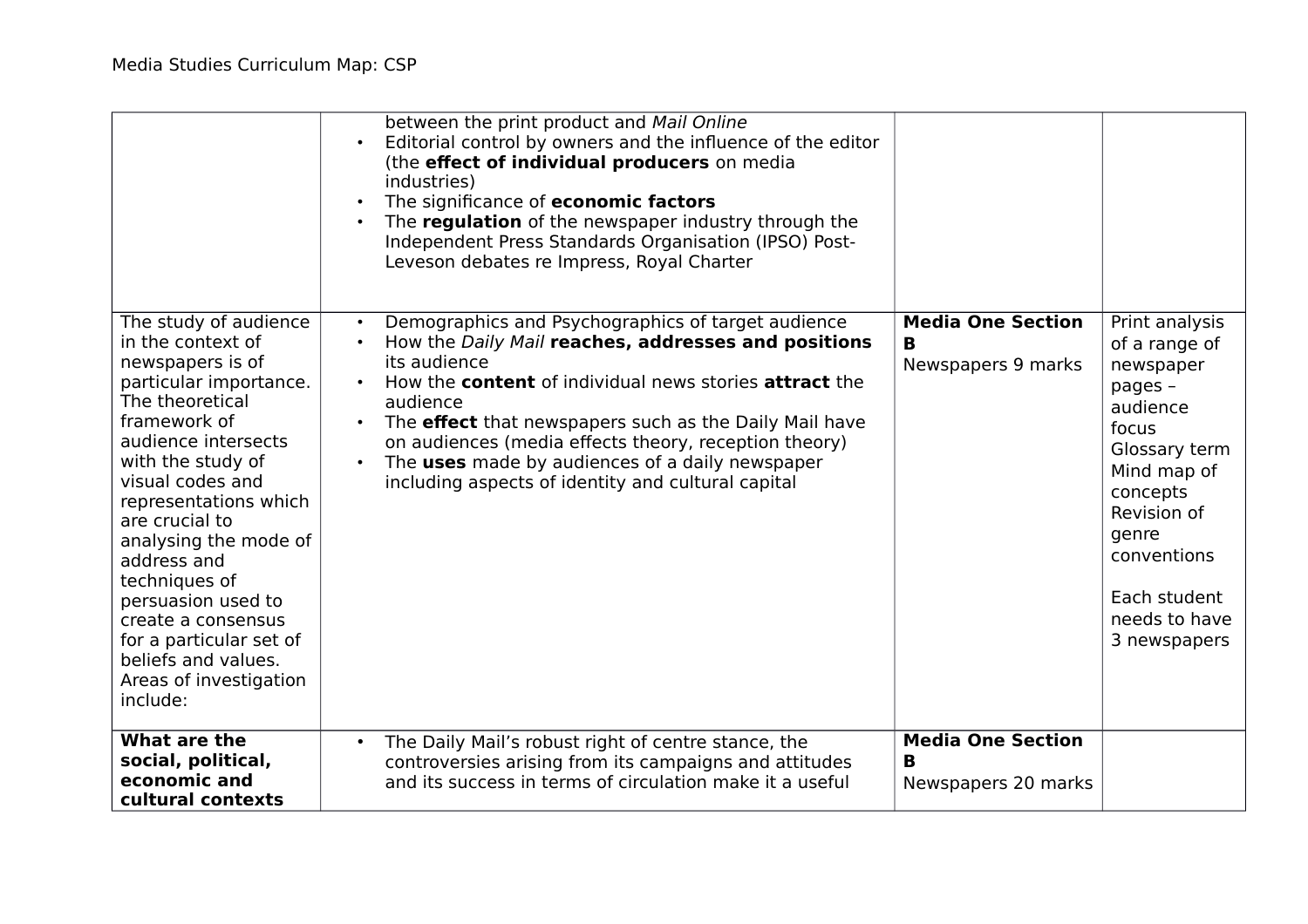|                                                                                                                                                                                                                                                                                                                                                                                                                                     | between the print product and Mail Online<br>Editorial control by owners and the influence of the editor<br>$\bullet$<br>(the effect of individual producers on media<br>industries)<br>The significance of economic factors<br>The regulation of the newspaper industry through the<br>Independent Press Standards Organisation (IPSO) Post-<br>Leveson debates re Impress, Royal Charter                                                                                                           |                                                      |                                                                                                                                                                                                                  |
|-------------------------------------------------------------------------------------------------------------------------------------------------------------------------------------------------------------------------------------------------------------------------------------------------------------------------------------------------------------------------------------------------------------------------------------|------------------------------------------------------------------------------------------------------------------------------------------------------------------------------------------------------------------------------------------------------------------------------------------------------------------------------------------------------------------------------------------------------------------------------------------------------------------------------------------------------|------------------------------------------------------|------------------------------------------------------------------------------------------------------------------------------------------------------------------------------------------------------------------|
| The study of audience<br>in the context of<br>newspapers is of<br>particular importance.<br>The theoretical<br>framework of<br>audience intersects<br>with the study of<br>visual codes and<br>representations which<br>are crucial to<br>analysing the mode of<br>address and<br>techniques of<br>persuasion used to<br>create a consensus<br>for a particular set of<br>beliefs and values.<br>Areas of investigation<br>include: | Demographics and Psychographics of target audience<br>$\bullet$<br>How the Daily Mail reaches, addresses and positions<br>its audience<br>How the <b>content</b> of individual news stories <b>attract</b> the<br>$\bullet$<br>audience<br>The <b>effect</b> that newspapers such as the Daily Mail have<br>$\bullet$<br>on audiences (media effects theory, reception theory)<br>The uses made by audiences of a daily newspaper<br>$\bullet$<br>including aspects of identity and cultural capital | <b>Media One Section</b><br>B<br>Newspapers 9 marks  | Print analysis<br>of a range of<br>newspaper<br>pages -<br>audience<br>focus<br>Glossary term<br>Mind map of<br>concepts<br>Revision of<br>genre<br>conventions<br>Each student<br>needs to have<br>3 newspapers |
| What are the<br>social, political,<br>economic and<br>cultural contexts                                                                                                                                                                                                                                                                                                                                                             | The Daily Mail's robust right of centre stance, the<br>$\bullet$<br>controversies arising from its campaigns and attitudes<br>and its success in terms of circulation make it a useful                                                                                                                                                                                                                                                                                                               | <b>Media One Section</b><br>в<br>Newspapers 20 marks |                                                                                                                                                                                                                  |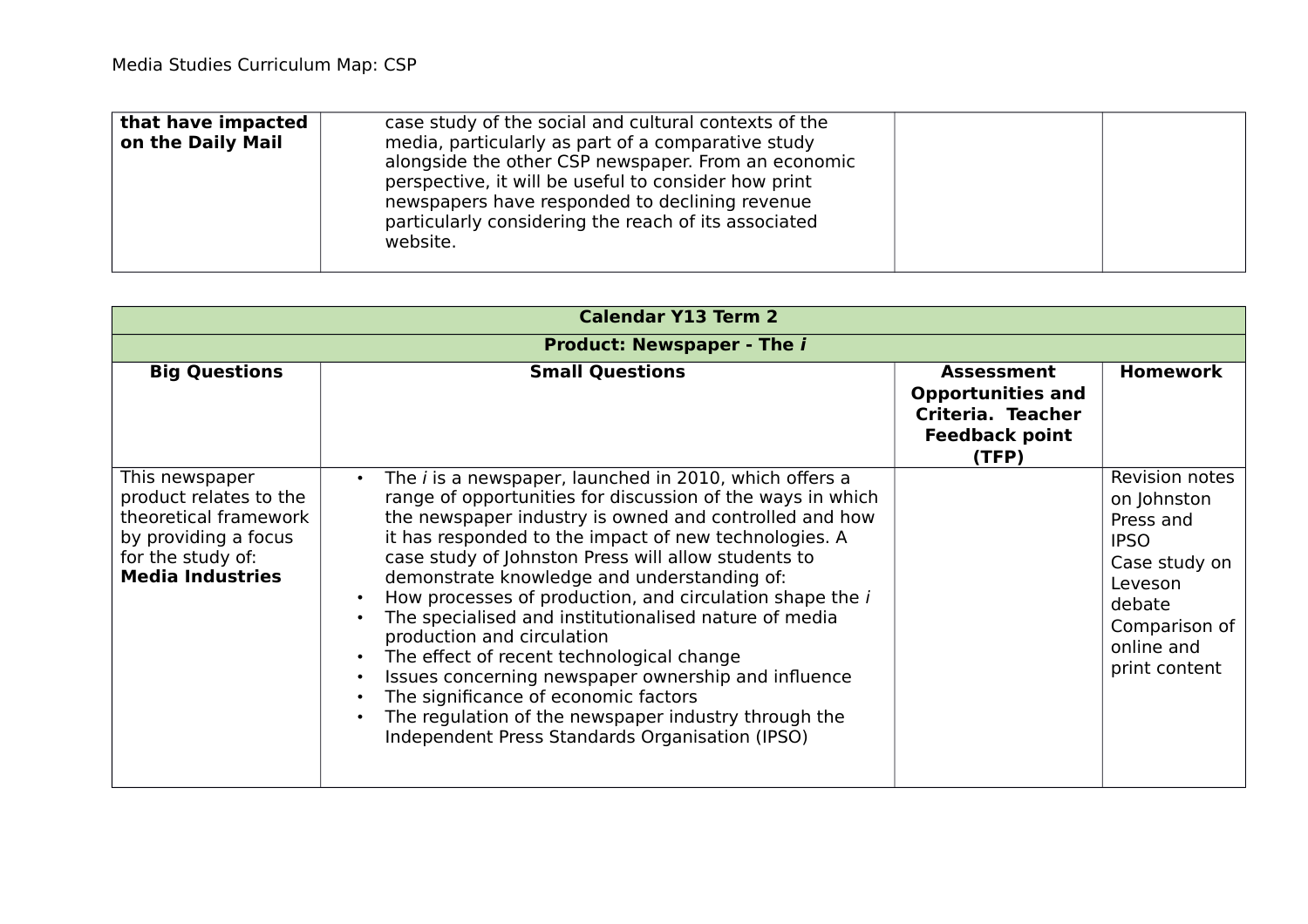| that have impacted<br>on the Daily Mail | case study of the social and cultural contexts of the<br>media, particularly as part of a comparative study<br>alongside the other CSP newspaper. From an economic<br>perspective, it will be useful to consider how print<br>newspapers have responded to declining revenue<br>particularly considering the reach of its associated<br>website. |  |
|-----------------------------------------|--------------------------------------------------------------------------------------------------------------------------------------------------------------------------------------------------------------------------------------------------------------------------------------------------------------------------------------------------|--|
|                                         |                                                                                                                                                                                                                                                                                                                                                  |  |

| <b>Calendar Y13 Term 2</b>                                                                                                                |                                                                                                                                                                                                                                                                                                                                                                                                                                                                                                                                                                                                                                                                                                                                                                                          |                                                                                                             |                                                                                                                                                 |
|-------------------------------------------------------------------------------------------------------------------------------------------|------------------------------------------------------------------------------------------------------------------------------------------------------------------------------------------------------------------------------------------------------------------------------------------------------------------------------------------------------------------------------------------------------------------------------------------------------------------------------------------------------------------------------------------------------------------------------------------------------------------------------------------------------------------------------------------------------------------------------------------------------------------------------------------|-------------------------------------------------------------------------------------------------------------|-------------------------------------------------------------------------------------------------------------------------------------------------|
|                                                                                                                                           | <b>Product: Newspaper - The i</b>                                                                                                                                                                                                                                                                                                                                                                                                                                                                                                                                                                                                                                                                                                                                                        |                                                                                                             |                                                                                                                                                 |
| <b>Big Questions</b>                                                                                                                      | <b>Small Questions</b>                                                                                                                                                                                                                                                                                                                                                                                                                                                                                                                                                                                                                                                                                                                                                                   | <b>Assessment</b><br><b>Opportunities and</b><br><b>Criteria. Teacher</b><br><b>Feedback point</b><br>(TFP) | <b>Homework</b>                                                                                                                                 |
| This newspaper<br>product relates to the<br>theoretical framework<br>by providing a focus<br>for the study of:<br><b>Media Industries</b> | The <i>i</i> is a newspaper, launched in 2010, which offers a<br>$\bullet$<br>range of opportunities for discussion of the ways in which<br>the newspaper industry is owned and controlled and how<br>it has responded to the impact of new technologies. A<br>case study of Johnston Press will allow students to<br>demonstrate knowledge and understanding of:<br>How processes of production, and circulation shape the i<br>$\bullet$<br>The specialised and institutionalised nature of media<br>production and circulation<br>The effect of recent technological change<br>Issues concerning newspaper ownership and influence<br>The significance of economic factors<br>The regulation of the newspaper industry through the<br>Independent Press Standards Organisation (IPSO) |                                                                                                             | Revision notes<br>on Johnston<br>Press and<br><b>IPSO</b><br>Case study on<br>Leveson<br>debate<br>Comparison of<br>online and<br>print content |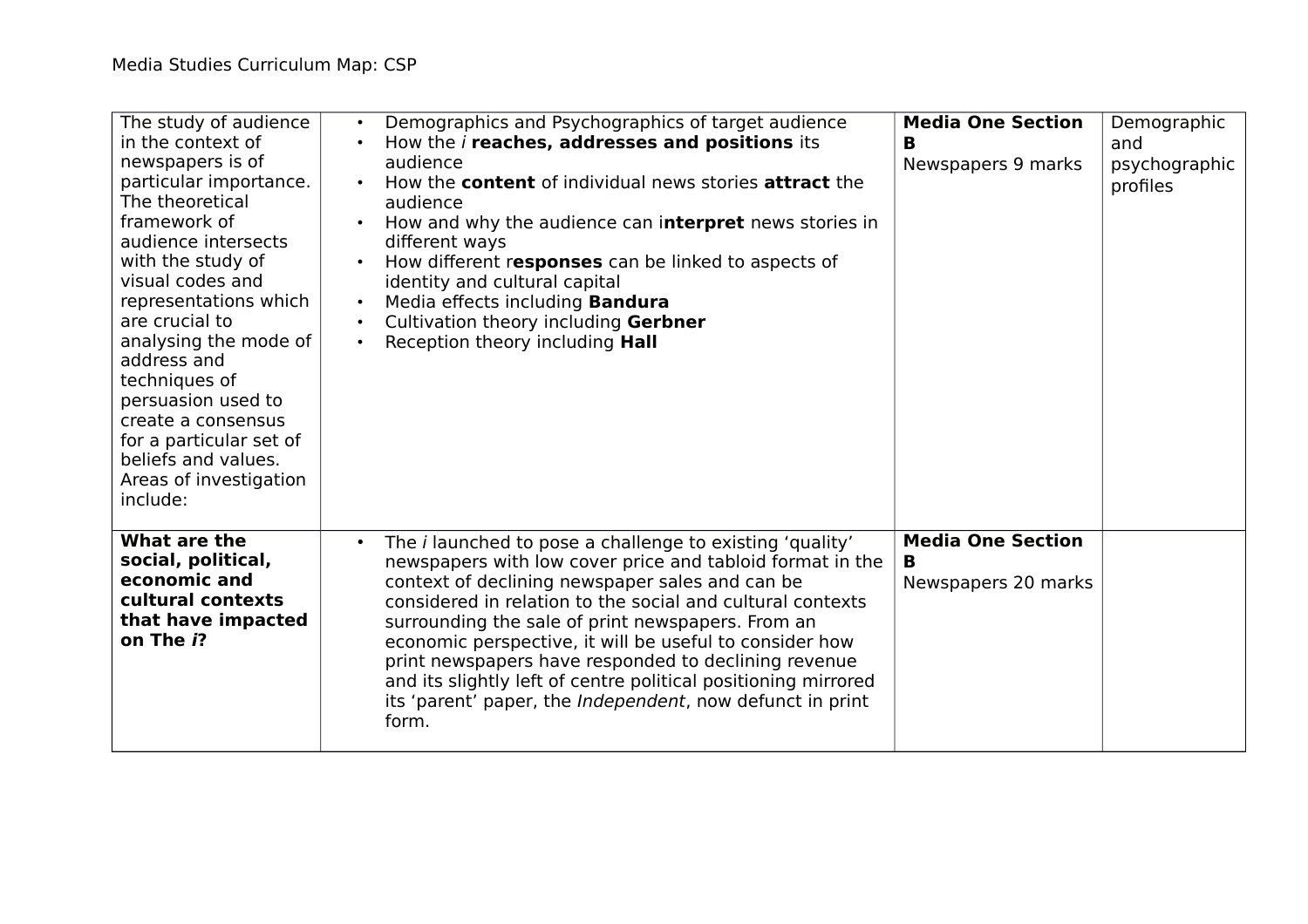| The study of audience<br>in the context of<br>newspapers is of<br>particular importance.<br>The theoretical<br>framework of<br>audience intersects<br>with the study of<br>visual codes and<br>representations which<br>are crucial to<br>analysing the mode of<br>address and<br>techniques of<br>persuasion used to<br>create a consensus<br>for a particular set of<br>beliefs and values.<br>Areas of investigation<br>include: | Demographics and Psychographics of target audience<br>$\bullet$<br>How the <i>i</i> reaches, addresses and positions its<br>audience<br>How the <b>content</b> of individual news stories <b>attract</b> the<br>audience<br>How and why the audience can interpret news stories in<br>$\bullet$<br>different ways<br>How different responses can be linked to aspects of<br>identity and cultural capital<br>Media effects including <b>Bandura</b><br>Cultivation theory including Gerbner<br>Reception theory including <b>Hall</b><br>$\bullet$                         | <b>Media One Section</b><br>в<br>Newspapers 9 marks  | Demographic<br>and<br>psychographic<br>profiles |
|-------------------------------------------------------------------------------------------------------------------------------------------------------------------------------------------------------------------------------------------------------------------------------------------------------------------------------------------------------------------------------------------------------------------------------------|----------------------------------------------------------------------------------------------------------------------------------------------------------------------------------------------------------------------------------------------------------------------------------------------------------------------------------------------------------------------------------------------------------------------------------------------------------------------------------------------------------------------------------------------------------------------------|------------------------------------------------------|-------------------------------------------------|
| What are the<br>social, political,<br>economic and<br>cultural contexts<br>that have impacted<br>on The i?                                                                                                                                                                                                                                                                                                                          | The <i>i</i> launched to pose a challenge to existing 'quality'<br>$\bullet$<br>newspapers with low cover price and tabloid format in the<br>context of declining newspaper sales and can be<br>considered in relation to the social and cultural contexts<br>surrounding the sale of print newspapers. From an<br>economic perspective, it will be useful to consider how<br>print newspapers have responded to declining revenue<br>and its slightly left of centre political positioning mirrored<br>its 'parent' paper, the Independent, now defunct in print<br>form. | <b>Media One Section</b><br>B<br>Newspapers 20 marks |                                                 |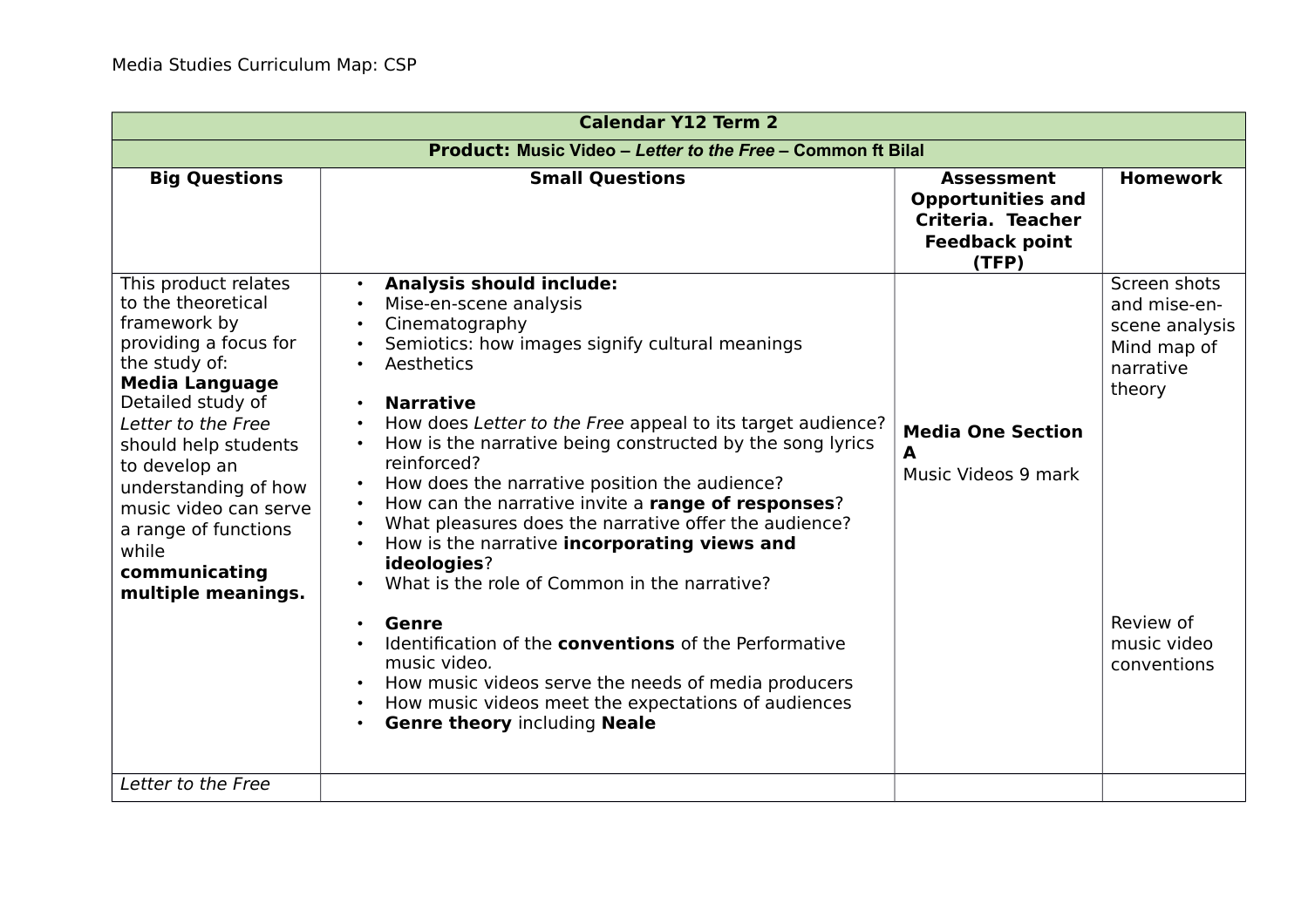| <b>Calendar Y12 Term 2</b>                                                                                                                                                                                                                                                                                                                 |                                                                                                                                                                                                                                                                                                                                                                                                                                                                                                                                                                                                                                                                                                                                                                                                                                                                                                                       |                                                                                                      |                                                                                                                                 |
|--------------------------------------------------------------------------------------------------------------------------------------------------------------------------------------------------------------------------------------------------------------------------------------------------------------------------------------------|-----------------------------------------------------------------------------------------------------------------------------------------------------------------------------------------------------------------------------------------------------------------------------------------------------------------------------------------------------------------------------------------------------------------------------------------------------------------------------------------------------------------------------------------------------------------------------------------------------------------------------------------------------------------------------------------------------------------------------------------------------------------------------------------------------------------------------------------------------------------------------------------------------------------------|------------------------------------------------------------------------------------------------------|---------------------------------------------------------------------------------------------------------------------------------|
| <b>Product: Music Video - Letter to the Free - Common ft Bilal</b>                                                                                                                                                                                                                                                                         |                                                                                                                                                                                                                                                                                                                                                                                                                                                                                                                                                                                                                                                                                                                                                                                                                                                                                                                       |                                                                                                      |                                                                                                                                 |
| <b>Big Questions</b>                                                                                                                                                                                                                                                                                                                       | <b>Small Questions</b>                                                                                                                                                                                                                                                                                                                                                                                                                                                                                                                                                                                                                                                                                                                                                                                                                                                                                                | <b>Assessment</b><br><b>Opportunities and</b><br>Criteria. Teacher<br><b>Feedback point</b><br>(TFP) | <b>Homework</b>                                                                                                                 |
| This product relates<br>to the theoretical<br>framework by<br>providing a focus for<br>the study of:<br><b>Media Language</b><br>Detailed study of<br>Letter to the Free<br>should help students<br>to develop an<br>understanding of how<br>music video can serve<br>a range of functions<br>while<br>communicating<br>multiple meanings. | <b>Analysis should include:</b><br>Mise-en-scene analysis<br>Cinematography<br>Semiotics: how images signify cultural meanings<br>Aesthetics<br><b>Narrative</b><br>$\bullet$<br>How does Letter to the Free appeal to its target audience?<br>How is the narrative being constructed by the song lyrics<br>reinforced?<br>How does the narrative position the audience?<br>$\bullet$<br>How can the narrative invite a range of responses?<br>What pleasures does the narrative offer the audience?<br>$\bullet$<br>How is the narrative incorporating views and<br>ideologies?<br>What is the role of Common in the narrative?<br>$\bullet$<br>Genre<br>Identification of the <b>conventions</b> of the Performative<br>music video.<br>How music videos serve the needs of media producers<br>How music videos meet the expectations of audiences<br>$\bullet$<br><b>Genre theory including Neale</b><br>$\bullet$ | <b>Media One Section</b><br>A<br>Music Videos 9 mark                                                 | Screen shots<br>and mise-en-<br>scene analysis<br>Mind map of<br>narrative<br>theory<br>Review of<br>music video<br>conventions |
| Letter to the Free                                                                                                                                                                                                                                                                                                                         |                                                                                                                                                                                                                                                                                                                                                                                                                                                                                                                                                                                                                                                                                                                                                                                                                                                                                                                       |                                                                                                      |                                                                                                                                 |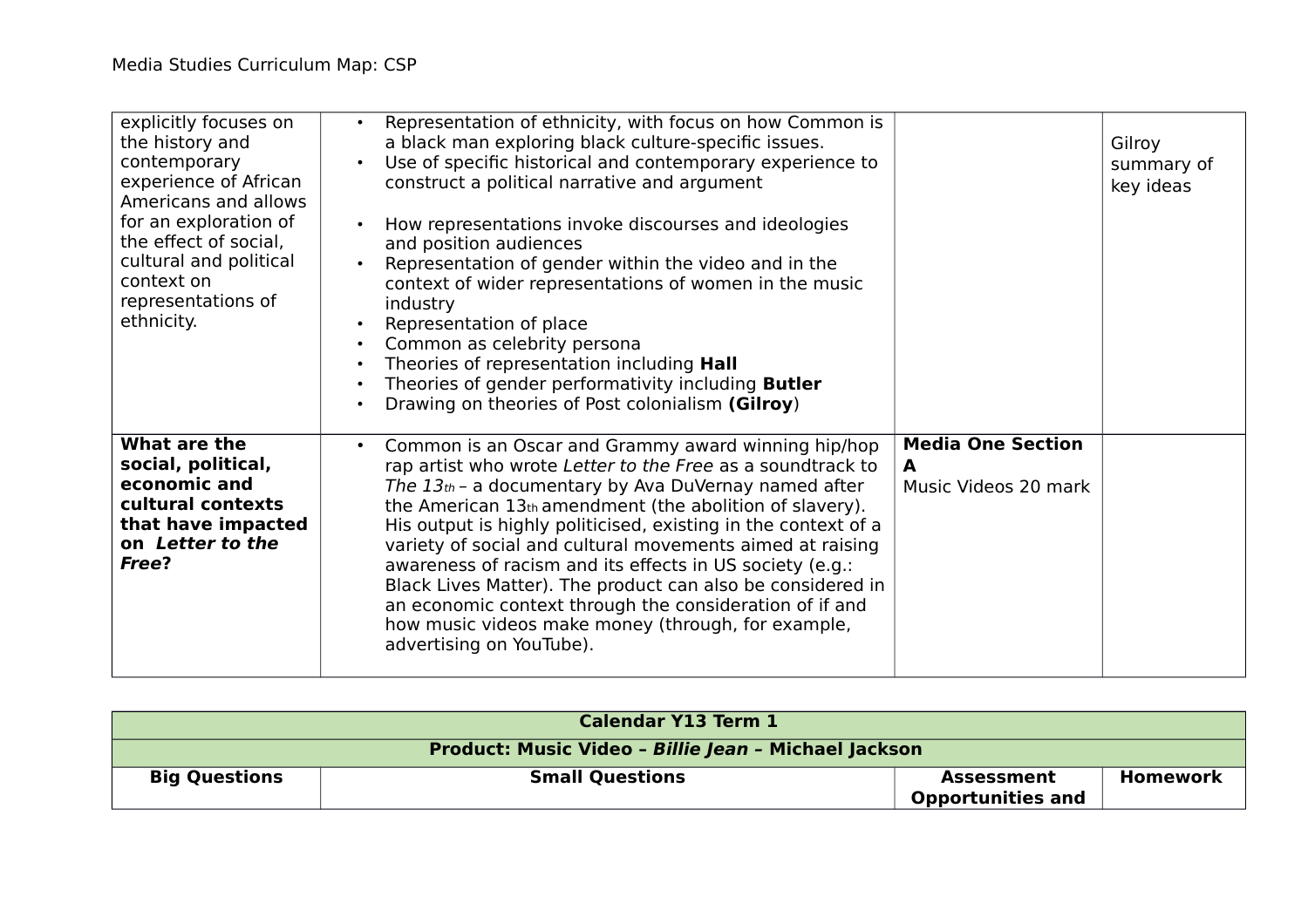| explicitly focuses on<br>the history and<br>contemporary<br>experience of African<br>Americans and allows<br>for an exploration of<br>the effect of social,<br>cultural and political<br>context on<br>representations of<br>ethnicity. | Representation of ethnicity, with focus on how Common is<br>$\bullet$<br>a black man exploring black culture-specific issues.<br>Use of specific historical and contemporary experience to<br>$\bullet$<br>construct a political narrative and argument<br>How representations invoke discourses and ideologies<br>$\bullet$<br>and position audiences<br>Representation of gender within the video and in the<br>$\bullet$<br>context of wider representations of women in the music<br>industry<br>Representation of place<br>$\bullet$<br>Common as celebrity persona<br>Theories of representation including <b>Hall</b><br>$\bullet$<br>Theories of gender performativity including <b>Butler</b><br>$\bullet$<br>Drawing on theories of Post colonialism (Gilroy) |                                                       | Gilroy<br>summary of<br>key ideas |
|-----------------------------------------------------------------------------------------------------------------------------------------------------------------------------------------------------------------------------------------|-------------------------------------------------------------------------------------------------------------------------------------------------------------------------------------------------------------------------------------------------------------------------------------------------------------------------------------------------------------------------------------------------------------------------------------------------------------------------------------------------------------------------------------------------------------------------------------------------------------------------------------------------------------------------------------------------------------------------------------------------------------------------|-------------------------------------------------------|-----------------------------------|
| What are the<br>social, political,<br>economic and<br>cultural contexts<br>that have impacted<br>on Letter to the<br>Free?                                                                                                              | Common is an Oscar and Grammy award winning hip/hop<br>$\bullet$<br>rap artist who wrote Letter to the Free as a soundtrack to<br>The $13th$ - a documentary by Ava DuVernay named after<br>the American 13th amendment (the abolition of slavery).<br>His output is highly politicised, existing in the context of a<br>variety of social and cultural movements aimed at raising<br>awareness of racism and its effects in US society (e.g.:<br>Black Lives Matter). The product can also be considered in<br>an economic context through the consideration of if and<br>how music videos make money (through, for example,<br>advertising on YouTube).                                                                                                               | <b>Media One Section</b><br>A<br>Music Videos 20 mark |                                   |

| <b>Calendar Y13 Term 1</b>                           |                        |                          |                 |
|------------------------------------------------------|------------------------|--------------------------|-----------------|
| Product: Music Video - Billie Jean - Michael Jackson |                        |                          |                 |
| <b>Big Questions</b>                                 | <b>Small Questions</b> | <b>Assessment</b>        | <b>Homework</b> |
|                                                      |                        | <b>Opportunities and</b> |                 |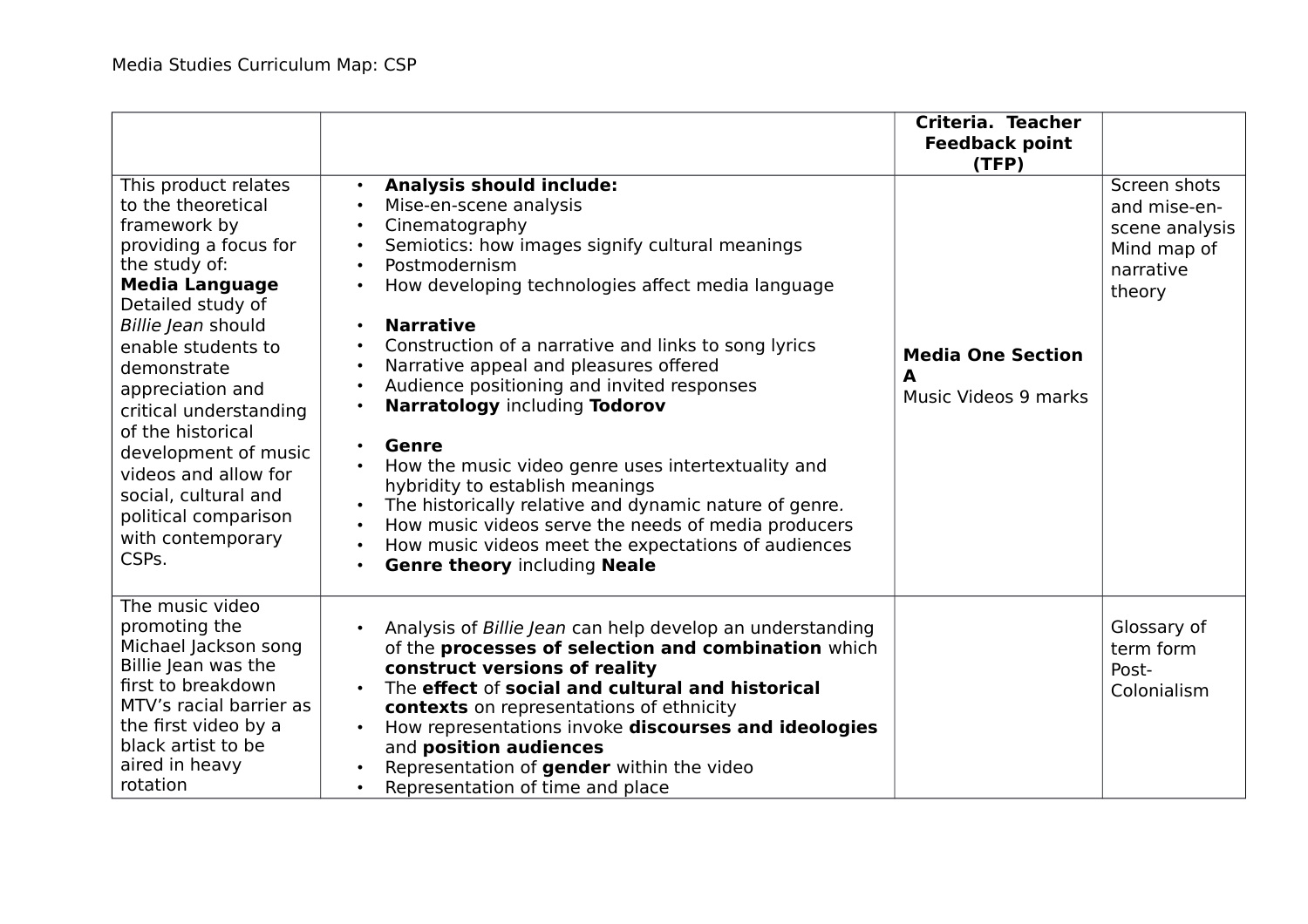|                                                                                                                                                                                                                                                                                                                                                                                                                |                                                                                                                                                                                                                                                                                                                                                                                                                                                                                                                                                                                                                                                                                                                                                                                                                                                                                  | Criteria. Teacher<br><b>Feedback point</b><br>(TFP)   |                                                                                      |
|----------------------------------------------------------------------------------------------------------------------------------------------------------------------------------------------------------------------------------------------------------------------------------------------------------------------------------------------------------------------------------------------------------------|----------------------------------------------------------------------------------------------------------------------------------------------------------------------------------------------------------------------------------------------------------------------------------------------------------------------------------------------------------------------------------------------------------------------------------------------------------------------------------------------------------------------------------------------------------------------------------------------------------------------------------------------------------------------------------------------------------------------------------------------------------------------------------------------------------------------------------------------------------------------------------|-------------------------------------------------------|--------------------------------------------------------------------------------------|
| This product relates<br>to the theoretical<br>framework by<br>providing a focus for<br>the study of:<br><b>Media Language</b><br>Detailed study of<br>Billie Jean should<br>enable students to<br>demonstrate<br>appreciation and<br>critical understanding<br>of the historical<br>development of music<br>videos and allow for<br>social, cultural and<br>political comparison<br>with contemporary<br>CSPs. | <b>Analysis should include:</b><br>$\bullet$<br>Mise-en-scene analysis<br>Cinematography<br>$\bullet$<br>Semiotics: how images signify cultural meanings<br>$\bullet$<br>Postmodernism<br>$\bullet$<br>How developing technologies affect media language<br><b>Narrative</b><br>$\bullet$<br>Construction of a narrative and links to song lyrics<br>$\bullet$<br>Narrative appeal and pleasures offered<br>Audience positioning and invited responses<br>Narratology including Todorov<br>$\bullet$<br><b>Genre</b><br>$\bullet$<br>How the music video genre uses intertextuality and<br>hybridity to establish meanings<br>The historically relative and dynamic nature of genre.<br>$\bullet$<br>How music videos serve the needs of media producers<br>$\bullet$<br>How music videos meet the expectations of audiences<br><b>Genre theory including Neale</b><br>$\bullet$ | <b>Media One Section</b><br>A<br>Music Videos 9 marks | Screen shots<br>and mise-en-<br>scene analysis<br>Mind map of<br>narrative<br>theory |
| The music video<br>promoting the<br>Michael Jackson song<br>Billie Jean was the<br>first to breakdown<br>MTV's racial barrier as<br>the first video by a<br>black artist to be<br>aired in heavy<br>rotation                                                                                                                                                                                                   | Analysis of Billie Jean can help develop an understanding<br>$\bullet$<br>of the processes of selection and combination which<br>construct versions of reality<br>The effect of social and cultural and historical<br>contexts on representations of ethnicity<br>How representations invoke discourses and ideologies<br>and position audiences<br>Representation of gender within the video<br>Representation of time and place<br>$\bullet$                                                                                                                                                                                                                                                                                                                                                                                                                                   |                                                       | Glossary of<br>term form<br>Post-<br>Colonialism                                     |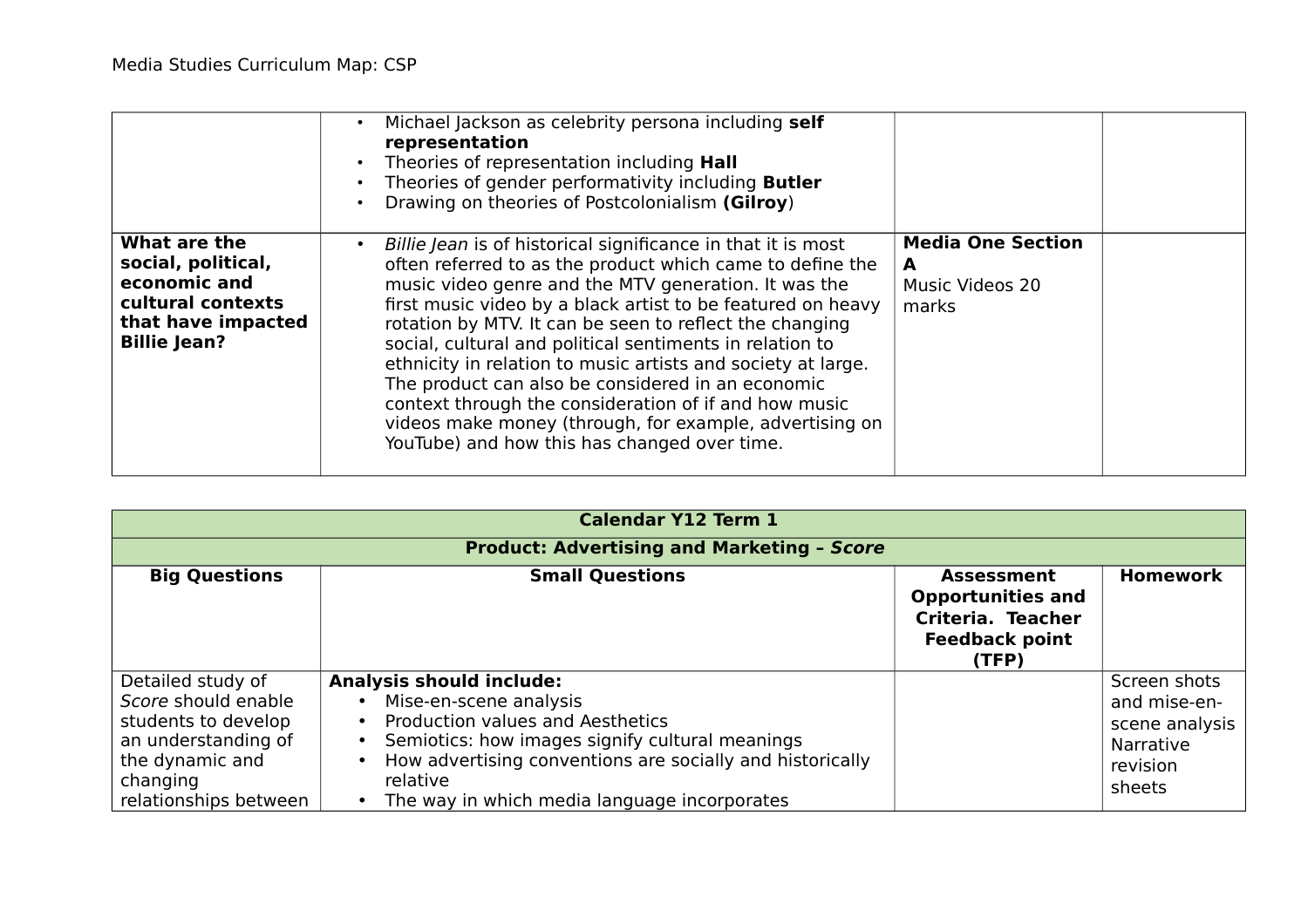|                                                                                                                      | Michael Jackson as celebrity persona including self<br>representation<br>Theories of representation including <b>Hall</b><br>Theories of gender performativity including <b>Butler</b><br>Drawing on theories of Postcolonialism (Gilroy)                                                                                                                                                                                                                                                                                                                                                                                                                                     |                                                           |
|----------------------------------------------------------------------------------------------------------------------|-------------------------------------------------------------------------------------------------------------------------------------------------------------------------------------------------------------------------------------------------------------------------------------------------------------------------------------------------------------------------------------------------------------------------------------------------------------------------------------------------------------------------------------------------------------------------------------------------------------------------------------------------------------------------------|-----------------------------------------------------------|
| What are the<br>social, political,<br>economic and<br>cultural contexts<br>that have impacted<br><b>Billie Jean?</b> | Billie Jean is of historical significance in that it is most<br>$\bullet$<br>often referred to as the product which came to define the<br>music video genre and the MTV generation. It was the<br>first music video by a black artist to be featured on heavy<br>rotation by MTV. It can be seen to reflect the changing<br>social, cultural and political sentiments in relation to<br>ethnicity in relation to music artists and society at large.<br>The product can also be considered in an economic<br>context through the consideration of if and how music<br>videos make money (through, for example, advertising on<br>YouTube) and how this has changed over time. | <b>Media One Section</b><br>A<br>Music Videos 20<br>marks |

| <b>Calendar Y12 Term 1</b>                                                                                                                     |                                                                                                                                                                                                                                                                                                     |                                                                                                      |                                                                                          |
|------------------------------------------------------------------------------------------------------------------------------------------------|-----------------------------------------------------------------------------------------------------------------------------------------------------------------------------------------------------------------------------------------------------------------------------------------------------|------------------------------------------------------------------------------------------------------|------------------------------------------------------------------------------------------|
|                                                                                                                                                | <b>Product: Advertising and Marketing - Score</b>                                                                                                                                                                                                                                                   |                                                                                                      |                                                                                          |
| <b>Big Questions</b>                                                                                                                           | <b>Small Questions</b>                                                                                                                                                                                                                                                                              | <b>Assessment</b><br><b>Opportunities and</b><br>Criteria. Teacher<br><b>Feedback point</b><br>(TFP) | <b>Homework</b>                                                                          |
| Detailed study of<br>Score should enable<br>students to develop<br>an understanding of<br>the dynamic and<br>changing<br>relationships between | <b>Analysis should include:</b><br>Mise-en-scene analysis<br>$\bullet$<br>Production values and Aesthetics<br>Semiotics: how images signify cultural meanings<br>$\bullet$<br>How advertising conventions are socially and historically<br>relative<br>The way in which media language incorporates |                                                                                                      | Screen shots<br>and mise-en-<br>scene analysis<br><b>Narrative</b><br>revision<br>sheets |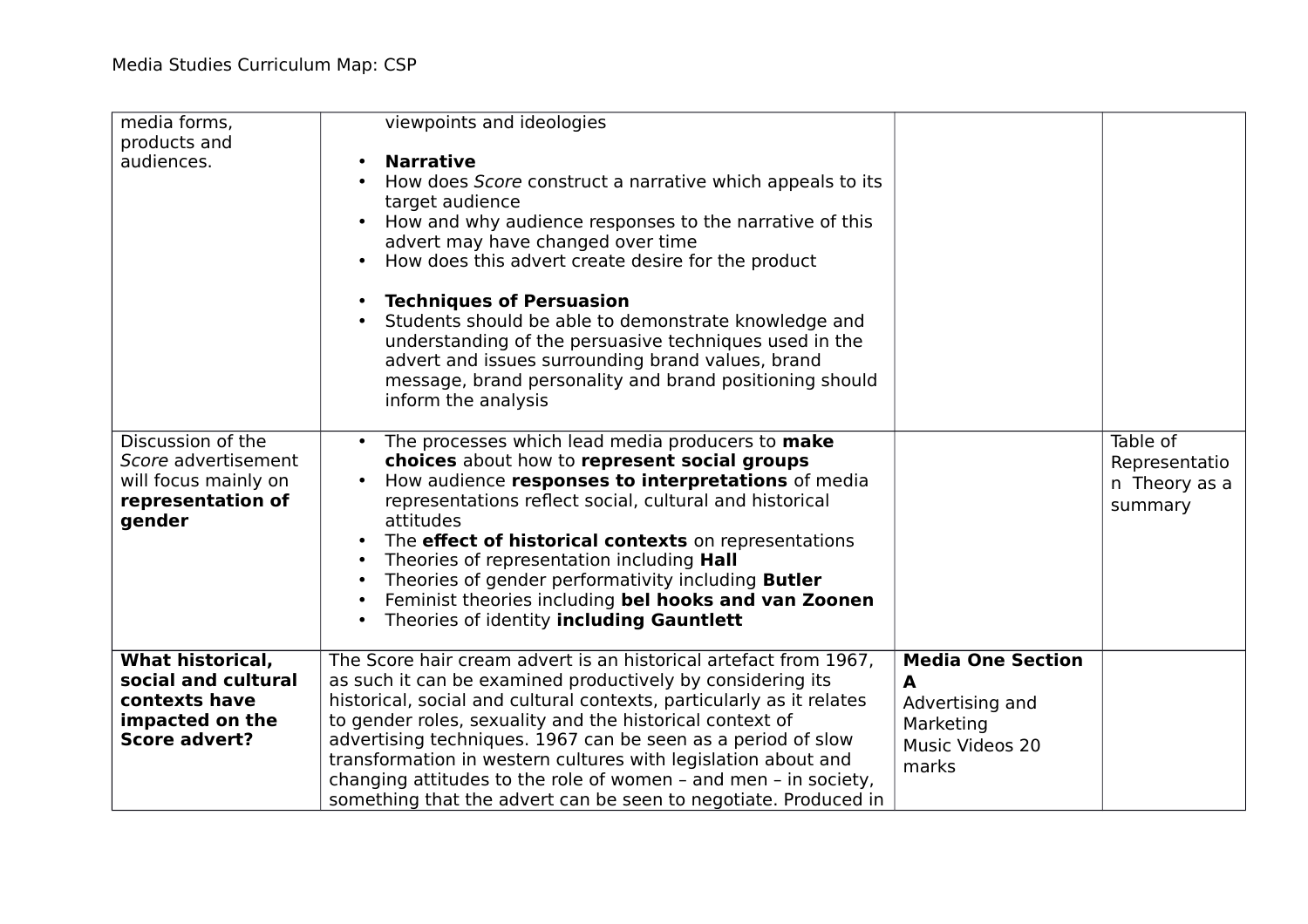| media forms,<br>products and<br>audiences.                                                                 | viewpoints and ideologies<br><b>Narrative</b><br>How does Score construct a narrative which appeals to its<br>target audience<br>How and why audience responses to the narrative of this<br>advert may have changed over time<br>How does this advert create desire for the product<br>$\bullet$                                                                                                                                                                                                                                                         |                                                                                           |                                                       |
|------------------------------------------------------------------------------------------------------------|----------------------------------------------------------------------------------------------------------------------------------------------------------------------------------------------------------------------------------------------------------------------------------------------------------------------------------------------------------------------------------------------------------------------------------------------------------------------------------------------------------------------------------------------------------|-------------------------------------------------------------------------------------------|-------------------------------------------------------|
|                                                                                                            | <b>Techniques of Persuasion</b><br>Students should be able to demonstrate knowledge and<br>understanding of the persuasive techniques used in the<br>advert and issues surrounding brand values, brand<br>message, brand personality and brand positioning should<br>inform the analysis                                                                                                                                                                                                                                                                 |                                                                                           |                                                       |
| Discussion of the<br>Score advertisement<br>will focus mainly on<br>representation of<br>gender            | The processes which lead media producers to make<br>$\bullet$<br>choices about how to represent social groups<br>How audience responses to interpretations of media<br>representations reflect social, cultural and historical<br>attitudes<br>The effect of historical contexts on representations<br>Theories of representation including Hall<br>Theories of gender performativity including <b>Butler</b><br>$\bullet$<br>Feminist theories including bel hooks and van Zoonen<br>$\bullet$<br>Theories of identity including Gauntlett<br>$\bullet$ |                                                                                           | Table of<br>Representatio<br>n Theory as a<br>summary |
| <b>What historical,</b><br>social and cultural<br>contexts have<br>impacted on the<br><b>Score advert?</b> | The Score hair cream advert is an historical artefact from 1967,<br>as such it can be examined productively by considering its<br>historical, social and cultural contexts, particularly as it relates<br>to gender roles, sexuality and the historical context of<br>advertising techniques. 1967 can be seen as a period of slow<br>transformation in western cultures with legislation about and<br>changing attitudes to the role of women - and men - in society,<br>something that the advert can be seen to negotiate. Produced in                | <b>Media One Section</b><br>A<br>Advertising and<br>Marketing<br>Music Videos 20<br>marks |                                                       |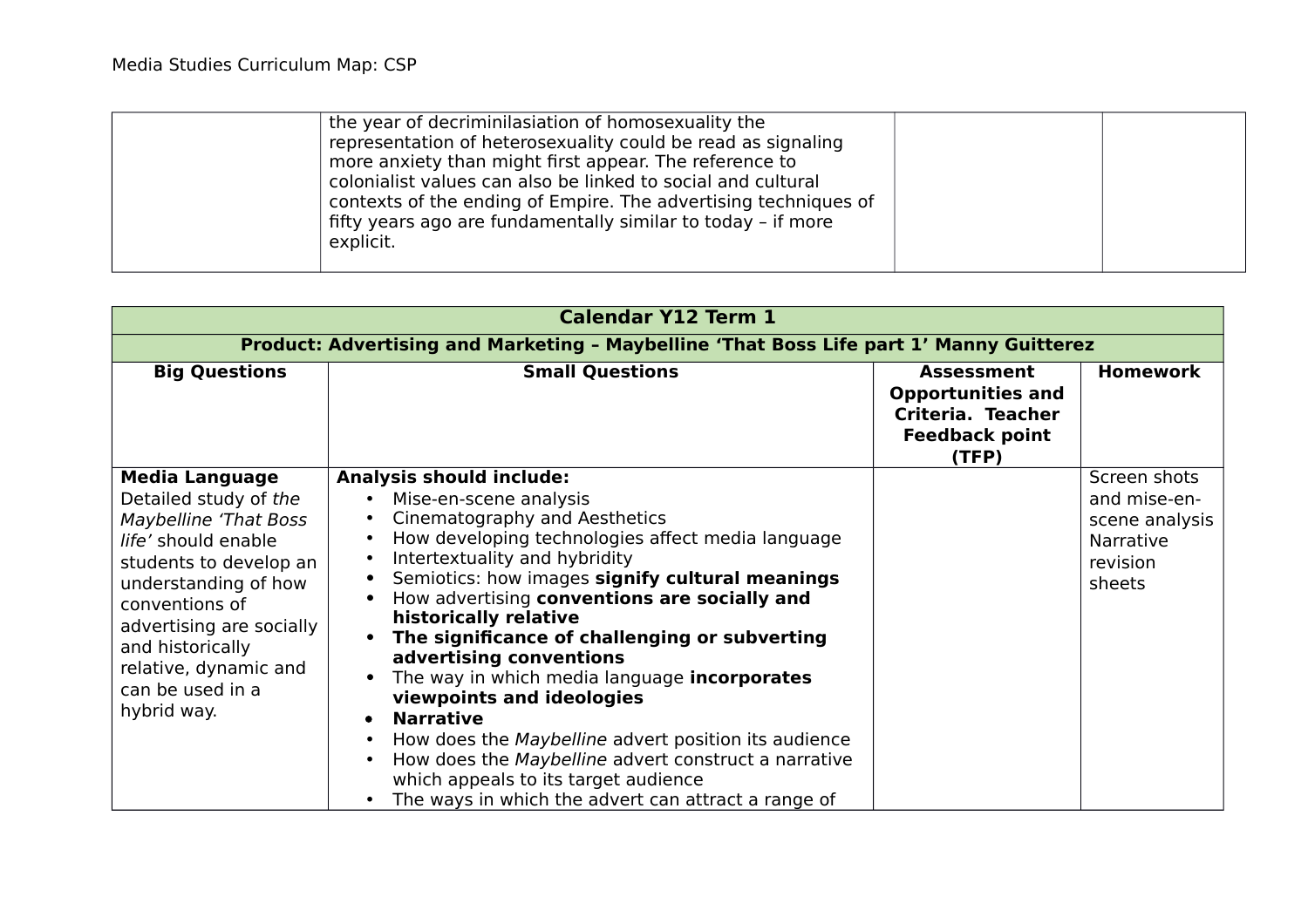| the year of decriminilasiation of homosexuality the<br>representation of heterosexuality could be read as signaling<br>more anxiety than might first appear. The reference to<br>colonialist values can also be linked to social and cultural<br>contexts of the ending of Empire. The advertising techniques of<br>fifty years ago are fundamentally similar to today - if more<br>explicit. |  |
|-----------------------------------------------------------------------------------------------------------------------------------------------------------------------------------------------------------------------------------------------------------------------------------------------------------------------------------------------------------------------------------------------|--|
|-----------------------------------------------------------------------------------------------------------------------------------------------------------------------------------------------------------------------------------------------------------------------------------------------------------------------------------------------------------------------------------------------|--|

| <b>Calendar Y12 Term 1</b>                                                                                                                                                                                                                                                            |                                                                                                                                                                                                                                                                                                                                                                                                                                                                                                                                                                                                                                                                                                                                                                     |                                                                                                      |                                                                                   |
|---------------------------------------------------------------------------------------------------------------------------------------------------------------------------------------------------------------------------------------------------------------------------------------|---------------------------------------------------------------------------------------------------------------------------------------------------------------------------------------------------------------------------------------------------------------------------------------------------------------------------------------------------------------------------------------------------------------------------------------------------------------------------------------------------------------------------------------------------------------------------------------------------------------------------------------------------------------------------------------------------------------------------------------------------------------------|------------------------------------------------------------------------------------------------------|-----------------------------------------------------------------------------------|
|                                                                                                                                                                                                                                                                                       | Product: Advertising and Marketing - Maybelline 'That Boss Life part 1' Manny Guitterez                                                                                                                                                                                                                                                                                                                                                                                                                                                                                                                                                                                                                                                                             |                                                                                                      |                                                                                   |
| <b>Big Questions</b>                                                                                                                                                                                                                                                                  | <b>Small Questions</b>                                                                                                                                                                                                                                                                                                                                                                                                                                                                                                                                                                                                                                                                                                                                              | <b>Assessment</b><br><b>Opportunities and</b><br>Criteria. Teacher<br><b>Feedback point</b><br>(TFP) | <b>Homework</b>                                                                   |
| <b>Media Language</b><br>Detailed study of the<br><b>Maybelline 'That Boss</b><br>life' should enable<br>students to develop an<br>understanding of how<br>conventions of<br>advertising are socially<br>and historically<br>relative, dynamic and<br>can be used in a<br>hybrid way. | <b>Analysis should include:</b><br>Mise-en-scene analysis<br>$\bullet$<br>Cinematography and Aesthetics<br>How developing technologies affect media language<br>$\bullet$<br>Intertextuality and hybridity<br>Semiotics: how images signify cultural meanings<br>How advertising conventions are socially and<br>historically relative<br>The significance of challenging or subverting<br>$\bullet$<br>advertising conventions<br>The way in which media language <b>incorporates</b><br>viewpoints and ideologies<br><b>Narrative</b><br>How does the Maybelline advert position its audience<br>$\bullet$<br>How does the Maybelline advert construct a narrative<br>which appeals to its target audience<br>The ways in which the advert can attract a range of |                                                                                                      | Screen shots<br>and mise-en-<br>scene analysis<br>Narrative<br>revision<br>sheets |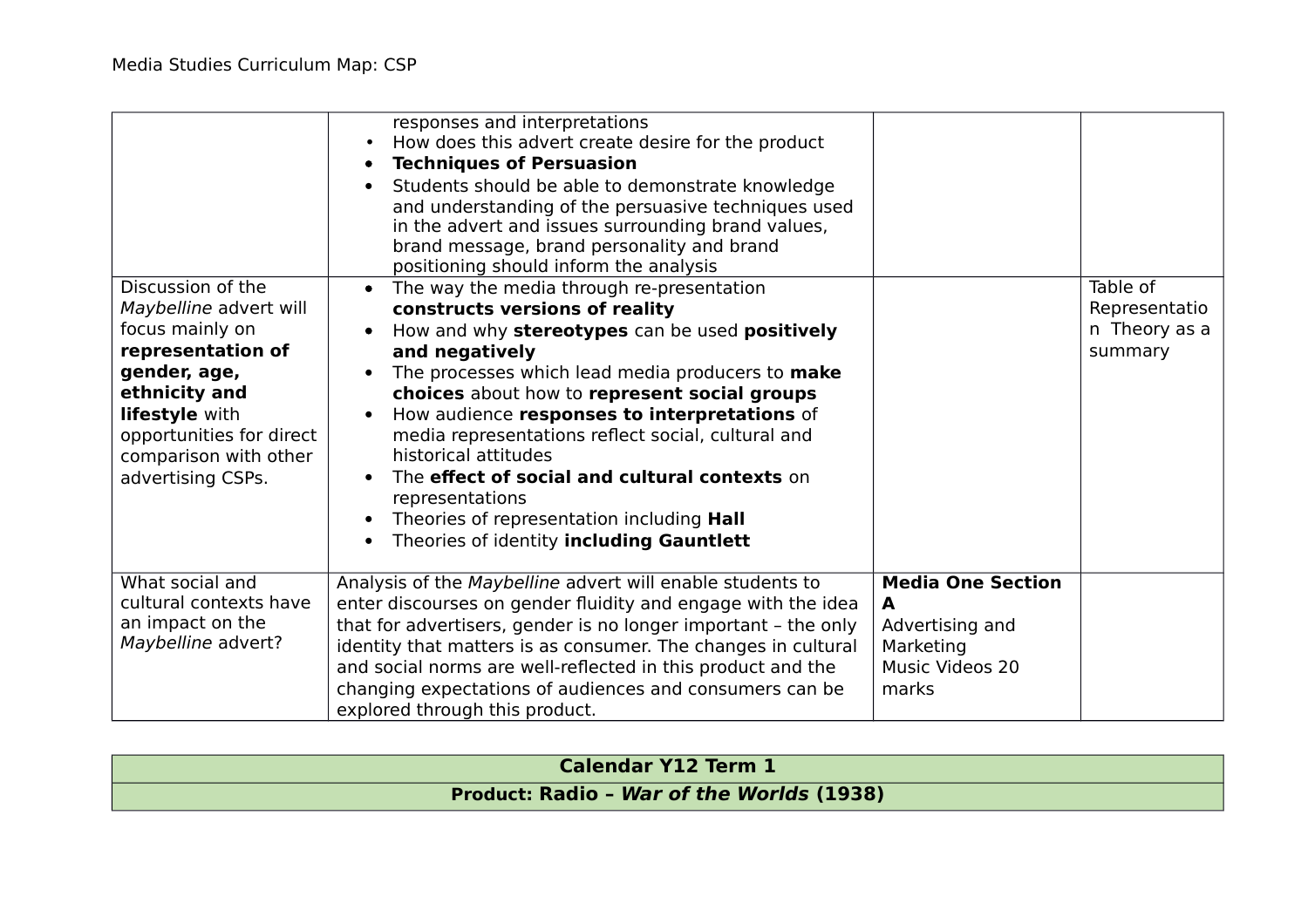|                                                                                                                                                                                                                  | responses and interpretations<br>How does this advert create desire for the product<br><b>Techniques of Persuasion</b><br>$\bullet$<br>Students should be able to demonstrate knowledge<br>$\bullet$<br>and understanding of the persuasive techniques used<br>in the advert and issues surrounding brand values,<br>brand message, brand personality and brand<br>positioning should inform the analysis                                                                                                                                                   |                                                                                           |                                                       |
|------------------------------------------------------------------------------------------------------------------------------------------------------------------------------------------------------------------|-------------------------------------------------------------------------------------------------------------------------------------------------------------------------------------------------------------------------------------------------------------------------------------------------------------------------------------------------------------------------------------------------------------------------------------------------------------------------------------------------------------------------------------------------------------|-------------------------------------------------------------------------------------------|-------------------------------------------------------|
| Discussion of the<br>Maybelline advert will<br>focus mainly on<br>representation of<br>gender, age,<br>ethnicity and<br>lifestyle with<br>opportunities for direct<br>comparison with other<br>advertising CSPs. | The way the media through re-presentation<br>constructs versions of reality<br>How and why stereotypes can be used positively<br>and negatively<br>The processes which lead media producers to make<br>choices about how to represent social groups<br>How audience responses to interpretations of<br>media representations reflect social, cultural and<br>historical attitudes<br>The effect of social and cultural contexts on<br>representations<br>Theories of representation including Hall<br>Theories of identity including Gauntlett<br>$\bullet$ |                                                                                           | Table of<br>Representatio<br>n Theory as a<br>summary |
| What social and<br>cultural contexts have<br>an impact on the<br>Maybelline advert?                                                                                                                              | Analysis of the Maybelline advert will enable students to<br>enter discourses on gender fluidity and engage with the idea<br>that for advertisers, gender is no longer important - the only<br>identity that matters is as consumer. The changes in cultural<br>and social norms are well-reflected in this product and the<br>changing expectations of audiences and consumers can be<br>explored through this product.                                                                                                                                    | <b>Media One Section</b><br>A<br>Advertising and<br>Marketing<br>Music Videos 20<br>marks |                                                       |

| <b>Calendar Y12 Term 1</b>                       |  |
|--------------------------------------------------|--|
| <b>Product: Radio - War of the Worlds (1938)</b> |  |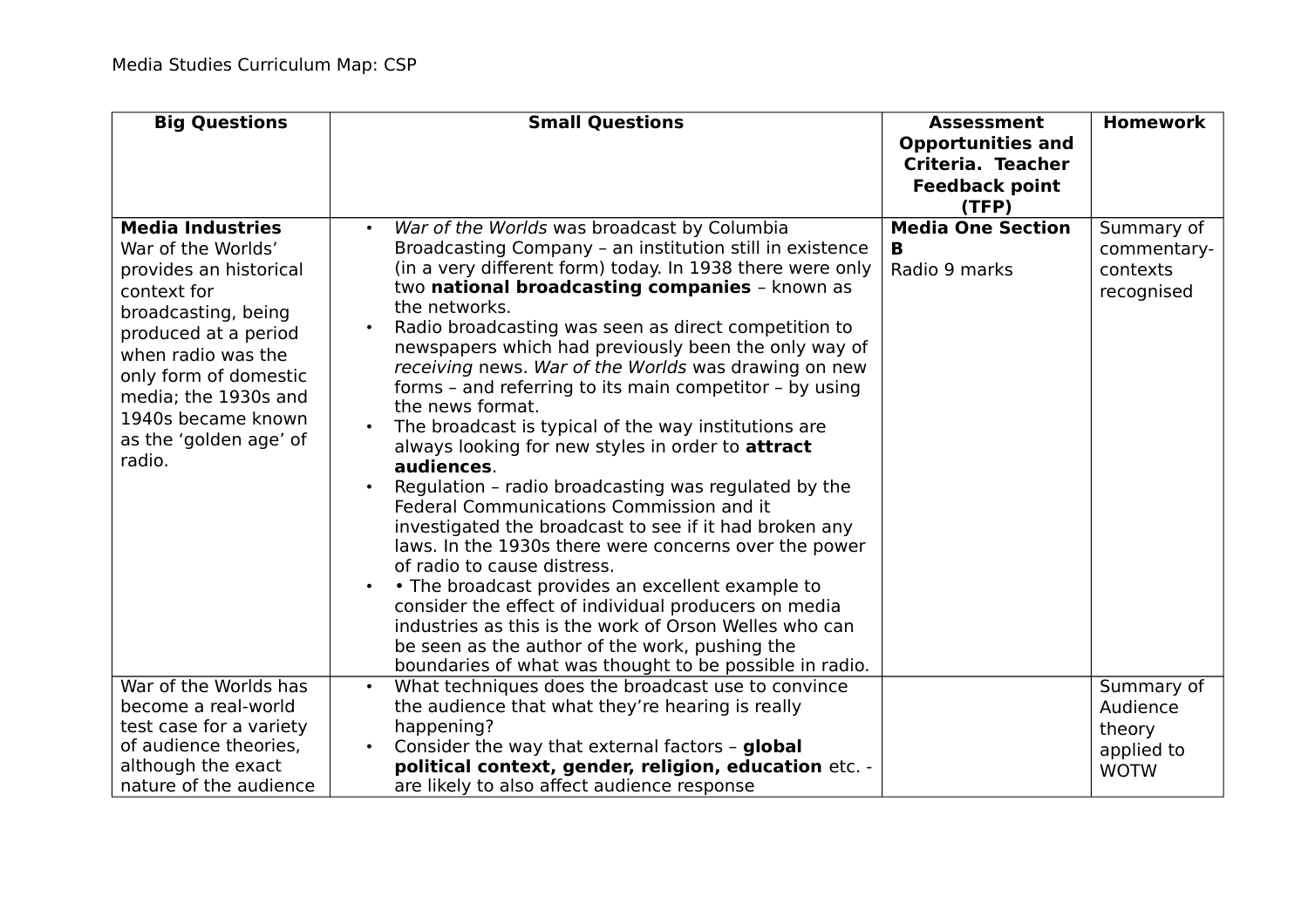| <b>Big Questions</b>                                                                                                                                                                                                                                                   | <b>Small Questions</b>                                                                                                                                                                                                                                                                                                                                                                                                                                                                                                                                                                                                                                                                                                                                                                                                                                                                                                                                                                                                                                                                                                                                             | <b>Assessment</b><br><b>Opportunities and</b><br>Criteria. Teacher<br><b>Feedback point</b><br>(TFP) | <b>Homework</b>                                     |
|------------------------------------------------------------------------------------------------------------------------------------------------------------------------------------------------------------------------------------------------------------------------|--------------------------------------------------------------------------------------------------------------------------------------------------------------------------------------------------------------------------------------------------------------------------------------------------------------------------------------------------------------------------------------------------------------------------------------------------------------------------------------------------------------------------------------------------------------------------------------------------------------------------------------------------------------------------------------------------------------------------------------------------------------------------------------------------------------------------------------------------------------------------------------------------------------------------------------------------------------------------------------------------------------------------------------------------------------------------------------------------------------------------------------------------------------------|------------------------------------------------------------------------------------------------------|-----------------------------------------------------|
| <b>Media Industries</b><br>War of the Worlds'<br>provides an historical<br>context for<br>broadcasting, being<br>produced at a period<br>when radio was the<br>only form of domestic<br>media; the 1930s and<br>1940s became known<br>as the 'golden age' of<br>radio. | War of the Worlds was broadcast by Columbia<br>Broadcasting Company - an institution still in existence<br>(in a very different form) today. In 1938 there were only<br>two national broadcasting companies - known as<br>the networks.<br>Radio broadcasting was seen as direct competition to<br>newspapers which had previously been the only way of<br>receiving news. War of the Worlds was drawing on new<br>forms – and referring to its main competitor – by using<br>the news format.<br>The broadcast is typical of the way institutions are<br>always looking for new styles in order to attract<br>audiences.<br>Regulation - radio broadcasting was regulated by the<br>Federal Communications Commission and it<br>investigated the broadcast to see if it had broken any<br>laws. In the 1930s there were concerns over the power<br>of radio to cause distress.<br>• The broadcast provides an excellent example to<br>consider the effect of individual producers on media<br>industries as this is the work of Orson Welles who can<br>be seen as the author of the work, pushing the<br>boundaries of what was thought to be possible in radio. | <b>Media One Section</b><br>в<br>Radio 9 marks                                                       | Summary of<br>commentary-<br>contexts<br>recognised |
| War of the Worlds has<br>become a real-world<br>test case for a variety<br>of audience theories,                                                                                                                                                                       | What techniques does the broadcast use to convince<br>the audience that what they're hearing is really<br>happening?<br>Consider the way that external factors - global                                                                                                                                                                                                                                                                                                                                                                                                                                                                                                                                                                                                                                                                                                                                                                                                                                                                                                                                                                                            |                                                                                                      | Summary of<br>Audience<br>theory<br>applied to      |
| although the exact<br>nature of the audience                                                                                                                                                                                                                           | political context, gender, religion, education etc. -<br>are likely to also affect audience response                                                                                                                                                                                                                                                                                                                                                                                                                                                                                                                                                                                                                                                                                                                                                                                                                                                                                                                                                                                                                                                               |                                                                                                      | <b>WOTW</b>                                         |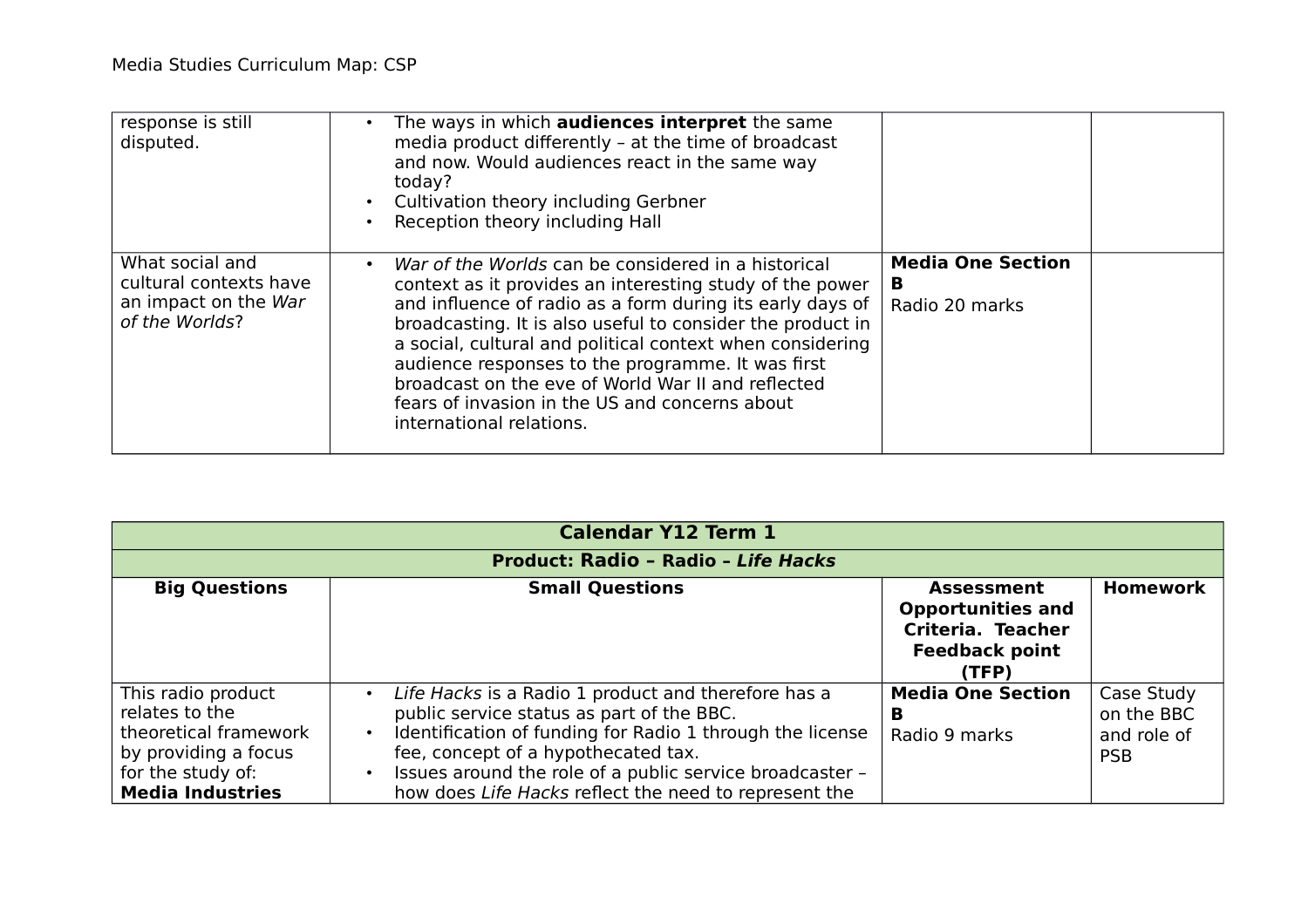| response is still<br>disputed.                                                      | The ways in which <b>audiences interpret</b> the same<br>$\bullet$<br>media product differently - at the time of broadcast<br>and now. Would audiences react in the same way<br>today?<br>Cultivation theory including Gerbner<br>$\bullet$ .<br>Reception theory including Hall<br>$\bullet$                                                                                                                                                                                                                 |                                                 |
|-------------------------------------------------------------------------------------|---------------------------------------------------------------------------------------------------------------------------------------------------------------------------------------------------------------------------------------------------------------------------------------------------------------------------------------------------------------------------------------------------------------------------------------------------------------------------------------------------------------|-------------------------------------------------|
| What social and<br>cultural contexts have<br>an impact on the War<br>of the Worlds? | War of the Worlds can be considered in a historical<br>$\bullet$<br>context as it provides an interesting study of the power<br>and influence of radio as a form during its early days of<br>broadcasting. It is also useful to consider the product in<br>a social, cultural and political context when considering<br>audience responses to the programme. It was first<br>broadcast on the eve of World War II and reflected<br>fears of invasion in the US and concerns about<br>international relations. | <b>Media One Section</b><br>в<br>Radio 20 marks |

| <b>Calendar Y12 Term 1</b>                                                                                                            |                                                                                                                                                                                                                                                                                                                                                     |                                                                                                      |                                                       |
|---------------------------------------------------------------------------------------------------------------------------------------|-----------------------------------------------------------------------------------------------------------------------------------------------------------------------------------------------------------------------------------------------------------------------------------------------------------------------------------------------------|------------------------------------------------------------------------------------------------------|-------------------------------------------------------|
| <b>Product: Radio - Radio - Life Hacks</b>                                                                                            |                                                                                                                                                                                                                                                                                                                                                     |                                                                                                      |                                                       |
| <b>Big Questions</b>                                                                                                                  | <b>Small Questions</b>                                                                                                                                                                                                                                                                                                                              | <b>Assessment</b><br><b>Opportunities and</b><br>Criteria. Teacher<br><b>Feedback point</b><br>(TFP) | <b>Homework</b>                                       |
| This radio product<br>relates to the<br>theoretical framework<br>by providing a focus<br>for the study of:<br><b>Media Industries</b> | Life Hacks is a Radio 1 product and therefore has a<br>$\bullet$<br>public service status as part of the BBC.<br>Identification of funding for Radio 1 through the license<br>$\bullet$<br>fee, concept of a hypothecated tax.<br>Issues around the role of a public service broadcaster -<br>how does Life Hacks reflect the need to represent the | <b>Media One Section</b><br>в<br>Radio 9 marks                                                       | Case Study<br>on the BBC<br>and role of<br><b>PSB</b> |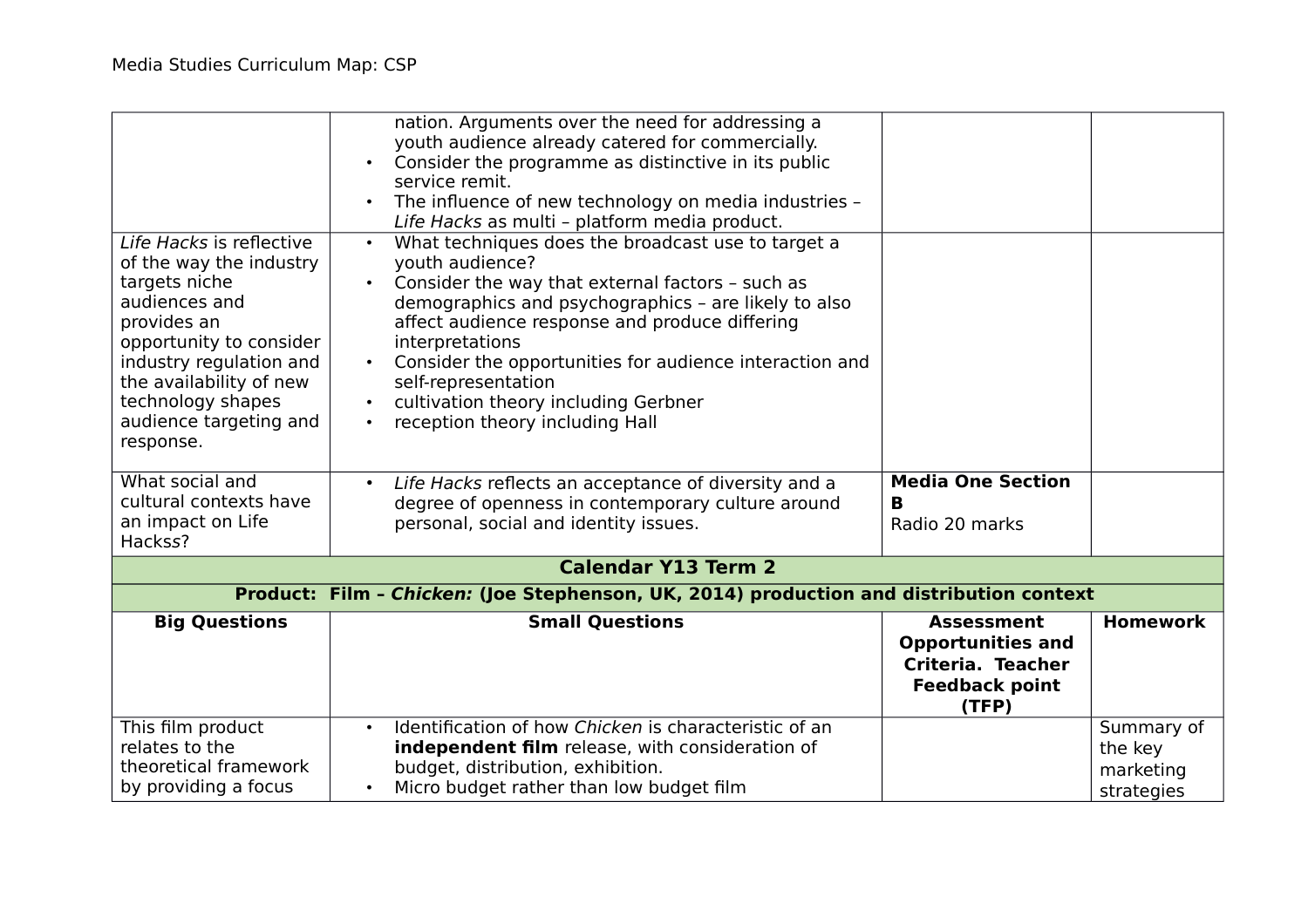| Life Hacks is reflective<br>of the way the industry<br>targets niche<br>audiences and<br>provides an<br>opportunity to consider<br>industry regulation and<br>the availability of new<br>technology shapes<br>audience targeting and<br>response. | nation. Arguments over the need for addressing a<br>youth audience already catered for commercially.<br>Consider the programme as distinctive in its public<br>service remit.<br>The influence of new technology on media industries -<br>Life Hacks as multi - platform media product.<br>What techniques does the broadcast use to target a<br>$\bullet$<br>youth audience?<br>Consider the way that external factors - such as<br>demographics and psychographics - are likely to also<br>affect audience response and produce differing<br>interpretations<br>Consider the opportunities for audience interaction and<br>self-representation<br>cultivation theory including Gerbner<br>reception theory including Hall |                                                                                                      |                                                  |
|---------------------------------------------------------------------------------------------------------------------------------------------------------------------------------------------------------------------------------------------------|-----------------------------------------------------------------------------------------------------------------------------------------------------------------------------------------------------------------------------------------------------------------------------------------------------------------------------------------------------------------------------------------------------------------------------------------------------------------------------------------------------------------------------------------------------------------------------------------------------------------------------------------------------------------------------------------------------------------------------|------------------------------------------------------------------------------------------------------|--------------------------------------------------|
| What social and<br>cultural contexts have<br>an impact on Life<br>Hackss?                                                                                                                                                                         | Life Hacks reflects an acceptance of diversity and a<br>$\bullet$<br>degree of openness in contemporary culture around<br>personal, social and identity issues.                                                                                                                                                                                                                                                                                                                                                                                                                                                                                                                                                             | <b>Media One Section</b><br>R<br>Radio 20 marks                                                      |                                                  |
|                                                                                                                                                                                                                                                   | <b>Calendar Y13 Term 2</b>                                                                                                                                                                                                                                                                                                                                                                                                                                                                                                                                                                                                                                                                                                  |                                                                                                      |                                                  |
|                                                                                                                                                                                                                                                   | Product: Film - Chicken: (Joe Stephenson, UK, 2014) production and distribution context                                                                                                                                                                                                                                                                                                                                                                                                                                                                                                                                                                                                                                     |                                                                                                      |                                                  |
| <b>Big Questions</b>                                                                                                                                                                                                                              | <b>Small Questions</b>                                                                                                                                                                                                                                                                                                                                                                                                                                                                                                                                                                                                                                                                                                      | <b>Assessment</b><br><b>Opportunities and</b><br>Criteria. Teacher<br><b>Feedback point</b><br>(TFP) | <b>Homework</b>                                  |
| This film product<br>relates to the<br>theoretical framework<br>by providing a focus                                                                                                                                                              | Identification of how Chicken is characteristic of an<br>$\bullet$<br>independent film release, with consideration of<br>budget, distribution, exhibition.<br>Micro budget rather than low budget film                                                                                                                                                                                                                                                                                                                                                                                                                                                                                                                      |                                                                                                      | Summary of<br>the key<br>marketing<br>strategies |